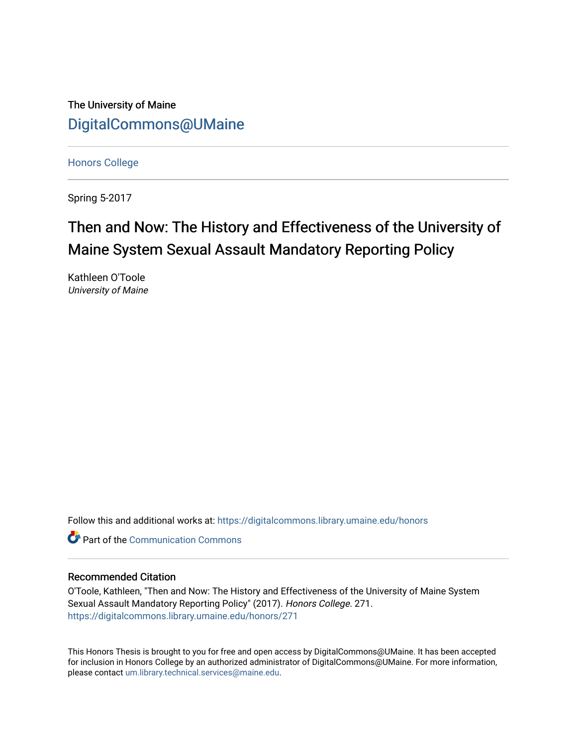The University of Maine [DigitalCommons@UMaine](https://digitalcommons.library.umaine.edu/)

[Honors College](https://digitalcommons.library.umaine.edu/honors)

Spring 5-2017

# Then and Now: The History and Effectiveness of the University of Maine System Sexual Assault Mandatory Reporting Policy

Kathleen O'Toole University of Maine

Follow this and additional works at: [https://digitalcommons.library.umaine.edu/honors](https://digitalcommons.library.umaine.edu/honors?utm_source=digitalcommons.library.umaine.edu%2Fhonors%2F271&utm_medium=PDF&utm_campaign=PDFCoverPages) 

**C** Part of the Communication Commons

### Recommended Citation

O'Toole, Kathleen, "Then and Now: The History and Effectiveness of the University of Maine System Sexual Assault Mandatory Reporting Policy" (2017). Honors College. 271. [https://digitalcommons.library.umaine.edu/honors/271](https://digitalcommons.library.umaine.edu/honors/271?utm_source=digitalcommons.library.umaine.edu%2Fhonors%2F271&utm_medium=PDF&utm_campaign=PDFCoverPages) 

This Honors Thesis is brought to you for free and open access by DigitalCommons@UMaine. It has been accepted for inclusion in Honors College by an authorized administrator of DigitalCommons@UMaine. For more information, please contact [um.library.technical.services@maine.edu.](mailto:um.library.technical.services@maine.edu)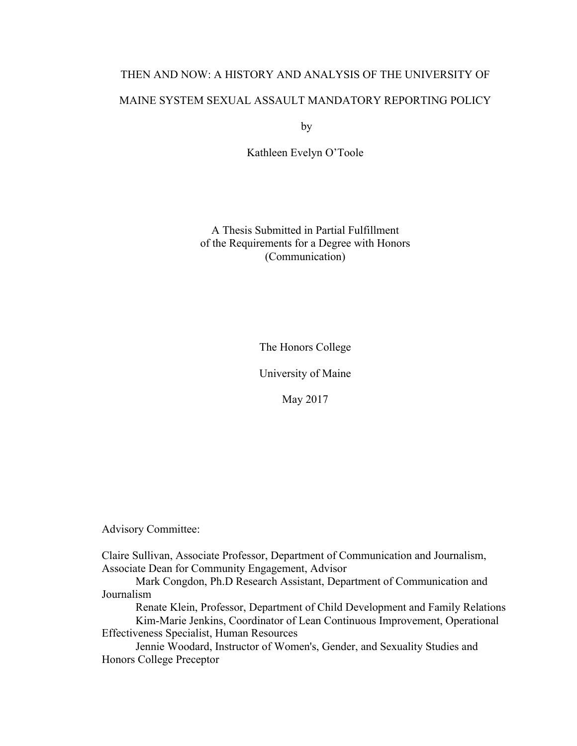# THEN AND NOW: A HISTORY AND ANALYSIS OF THE UNIVERSITY OF MAINE SYSTEM SEXUAL ASSAULT MANDATORY REPORTING POLICY

by

Kathleen Evelyn O'Toole

A Thesis Submitted in Partial Fulfillment of the Requirements for a Degree with Honors (Communication)

The Honors College

University of Maine

May 2017

Advisory Committee:

Claire Sullivan, Associate Professor, Department of Communication and Journalism, Associate Dean for Community Engagement, Advisor

Mark Congdon, Ph.D Research Assistant, Department of Communication and Journalism

Renate Klein, Professor, Department of Child Development and Family Relations Kim-Marie Jenkins, Coordinator of Lean Continuous Improvement, Operational

Effectiveness Specialist, Human Resources

Jennie Woodard, Instructor of Women's, Gender, and Sexuality Studies and Honors College Preceptor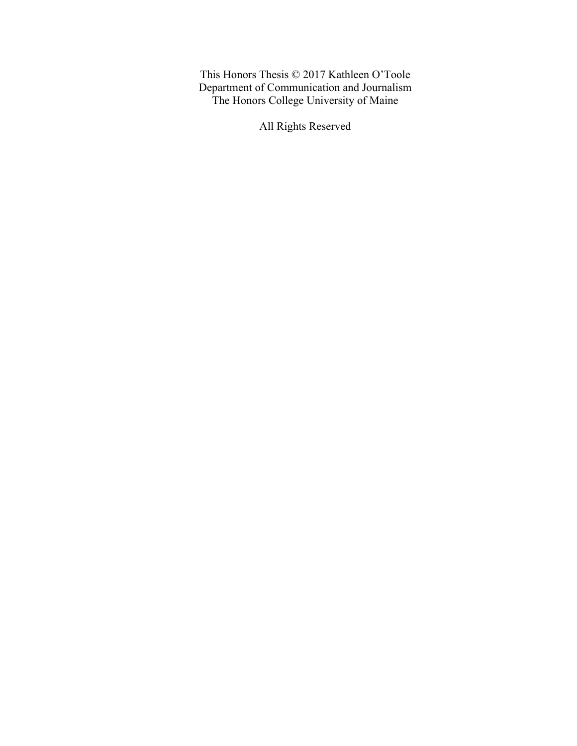This Honors Thesis © 2017 Kathleen O'Toole Department of Communication and Journalism The Honors College University of Maine

All Rights Reserved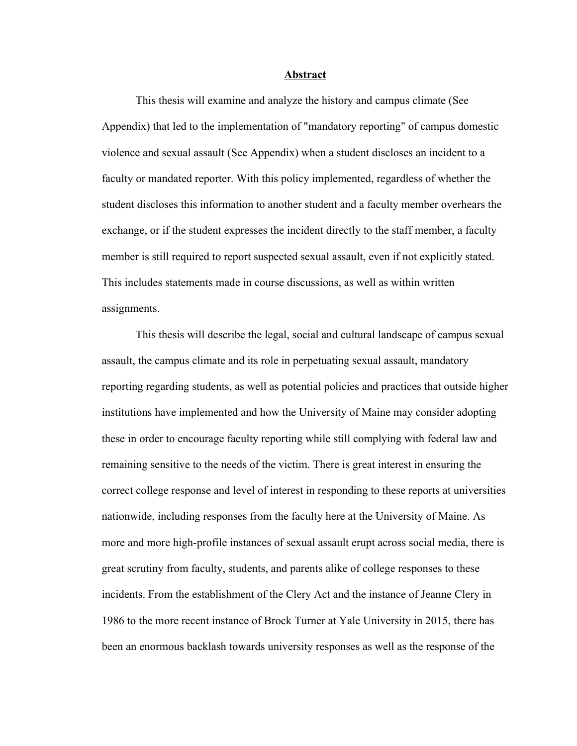#### **Abstract**

This thesis will examine and analyze the history and campus climate (See Appendix) that led to the implementation of "mandatory reporting" of campus domestic violence and sexual assault (See Appendix) when a student discloses an incident to a faculty or mandated reporter. With this policy implemented, regardless of whether the student discloses this information to another student and a faculty member overhears the exchange, or if the student expresses the incident directly to the staff member, a faculty member is still required to report suspected sexual assault, even if not explicitly stated. This includes statements made in course discussions, as well as within written assignments.

This thesis will describe the legal, social and cultural landscape of campus sexual assault, the campus climate and its role in perpetuating sexual assault, mandatory reporting regarding students, as well as potential policies and practices that outside higher institutions have implemented and how the University of Maine may consider adopting these in order to encourage faculty reporting while still complying with federal law and remaining sensitive to the needs of the victim. There is great interest in ensuring the correct college response and level of interest in responding to these reports at universities nationwide, including responses from the faculty here at the University of Maine. As more and more high-profile instances of sexual assault erupt across social media, there is great scrutiny from faculty, students, and parents alike of college responses to these incidents. From the establishment of the Clery Act and the instance of Jeanne Clery in 1986 to the more recent instance of Brock Turner at Yale University in 2015, there has been an enormous backlash towards university responses as well as the response of the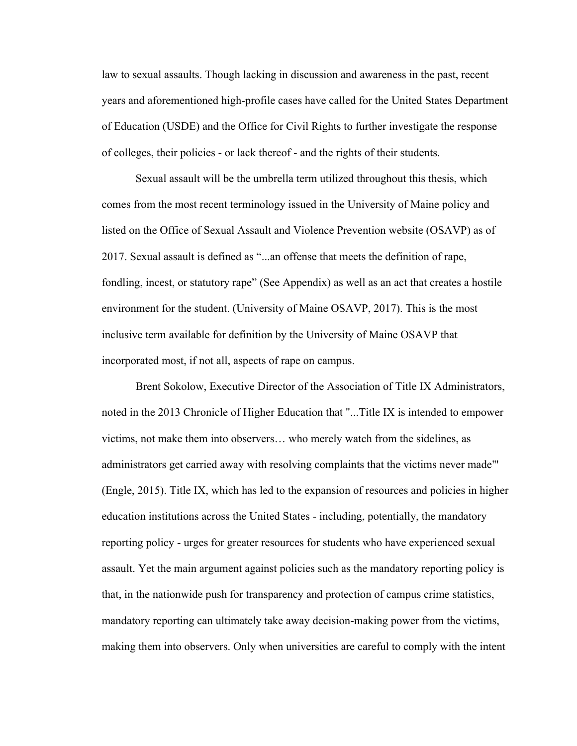law to sexual assaults. Though lacking in discussion and awareness in the past, recent years and aforementioned high-profile cases have called for the United States Department of Education (USDE) and the Office for Civil Rights to further investigate the response of colleges, their policies - or lack thereof - and the rights of their students.

Sexual assault will be the umbrella term utilized throughout this thesis, which comes from the most recent terminology issued in the University of Maine policy and listed on the Office of Sexual Assault and Violence Prevention website (OSAVP) as of 2017. Sexual assault is defined as "...an offense that meets the definition of rape, fondling, incest, or statutory rape" (See Appendix) as well as an act that creates a hostile environment for the student. (University of Maine OSAVP, 2017). This is the most inclusive term available for definition by the University of Maine OSAVP that incorporated most, if not all, aspects of rape on campus.

Brent Sokolow, Executive Director of the Association of Title IX Administrators, noted in the 2013 Chronicle of Higher Education that "...Title IX is intended to empower victims, not make them into observers… who merely watch from the sidelines, as administrators get carried away with resolving complaints that the victims never made"' (Engle, 2015). Title IX, which has led to the expansion of resources and policies in higher education institutions across the United States - including, potentially, the mandatory reporting policy - urges for greater resources for students who have experienced sexual assault. Yet the main argument against policies such as the mandatory reporting policy is that, in the nationwide push for transparency and protection of campus crime statistics, mandatory reporting can ultimately take away decision-making power from the victims, making them into observers. Only when universities are careful to comply with the intent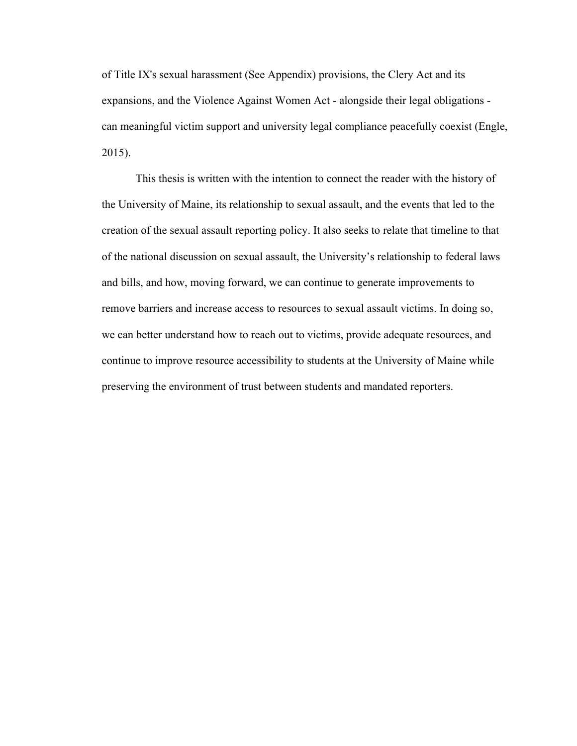of Title IX's sexual harassment (See Appendix) provisions, the Clery Act and its expansions, and the Violence Against Women Act - alongside their legal obligations can meaningful victim support and university legal compliance peacefully coexist (Engle, 2015).

This thesis is written with the intention to connect the reader with the history of the University of Maine, its relationship to sexual assault, and the events that led to the creation of the sexual assault reporting policy. It also seeks to relate that timeline to that of the national discussion on sexual assault, the University's relationship to federal laws and bills, and how, moving forward, we can continue to generate improvements to remove barriers and increase access to resources to sexual assault victims. In doing so, we can better understand how to reach out to victims, provide adequate resources, and continue to improve resource accessibility to students at the University of Maine while preserving the environment of trust between students and mandated reporters.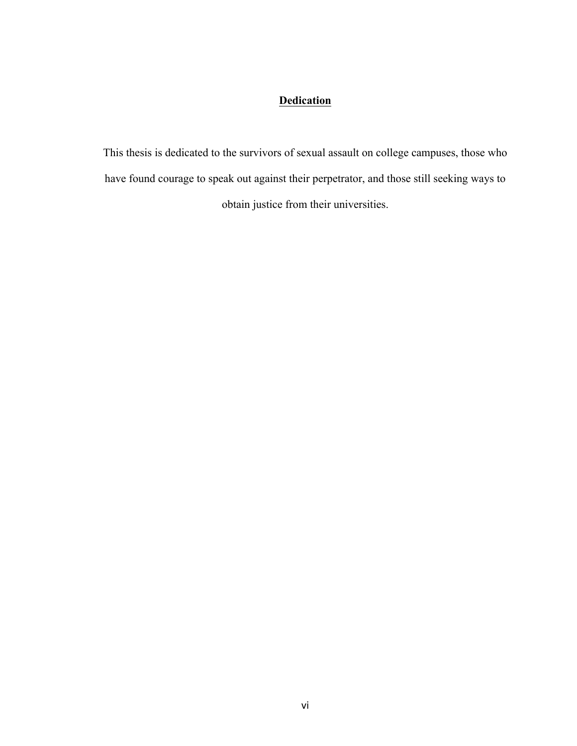## **Dedication**

This thesis is dedicated to the survivors of sexual assault on college campuses, those who have found courage to speak out against their perpetrator, and those still seeking ways to obtain justice from their universities.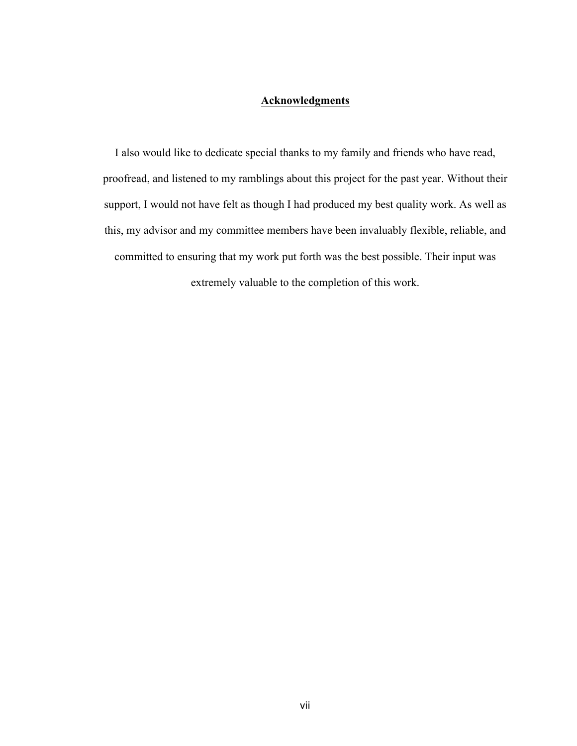## **Acknowledgments**

I also would like to dedicate special thanks to my family and friends who have read, proofread, and listened to my ramblings about this project for the past year. Without their support, I would not have felt as though I had produced my best quality work. As well as this, my advisor and my committee members have been invaluably flexible, reliable, and committed to ensuring that my work put forth was the best possible. Their input was extremely valuable to the completion of this work.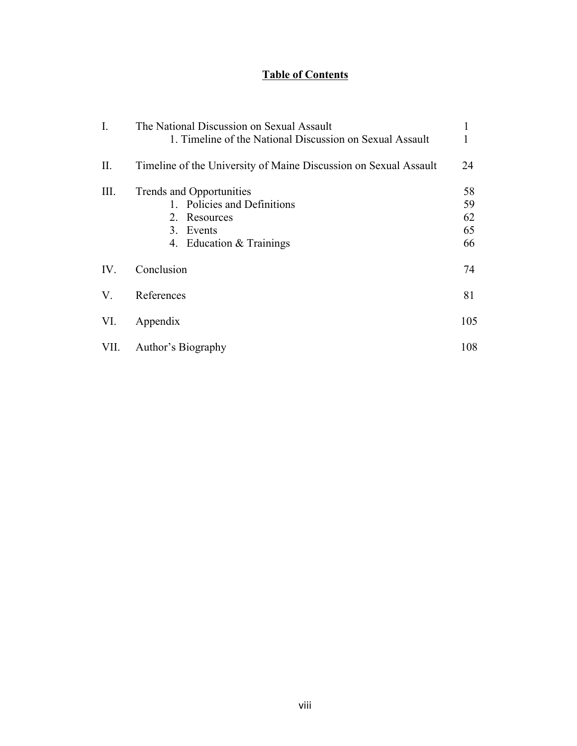## **Table of Contents**

| $\mathbf{I}$ . | The National Discussion on Sexual Assault<br>1. Timeline of the National Discussion on Sexual Assault            | 1                          |
|----------------|------------------------------------------------------------------------------------------------------------------|----------------------------|
| $\prod$ .      | Timeline of the University of Maine Discussion on Sexual Assault                                                 | 24                         |
| III.           | Trends and Opportunities<br>1. Policies and Definitions<br>2. Resources<br>3. Events<br>4. Education & Trainings | 58<br>59<br>62<br>65<br>66 |
| IV.            | Conclusion                                                                                                       | 74                         |
| V.             | References                                                                                                       | 81                         |
| VI.            | Appendix                                                                                                         | 105                        |
| VII.           | Author's Biography                                                                                               | 108                        |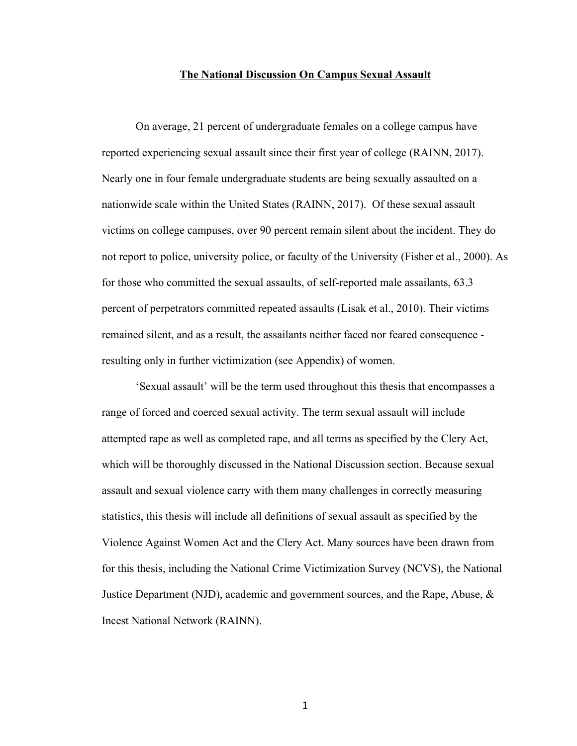### **The National Discussion On Campus Sexual Assault**

On average, 21 percent of undergraduate females on a college campus have reported experiencing sexual assault since their first year of college (RAINN, 2017). Nearly one in four female undergraduate students are being sexually assaulted on a nationwide scale within the United States (RAINN, 2017). Of these sexual assault victims on college campuses, over 90 percent remain silent about the incident. They do not report to police, university police, or faculty of the University (Fisher et al., 2000). As for those who committed the sexual assaults, of self-reported male assailants, 63.3 percent of perpetrators committed repeated assaults (Lisak et al., 2010). Their victims remained silent, and as a result, the assailants neither faced nor feared consequence resulting only in further victimization (see Appendix) of women.

'Sexual assault' will be the term used throughout this thesis that encompasses a range of forced and coerced sexual activity. The term sexual assault will include attempted rape as well as completed rape, and all terms as specified by the Clery Act, which will be thoroughly discussed in the National Discussion section. Because sexual assault and sexual violence carry with them many challenges in correctly measuring statistics, this thesis will include all definitions of sexual assault as specified by the Violence Against Women Act and the Clery Act. Many sources have been drawn from for this thesis, including the National Crime Victimization Survey (NCVS), the National Justice Department (NJD), academic and government sources, and the Rape, Abuse,  $\&$ Incest National Network (RAINN).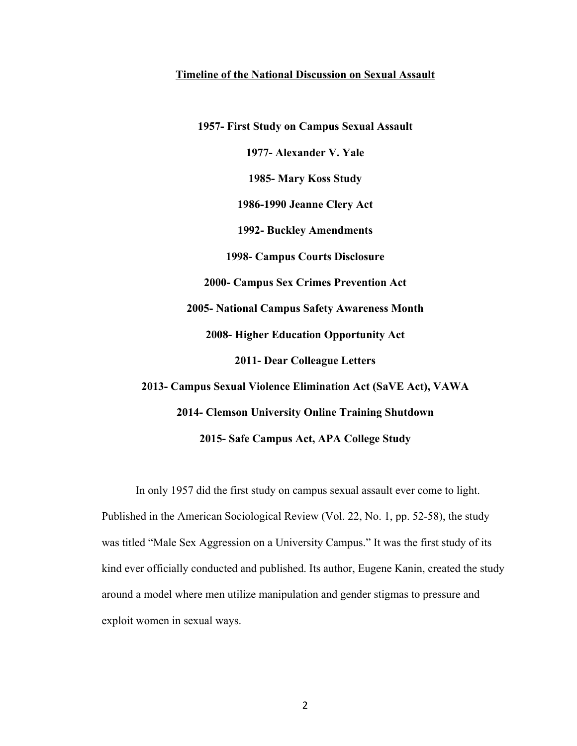### **Timeline of the National Discussion on Sexual Assault**

**1957- First Study on Campus Sexual Assault 1977- Alexander V. Yale 1985- Mary Koss Study 1986-1990 Jeanne Clery Act 1992- Buckley Amendments 1998- Campus Courts Disclosure 2000- Campus Sex Crimes Prevention Act 2005- National Campus Safety Awareness Month 2008- Higher Education Opportunity Act 2011- Dear Colleague Letters 2013- Campus Sexual Violence Elimination Act (SaVE Act), VAWA 2014- Clemson University Online Training Shutdown 2015- Safe Campus Act, APA College Study**

In only 1957 did the first study on campus sexual assault ever come to light. Published in the American Sociological Review (Vol. 22, No. 1, pp. 52-58), the study was titled "Male Sex Aggression on a University Campus." It was the first study of its kind ever officially conducted and published. Its author, Eugene Kanin, created the study around a model where men utilize manipulation and gender stigmas to pressure and exploit women in sexual ways.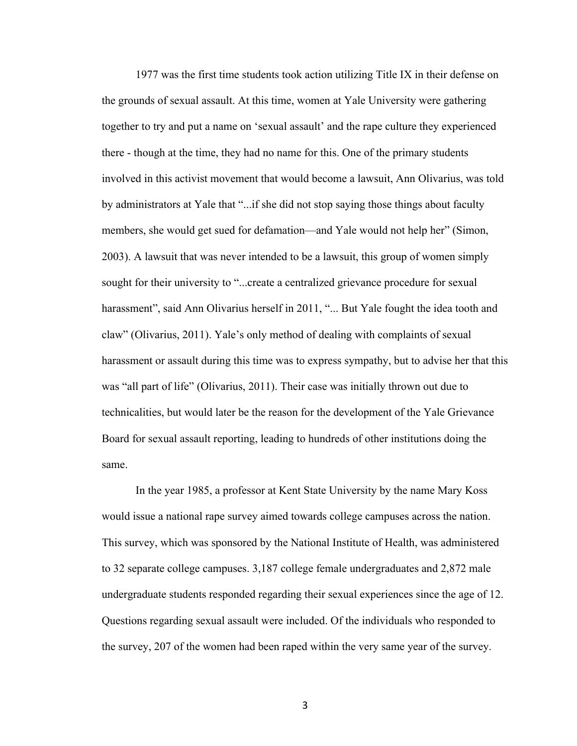1977 was the first time students took action utilizing Title IX in their defense on the grounds of sexual assault. At this time, women at Yale University were gathering together to try and put a name on 'sexual assault' and the rape culture they experienced there - though at the time, they had no name for this. One of the primary students involved in this activist movement that would become a lawsuit, Ann Olivarius, was told by administrators at Yale that "...if she did not stop saying those things about faculty members, she would get sued for defamation—and Yale would not help her" (Simon, 2003). A lawsuit that was never intended to be a lawsuit, this group of women simply sought for their university to "...create a centralized grievance procedure for sexual harassment", said Ann Olivarius herself in 2011, "... But Yale fought the idea tooth and claw" (Olivarius, 2011). Yale's only method of dealing with complaints of sexual harassment or assault during this time was to express sympathy, but to advise her that this was "all part of life" (Olivarius, 2011). Their case was initially thrown out due to technicalities, but would later be the reason for the development of the Yale Grievance Board for sexual assault reporting, leading to hundreds of other institutions doing the same.

In the year 1985, a professor at Kent State University by the name Mary Koss would issue a national rape survey aimed towards college campuses across the nation. This survey, which was sponsored by the National Institute of Health, was administered to 32 separate college campuses. 3,187 college female undergraduates and 2,872 male undergraduate students responded regarding their sexual experiences since the age of 12. Questions regarding sexual assault were included. Of the individuals who responded to the survey, 207 of the women had been raped within the very same year of the survey.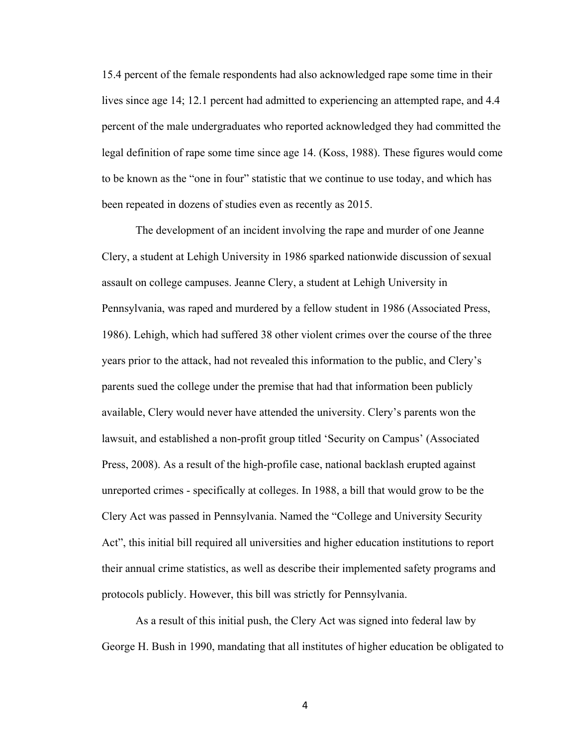15.4 percent of the female respondents had also acknowledged rape some time in their lives since age 14; 12.1 percent had admitted to experiencing an attempted rape, and 4.4 percent of the male undergraduates who reported acknowledged they had committed the legal definition of rape some time since age 14. (Koss, 1988). These figures would come to be known as the "one in four" statistic that we continue to use today, and which has been repeated in dozens of studies even as recently as 2015.

The development of an incident involving the rape and murder of one Jeanne Clery, a student at Lehigh University in 1986 sparked nationwide discussion of sexual assault on college campuses. Jeanne Clery, a student at Lehigh University in Pennsylvania, was raped and murdered by a fellow student in 1986 (Associated Press, 1986). Lehigh, which had suffered 38 other violent crimes over the course of the three years prior to the attack, had not revealed this information to the public, and Clery's parents sued the college under the premise that had that information been publicly available, Clery would never have attended the university. Clery's parents won the lawsuit, and established a non-profit group titled 'Security on Campus' (Associated Press, 2008). As a result of the high-profile case, national backlash erupted against unreported crimes - specifically at colleges. In 1988, a bill that would grow to be the Clery Act was passed in Pennsylvania. Named the "College and University Security Act", this initial bill required all universities and higher education institutions to report their annual crime statistics, as well as describe their implemented safety programs and protocols publicly. However, this bill was strictly for Pennsylvania.

As a result of this initial push, the Clery Act was signed into federal law by George H. Bush in 1990, mandating that all institutes of higher education be obligated to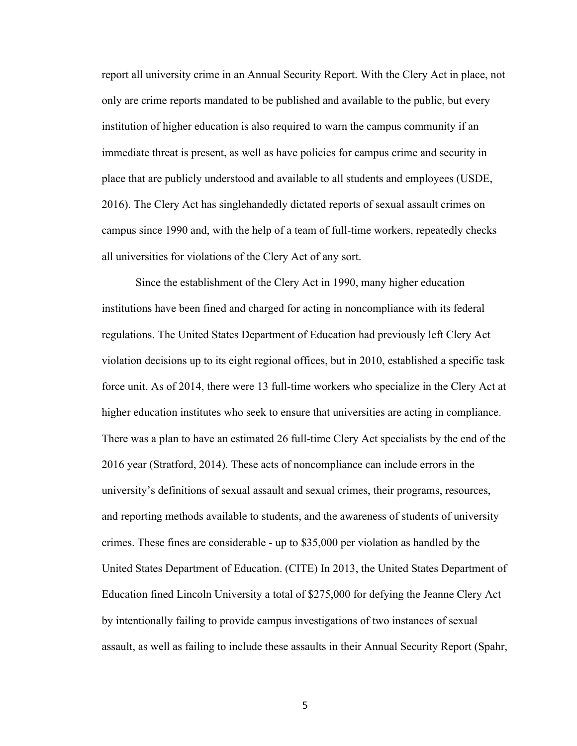report all university crime in an Annual Security Report. With the Clery Act in place, not only are crime reports mandated to be published and available to the public, but every institution of higher education is also required to warn the campus community if an immediate threat is present, as well as have policies for campus crime and security in place that are publicly understood and available to all students and employees (USDE, 2016). The Clery Act has singlehandedly dictated reports of sexual assault crimes on campus since 1990 and, with the help of a team of full-time workers, repeatedly checks all universities for violations of the Clery Act of any sort.

Since the establishment of the Clery Act in 1990, many higher education institutions have been fined and charged for acting in noncompliance with its federal regulations. The United States Department of Education had previously left Clery Act violation decisions up to its eight regional offices, but in 2010, established a specific task force unit. As of 2014, there were 13 full-time workers who specialize in the Clery Act at higher education institutes who seek to ensure that universities are acting in compliance. There was a plan to have an estimated 26 full-time Clery Act specialists by the end of the 2016 year (Stratford, 2014). These acts of noncompliance can include errors in the university's definitions of sexual assault and sexual crimes, their programs, resources, and reporting methods available to students, and the awareness of students of university crimes. These fines are considerable - up to \$35,000 per violation as handled by the United States Department of Education. (CITE) In 2013, the United States Department of Education fined Lincoln University a total of \$275,000 for defying the Jeanne Clery Act by intentionally failing to provide campus investigations of two instances of sexual assault, as well as failing to include these assaults in their Annual Security Report (Spahr,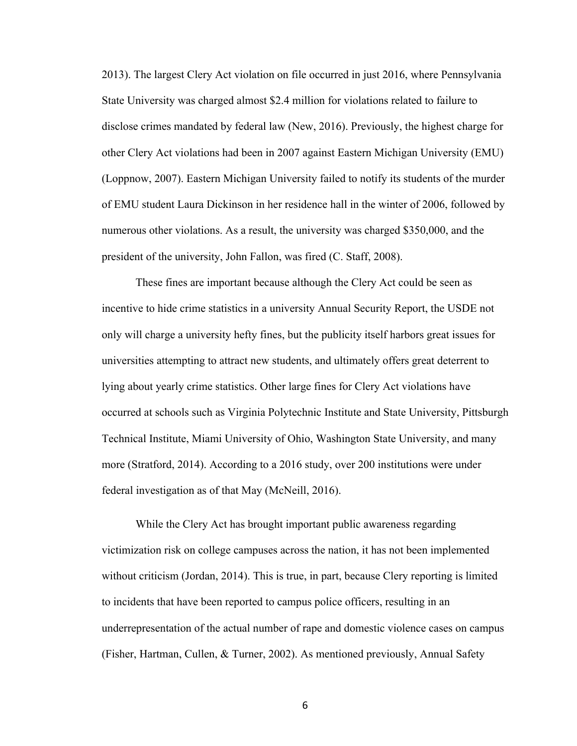2013). The largest Clery Act violation on file occurred in just 2016, where Pennsylvania State University was charged almost \$2.4 million for violations related to failure to disclose crimes mandated by federal law (New, 2016). Previously, the highest charge for other Clery Act violations had been in 2007 against Eastern Michigan University (EMU) (Loppnow, 2007). Eastern Michigan University failed to notify its students of the murder of EMU student Laura Dickinson in her residence hall in the winter of 2006, followed by numerous other violations. As a result, the university was charged \$350,000, and the president of the university, John Fallon, was fired (C. Staff, 2008).

These fines are important because although the Clery Act could be seen as incentive to hide crime statistics in a university Annual Security Report, the USDE not only will charge a university hefty fines, but the publicity itself harbors great issues for universities attempting to attract new students, and ultimately offers great deterrent to lying about yearly crime statistics. Other large fines for Clery Act violations have occurred at schools such as Virginia Polytechnic Institute and State University, Pittsburgh Technical Institute, Miami University of Ohio, Washington State University, and many more (Stratford, 2014). According to a 2016 study, over 200 institutions were under federal investigation as of that May (McNeill, 2016).

While the Clery Act has brought important public awareness regarding victimization risk on college campuses across the nation, it has not been implemented without criticism (Jordan, 2014). This is true, in part, because Clery reporting is limited to incidents that have been reported to campus police officers, resulting in an underrepresentation of the actual number of rape and domestic violence cases on campus (Fisher, Hartman, Cullen, & Turner, 2002). As mentioned previously, Annual Safety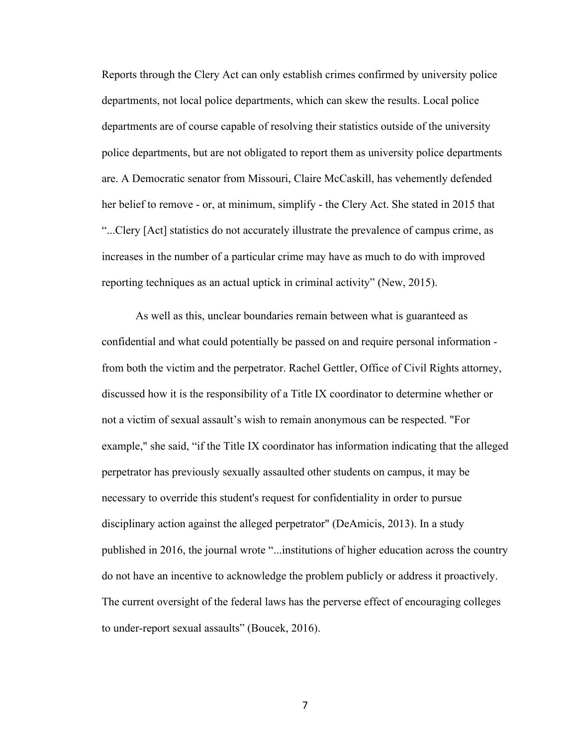Reports through the Clery Act can only establish crimes confirmed by university police departments, not local police departments, which can skew the results. Local police departments are of course capable of resolving their statistics outside of the university police departments, but are not obligated to report them as university police departments are. A Democratic senator from Missouri, Claire McCaskill, has vehemently defended her belief to remove - or, at minimum, simplify - the Clery Act. She stated in 2015 that "...Clery [Act] statistics do not accurately illustrate the prevalence of campus crime, as increases in the number of a particular crime may have as much to do with improved reporting techniques as an actual uptick in criminal activity" (New, 2015).

As well as this, unclear boundaries remain between what is guaranteed as confidential and what could potentially be passed on and require personal information from both the victim and the perpetrator. Rachel Gettler, Office of Civil Rights attorney, discussed how it is the responsibility of a Title IX coordinator to determine whether or not a victim of sexual assault's wish to remain anonymous can be respected. "For example," she said, "if the Title IX coordinator has information indicating that the alleged perpetrator has previously sexually assaulted other students on campus, it may be necessary to override this student's request for confidentiality in order to pursue disciplinary action against the alleged perpetrator" (DeAmicis, 2013). In a study published in 2016, the journal wrote "...institutions of higher education across the country do not have an incentive to acknowledge the problem publicly or address it proactively. The current oversight of the federal laws has the perverse effect of encouraging colleges to under-report sexual assaults" (Boucek, 2016).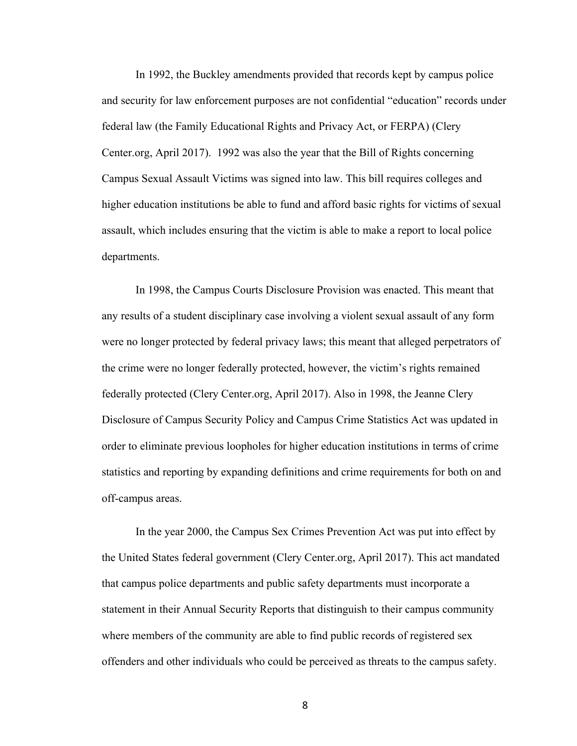In 1992, the Buckley amendments provided that records kept by campus police and security for law enforcement purposes are not confidential "education" records under federal law (the Family Educational Rights and Privacy Act, or FERPA) (Clery Center.org, April 2017). 1992 was also the year that the Bill of Rights concerning Campus Sexual Assault Victims was signed into law. This bill requires colleges and higher education institutions be able to fund and afford basic rights for victims of sexual assault, which includes ensuring that the victim is able to make a report to local police departments.

In 1998, the Campus Courts Disclosure Provision was enacted. This meant that any results of a student disciplinary case involving a violent sexual assault of any form were no longer protected by federal privacy laws; this meant that alleged perpetrators of the crime were no longer federally protected, however, the victim's rights remained federally protected (Clery Center.org, April 2017). Also in 1998, the Jeanne Clery Disclosure of Campus Security Policy and Campus Crime Statistics Act was updated in order to eliminate previous loopholes for higher education institutions in terms of crime statistics and reporting by expanding definitions and crime requirements for both on and off-campus areas.

In the year 2000, the Campus Sex Crimes Prevention Act was put into effect by the United States federal government (Clery Center.org, April 2017). This act mandated that campus police departments and public safety departments must incorporate a statement in their Annual Security Reports that distinguish to their campus community where members of the community are able to find public records of registered sex offenders and other individuals who could be perceived as threats to the campus safety.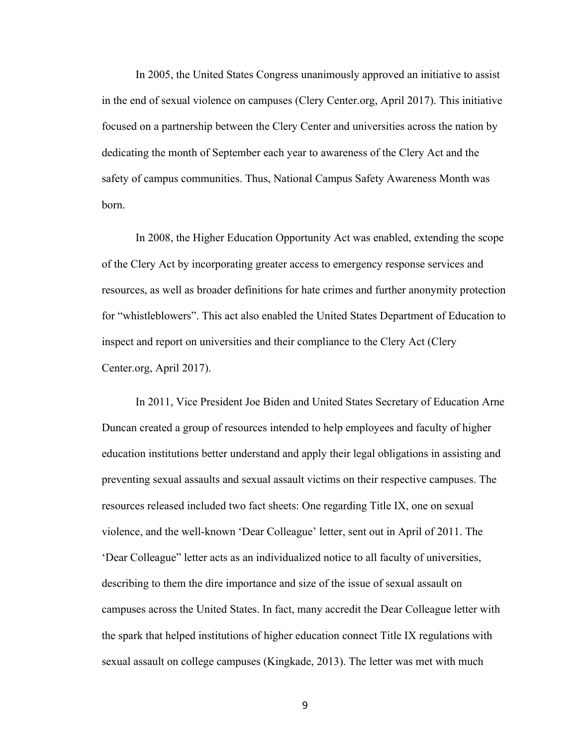In 2005, the United States Congress unanimously approved an initiative to assist in the end of sexual violence on campuses (Clery Center.org, April 2017). This initiative focused on a partnership between the Clery Center and universities across the nation by dedicating the month of September each year to awareness of the Clery Act and the safety of campus communities. Thus, National Campus Safety Awareness Month was born.

In 2008, the Higher Education Opportunity Act was enabled, extending the scope of the Clery Act by incorporating greater access to emergency response services and resources, as well as broader definitions for hate crimes and further anonymity protection for "whistleblowers". This act also enabled the United States Department of Education to inspect and report on universities and their compliance to the Clery Act (Clery Center.org, April 2017).

In 2011, Vice President Joe Biden and United States Secretary of Education Arne Duncan created a group of resources intended to help employees and faculty of higher education institutions better understand and apply their legal obligations in assisting and preventing sexual assaults and sexual assault victims on their respective campuses. The resources released included two fact sheets: One regarding Title IX, one on sexual violence, and the well-known 'Dear Colleague' letter, sent out in April of 2011. The 'Dear Colleague" letter acts as an individualized notice to all faculty of universities, describing to them the dire importance and size of the issue of sexual assault on campuses across the United States. In fact, many accredit the Dear Colleague letter with the spark that helped institutions of higher education connect Title IX regulations with sexual assault on college campuses (Kingkade, 2013). The letter was met with much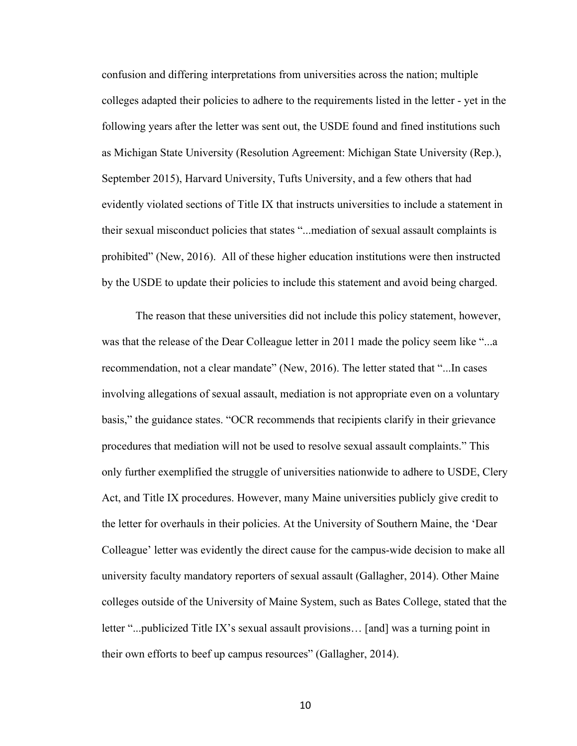confusion and differing interpretations from universities across the nation; multiple colleges adapted their policies to adhere to the requirements listed in the letter - yet in the following years after the letter was sent out, the USDE found and fined institutions such as Michigan State University (Resolution Agreement: Michigan State University (Rep.), September 2015), Harvard University, Tufts University, and a few others that had evidently violated sections of Title IX that instructs universities to include a statement in their sexual misconduct policies that states "...mediation of sexual assault complaints is prohibited" (New, 2016). All of these higher education institutions were then instructed by the USDE to update their policies to include this statement and avoid being charged.

The reason that these universities did not include this policy statement, however, was that the release of the Dear Colleague letter in 2011 made the policy seem like "...a recommendation, not a clear mandate" (New, 2016). The letter stated that "...In cases involving allegations of sexual assault, mediation is not appropriate even on a voluntary basis," the guidance states. "OCR recommends that recipients clarify in their grievance procedures that mediation will not be used to resolve sexual assault complaints." This only further exemplified the struggle of universities nationwide to adhere to USDE, Clery Act, and Title IX procedures. However, many Maine universities publicly give credit to the letter for overhauls in their policies. At the University of Southern Maine, the 'Dear Colleague' letter was evidently the direct cause for the campus-wide decision to make all university faculty mandatory reporters of sexual assault (Gallagher, 2014). Other Maine colleges outside of the University of Maine System, such as Bates College, stated that the letter "...publicized Title IX's sexual assault provisions… [and] was a turning point in their own efforts to beef up campus resources" (Gallagher, 2014).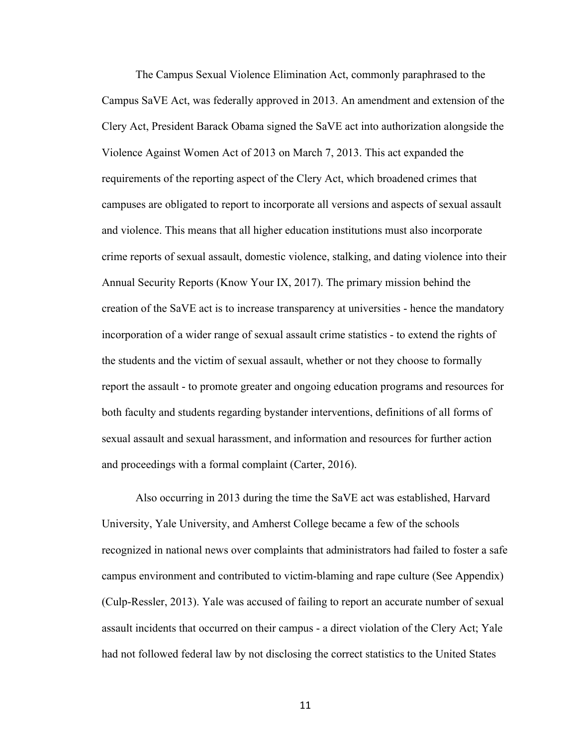The Campus Sexual Violence Elimination Act, commonly paraphrased to the Campus SaVE Act, was federally approved in 2013. An amendment and extension of the Clery Act, President Barack Obama signed the SaVE act into authorization alongside the Violence Against Women Act of 2013 on March 7, 2013. This act expanded the requirements of the reporting aspect of the Clery Act, which broadened crimes that campuses are obligated to report to incorporate all versions and aspects of sexual assault and violence. This means that all higher education institutions must also incorporate crime reports of sexual assault, domestic violence, stalking, and dating violence into their Annual Security Reports (Know Your IX, 2017). The primary mission behind the creation of the SaVE act is to increase transparency at universities - hence the mandatory incorporation of a wider range of sexual assault crime statistics - to extend the rights of the students and the victim of sexual assault, whether or not they choose to formally report the assault - to promote greater and ongoing education programs and resources for both faculty and students regarding bystander interventions, definitions of all forms of sexual assault and sexual harassment, and information and resources for further action and proceedings with a formal complaint (Carter, 2016).

Also occurring in 2013 during the time the SaVE act was established, Harvard University, Yale University, and Amherst College became a few of the schools recognized in national news over complaints that administrators had failed to foster a safe campus environment and contributed to victim-blaming and rape culture (See Appendix) (Culp-Ressler, 2013). Yale was accused of failing to report an accurate number of sexual assault incidents that occurred on their campus - a direct violation of the Clery Act; Yale had not followed federal law by not disclosing the correct statistics to the United States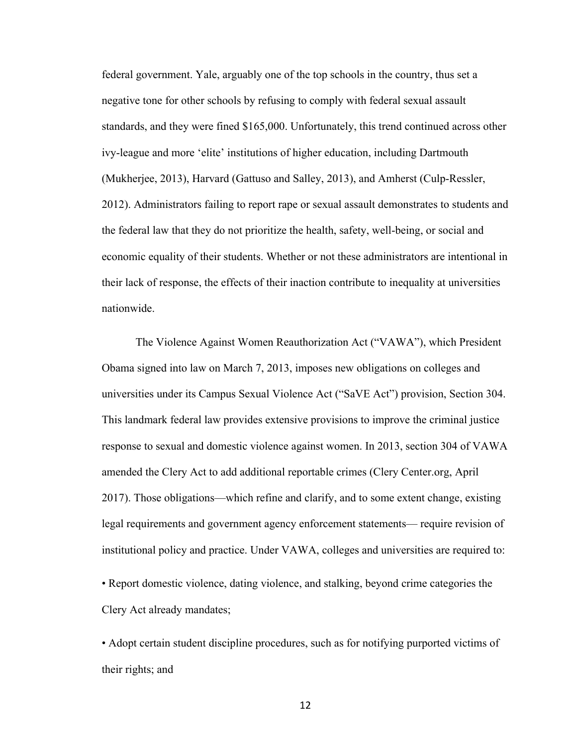federal government. Yale, arguably one of the top schools in the country, thus set a negative tone for other schools by refusing to comply with federal sexual assault standards, and they were fined \$165,000. Unfortunately, this trend continued across other ivy-league and more 'elite' institutions of higher education, including Dartmouth (Mukherjee, 2013), Harvard (Gattuso and Salley, 2013), and Amherst (Culp-Ressler, 2012). Administrators failing to report rape or sexual assault demonstrates to students and the federal law that they do not prioritize the health, safety, well-being, or social and economic equality of their students. Whether or not these administrators are intentional in their lack of response, the effects of their inaction contribute to inequality at universities nationwide.

The Violence Against Women Reauthorization Act ("VAWA"), which President Obama signed into law on March 7, 2013, imposes new obligations on colleges and universities under its Campus Sexual Violence Act ("SaVE Act") provision, Section 304. This landmark federal law provides extensive provisions to improve the criminal justice response to sexual and domestic violence against women. In 2013, section 304 of VAWA amended the Clery Act to add additional reportable crimes (Clery Center.org, April 2017). Those obligations—which refine and clarify, and to some extent change, existing legal requirements and government agency enforcement statements— require revision of institutional policy and practice. Under VAWA, colleges and universities are required to:

• Report domestic violence, dating violence, and stalking, beyond crime categories the Clery Act already mandates;

• Adopt certain student discipline procedures, such as for notifying purported victims of their rights; and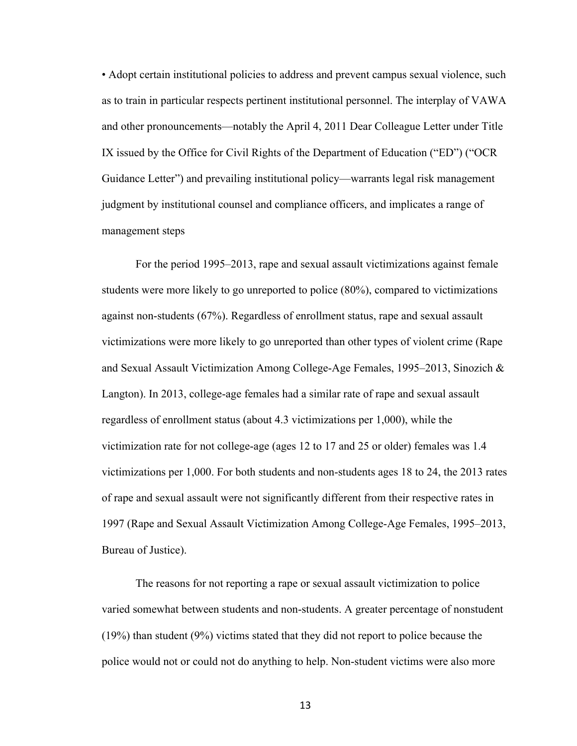• Adopt certain institutional policies to address and prevent campus sexual violence, such as to train in particular respects pertinent institutional personnel. The interplay of VAWA and other pronouncements—notably the April 4, 2011 Dear Colleague Letter under Title IX issued by the Office for Civil Rights of the Department of Education ("ED") ("OCR Guidance Letter") and prevailing institutional policy—warrants legal risk management judgment by institutional counsel and compliance officers, and implicates a range of management steps

For the period 1995–2013, rape and sexual assault victimizations against female students were more likely to go unreported to police (80%), compared to victimizations against non-students (67%). Regardless of enrollment status, rape and sexual assault victimizations were more likely to go unreported than other types of violent crime (Rape and Sexual Assault Victimization Among College-Age Females, 1995–2013, Sinozich & Langton). In 2013, college-age females had a similar rate of rape and sexual assault regardless of enrollment status (about 4.3 victimizations per 1,000), while the victimization rate for not college-age (ages 12 to 17 and 25 or older) females was 1.4 victimizations per 1,000. For both students and non-students ages 18 to 24, the 2013 rates of rape and sexual assault were not significantly different from their respective rates in 1997 (Rape and Sexual Assault Victimization Among College-Age Females, 1995–2013, Bureau of Justice).

The reasons for not reporting a rape or sexual assault victimization to police varied somewhat between students and non-students. A greater percentage of nonstudent (19%) than student (9%) victims stated that they did not report to police because the police would not or could not do anything to help. Non-student victims were also more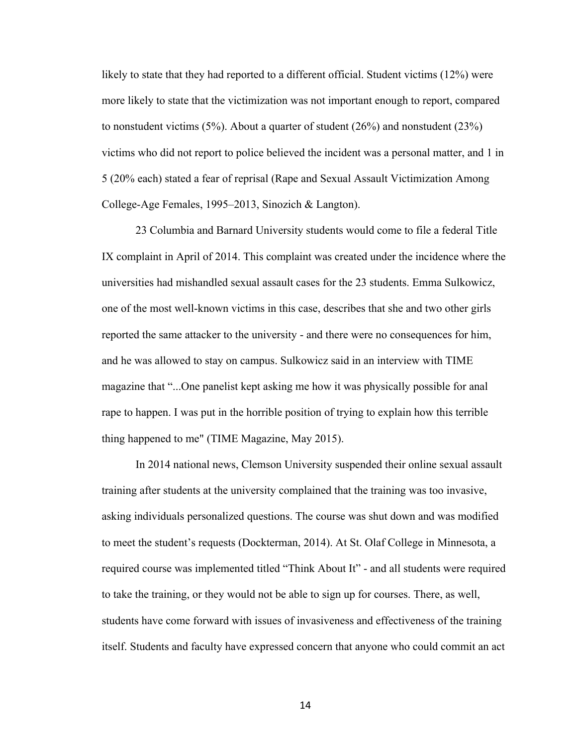likely to state that they had reported to a different official. Student victims (12%) were more likely to state that the victimization was not important enough to report, compared to nonstudent victims  $(5\%)$ . About a quarter of student  $(26\%)$  and nonstudent  $(23\%)$ victims who did not report to police believed the incident was a personal matter, and 1 in 5 (20% each) stated a fear of reprisal (Rape and Sexual Assault Victimization Among College-Age Females, 1995–2013, Sinozich & Langton).

23 Columbia and Barnard University students would come to file a federal Title IX complaint in April of 2014. This complaint was created under the incidence where the universities had mishandled sexual assault cases for the 23 students. Emma Sulkowicz, one of the most well-known victims in this case, describes that she and two other girls reported the same attacker to the university - and there were no consequences for him, and he was allowed to stay on campus. Sulkowicz said in an interview with TIME magazine that "...One panelist kept asking me how it was physically possible for anal rape to happen. I was put in the horrible position of trying to explain how this terrible thing happened to me" (TIME Magazine, May 2015).

In 2014 national news, Clemson University suspended their online sexual assault training after students at the university complained that the training was too invasive, asking individuals personalized questions. The course was shut down and was modified to meet the student's requests (Dockterman, 2014). At St. Olaf College in Minnesota, a required course was implemented titled "Think About It" - and all students were required to take the training, or they would not be able to sign up for courses. There, as well, students have come forward with issues of invasiveness and effectiveness of the training itself. Students and faculty have expressed concern that anyone who could commit an act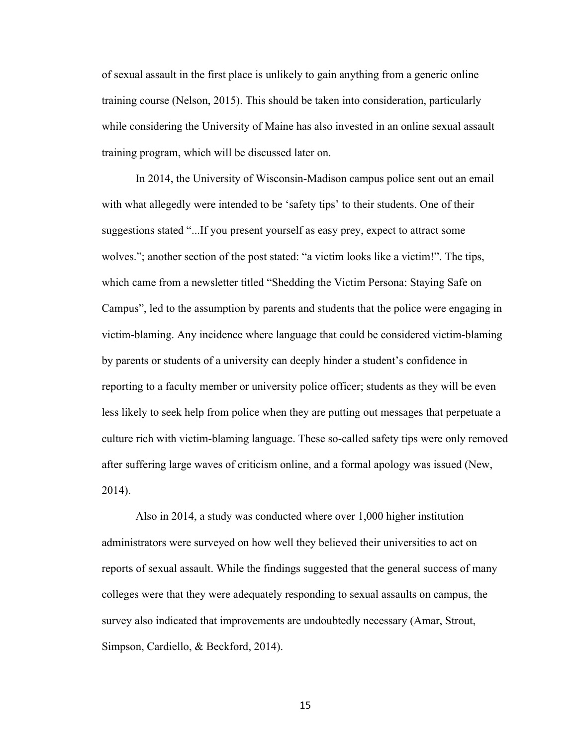of sexual assault in the first place is unlikely to gain anything from a generic online training course (Nelson, 2015). This should be taken into consideration, particularly while considering the University of Maine has also invested in an online sexual assault training program, which will be discussed later on.

In 2014, the University of Wisconsin-Madison campus police sent out an email with what allegedly were intended to be 'safety tips' to their students. One of their suggestions stated "...If you present yourself as easy prey, expect to attract some wolves."; another section of the post stated: "a victim looks like a victim!". The tips, which came from a newsletter titled "Shedding the Victim Persona: Staying Safe on Campus", led to the assumption by parents and students that the police were engaging in victim-blaming. Any incidence where language that could be considered victim-blaming by parents or students of a university can deeply hinder a student's confidence in reporting to a faculty member or university police officer; students as they will be even less likely to seek help from police when they are putting out messages that perpetuate a culture rich with victim-blaming language. These so-called safety tips were only removed after suffering large waves of criticism online, and a formal apology was issued (New, 2014).

Also in 2014, a study was conducted where over 1,000 higher institution administrators were surveyed on how well they believed their universities to act on reports of sexual assault. While the findings suggested that the general success of many colleges were that they were adequately responding to sexual assaults on campus, the survey also indicated that improvements are undoubtedly necessary (Amar, Strout, Simpson, Cardiello, & Beckford, 2014).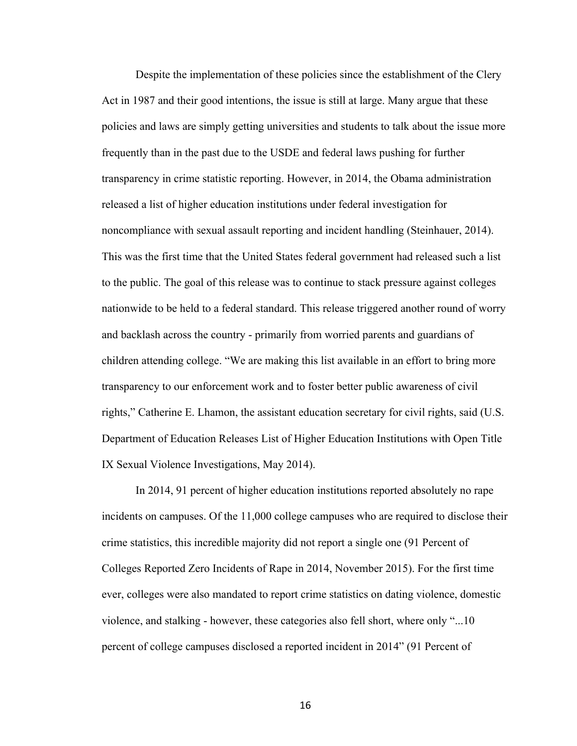Despite the implementation of these policies since the establishment of the Clery Act in 1987 and their good intentions, the issue is still at large. Many argue that these policies and laws are simply getting universities and students to talk about the issue more frequently than in the past due to the USDE and federal laws pushing for further transparency in crime statistic reporting. However, in 2014, the Obama administration released a list of higher education institutions under federal investigation for noncompliance with sexual assault reporting and incident handling (Steinhauer, 2014). This was the first time that the United States federal government had released such a list to the public. The goal of this release was to continue to stack pressure against colleges nationwide to be held to a federal standard. This release triggered another round of worry and backlash across the country - primarily from worried parents and guardians of children attending college. "We are making this list available in an effort to bring more transparency to our enforcement work and to foster better public awareness of civil rights," Catherine E. Lhamon, the assistant education secretary for civil rights, said (U.S. Department of Education Releases List of Higher Education Institutions with Open Title IX Sexual Violence Investigations, May 2014).

In 2014, 91 percent of higher education institutions reported absolutely no rape incidents on campuses. Of the 11,000 college campuses who are required to disclose their crime statistics, this incredible majority did not report a single one (91 Percent of Colleges Reported Zero Incidents of Rape in 2014, November 2015). For the first time ever, colleges were also mandated to report crime statistics on dating violence, domestic violence, and stalking - however, these categories also fell short, where only "...10 percent of college campuses disclosed a reported incident in 2014" (91 Percent of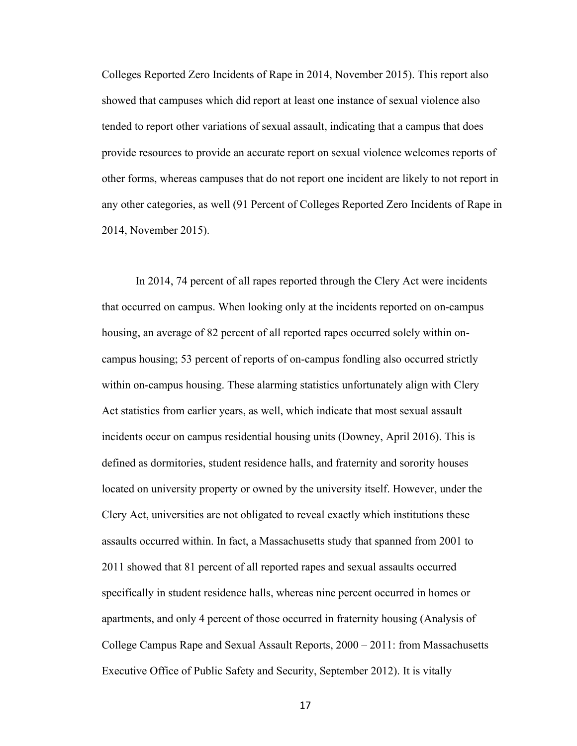Colleges Reported Zero Incidents of Rape in 2014, November 2015). This report also showed that campuses which did report at least one instance of sexual violence also tended to report other variations of sexual assault, indicating that a campus that does provide resources to provide an accurate report on sexual violence welcomes reports of other forms, whereas campuses that do not report one incident are likely to not report in any other categories, as well (91 Percent of Colleges Reported Zero Incidents of Rape in 2014, November 2015).

In 2014, 74 percent of all rapes reported through the Clery Act were incidents that occurred on campus. When looking only at the incidents reported on on-campus housing, an average of 82 percent of all reported rapes occurred solely within oncampus housing; 53 percent of reports of on-campus fondling also occurred strictly within on-campus housing. These alarming statistics unfortunately align with Clery Act statistics from earlier years, as well, which indicate that most sexual assault incidents occur on campus residential housing units (Downey, April 2016). This is defined as dormitories, student residence halls, and fraternity and sorority houses located on university property or owned by the university itself. However, under the Clery Act, universities are not obligated to reveal exactly which institutions these assaults occurred within. In fact, a Massachusetts study that spanned from 2001 to 2011 showed that 81 percent of all reported rapes and sexual assaults occurred specifically in student residence halls, whereas nine percent occurred in homes or apartments, and only 4 percent of those occurred in fraternity housing (Analysis of College Campus Rape and Sexual Assault Reports, 2000 – 2011: from Massachusetts Executive Office of Public Safety and Security, September 2012). It is vitally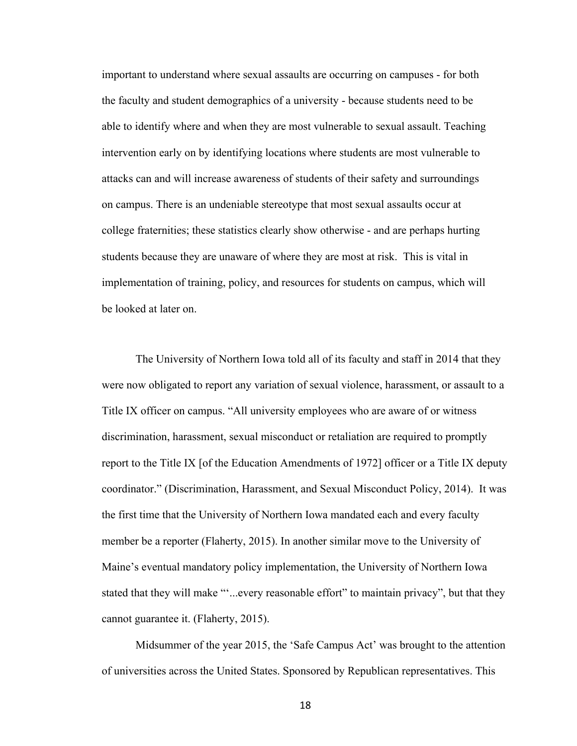important to understand where sexual assaults are occurring on campuses - for both the faculty and student demographics of a university - because students need to be able to identify where and when they are most vulnerable to sexual assault. Teaching intervention early on by identifying locations where students are most vulnerable to attacks can and will increase awareness of students of their safety and surroundings on campus. There is an undeniable stereotype that most sexual assaults occur at college fraternities; these statistics clearly show otherwise - and are perhaps hurting students because they are unaware of where they are most at risk. This is vital in implementation of training, policy, and resources for students on campus, which will be looked at later on.

The University of Northern Iowa told all of its faculty and staff in 2014 that they were now obligated to report any variation of sexual violence, harassment, or assault to a Title IX officer on campus. "All university employees who are aware of or witness discrimination, harassment, sexual misconduct or retaliation are required to promptly report to the Title IX [of the Education Amendments of 1972] officer or a Title IX deputy coordinator." (Discrimination, Harassment, and Sexual Misconduct Policy, 2014). It was the first time that the University of Northern Iowa mandated each and every faculty member be a reporter (Flaherty, 2015). In another similar move to the University of Maine's eventual mandatory policy implementation, the University of Northern Iowa stated that they will make "'...every reasonable effort" to maintain privacy", but that they cannot guarantee it. (Flaherty, 2015).

Midsummer of the year 2015, the 'Safe Campus Act' was brought to the attention of universities across the United States. Sponsored by Republican representatives. This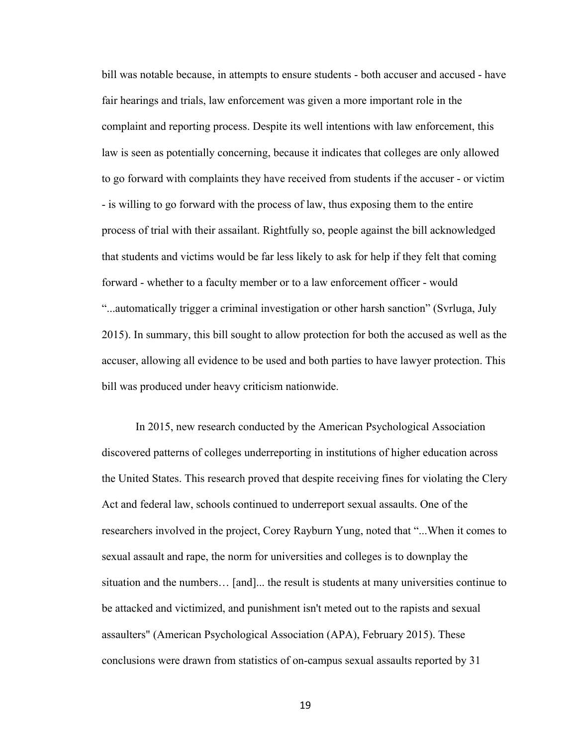bill was notable because, in attempts to ensure students - both accuser and accused - have fair hearings and trials, law enforcement was given a more important role in the complaint and reporting process. Despite its well intentions with law enforcement, this law is seen as potentially concerning, because it indicates that colleges are only allowed to go forward with complaints they have received from students if the accuser - or victim - is willing to go forward with the process of law, thus exposing them to the entire process of trial with their assailant. Rightfully so, people against the bill acknowledged that students and victims would be far less likely to ask for help if they felt that coming forward - whether to a faculty member or to a law enforcement officer - would "...automatically trigger a criminal investigation or other harsh sanction" (Svrluga, July 2015). In summary, this bill sought to allow protection for both the accused as well as the accuser, allowing all evidence to be used and both parties to have lawyer protection. This bill was produced under heavy criticism nationwide.

In 2015, new research conducted by the American Psychological Association discovered patterns of colleges underreporting in institutions of higher education across the United States. This research proved that despite receiving fines for violating the Clery Act and federal law, schools continued to underreport sexual assaults. One of the researchers involved in the project, Corey Rayburn Yung, noted that "...When it comes to sexual assault and rape, the norm for universities and colleges is to downplay the situation and the numbers… [and]... the result is students at many universities continue to be attacked and victimized, and punishment isn't meted out to the rapists and sexual assaulters" (American Psychological Association (APA), February 2015). These conclusions were drawn from statistics of on-campus sexual assaults reported by 31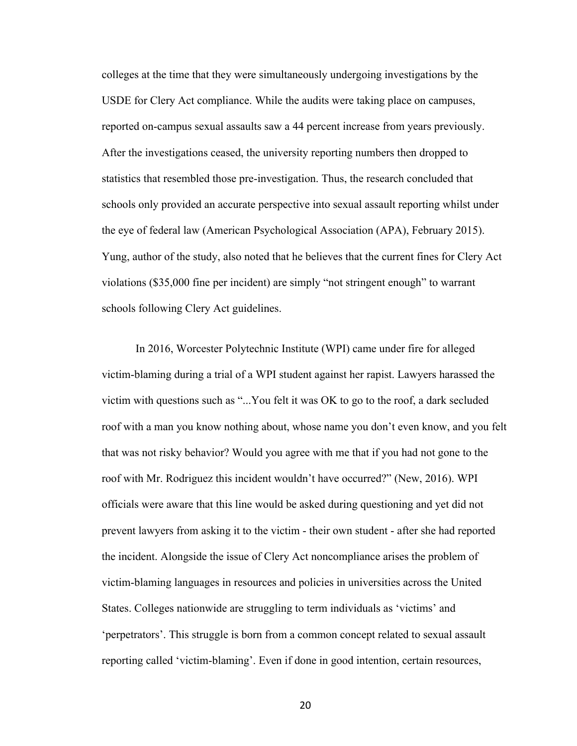colleges at the time that they were simultaneously undergoing investigations by the USDE for Clery Act compliance. While the audits were taking place on campuses, reported on-campus sexual assaults saw a 44 percent increase from years previously. After the investigations ceased, the university reporting numbers then dropped to statistics that resembled those pre-investigation. Thus, the research concluded that schools only provided an accurate perspective into sexual assault reporting whilst under the eye of federal law (American Psychological Association (APA), February 2015). Yung, author of the study, also noted that he believes that the current fines for Clery Act violations (\$35,000 fine per incident) are simply "not stringent enough" to warrant schools following Clery Act guidelines.

In 2016, Worcester Polytechnic Institute (WPI) came under fire for alleged victim-blaming during a trial of a WPI student against her rapist. Lawyers harassed the victim with questions such as "...You felt it was OK to go to the roof, a dark secluded roof with a man you know nothing about, whose name you don't even know, and you felt that was not risky behavior? Would you agree with me that if you had not gone to the roof with Mr. Rodriguez this incident wouldn't have occurred?" (New, 2016). WPI officials were aware that this line would be asked during questioning and yet did not prevent lawyers from asking it to the victim - their own student - after she had reported the incident. Alongside the issue of Clery Act noncompliance arises the problem of victim-blaming languages in resources and policies in universities across the United States. Colleges nationwide are struggling to term individuals as 'victims' and 'perpetrators'. This struggle is born from a common concept related to sexual assault reporting called 'victim-blaming'. Even if done in good intention, certain resources,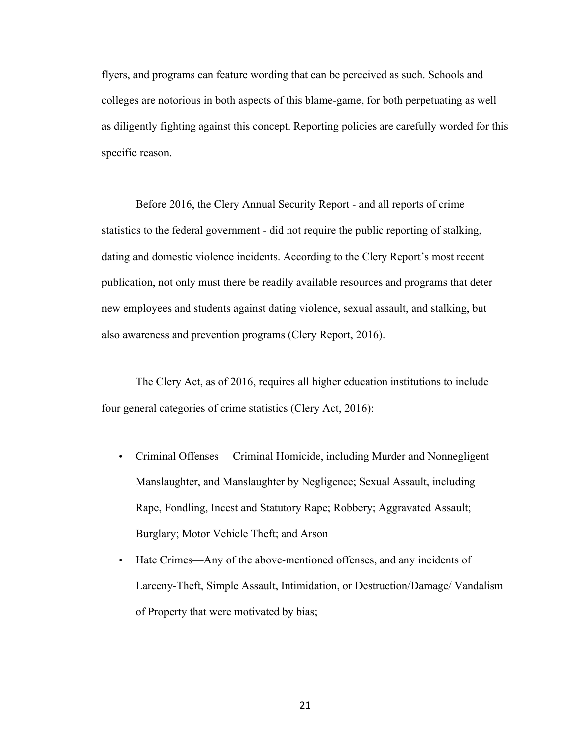flyers, and programs can feature wording that can be perceived as such. Schools and colleges are notorious in both aspects of this blame-game, for both perpetuating as well as diligently fighting against this concept. Reporting policies are carefully worded for this specific reason.

Before 2016, the Clery Annual Security Report - and all reports of crime statistics to the federal government - did not require the public reporting of stalking, dating and domestic violence incidents. According to the Clery Report's most recent publication, not only must there be readily available resources and programs that deter new employees and students against dating violence, sexual assault, and stalking, but also awareness and prevention programs (Clery Report, 2016).

The Clery Act, as of 2016, requires all higher education institutions to include four general categories of crime statistics (Clery Act, 2016):

- Criminal Offenses —Criminal Homicide, including Murder and Nonnegligent Manslaughter, and Manslaughter by Negligence; Sexual Assault, including Rape, Fondling, Incest and Statutory Rape; Robbery; Aggravated Assault; Burglary; Motor Vehicle Theft; and Arson
- Hate Crimes—Any of the above-mentioned offenses, and any incidents of Larceny-Theft, Simple Assault, Intimidation, or Destruction/Damage/ Vandalism of Property that were motivated by bias;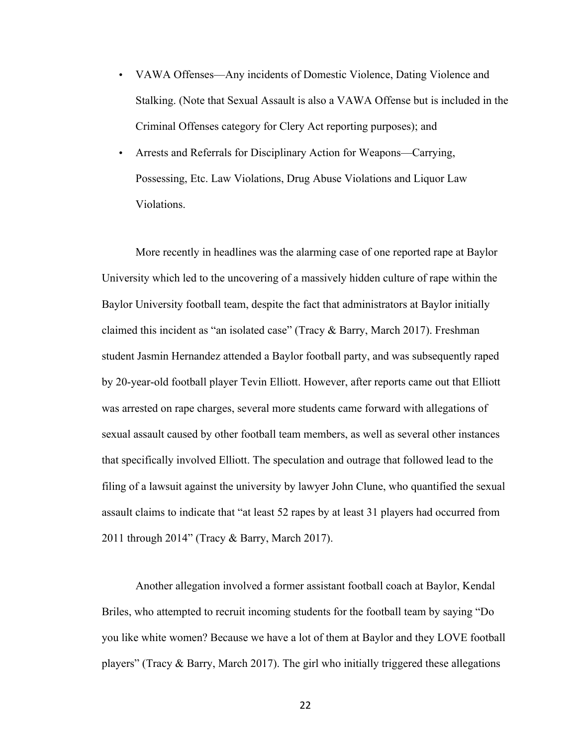- VAWA Offenses—Any incidents of Domestic Violence, Dating Violence and Stalking. (Note that Sexual Assault is also a VAWA Offense but is included in the Criminal Offenses category for Clery Act reporting purposes); and
- Arrests and Referrals for Disciplinary Action for Weapons—Carrying, Possessing, Etc. Law Violations, Drug Abuse Violations and Liquor Law Violations.

More recently in headlines was the alarming case of one reported rape at Baylor University which led to the uncovering of a massively hidden culture of rape within the Baylor University football team, despite the fact that administrators at Baylor initially claimed this incident as "an isolated case" (Tracy & Barry, March 2017). Freshman student Jasmin Hernandez attended a Baylor football party, and was subsequently raped by 20-year-old football player Tevin Elliott. However, after reports came out that Elliott was arrested on rape charges, several more students came forward with allegations of sexual assault caused by other football team members, as well as several other instances that specifically involved Elliott. The speculation and outrage that followed lead to the filing of a lawsuit against the university by lawyer John Clune, who quantified the sexual assault claims to indicate that "at least 52 rapes by at least 31 players had occurred from 2011 through 2014" (Tracy & Barry, March 2017).

Another allegation involved a former assistant football coach at Baylor, Kendal Briles, who attempted to recruit incoming students for the football team by saying "Do you like white women? Because we have a lot of them at Baylor and they LOVE football players" (Tracy  $\&$  Barry, March 2017). The girl who initially triggered these allegations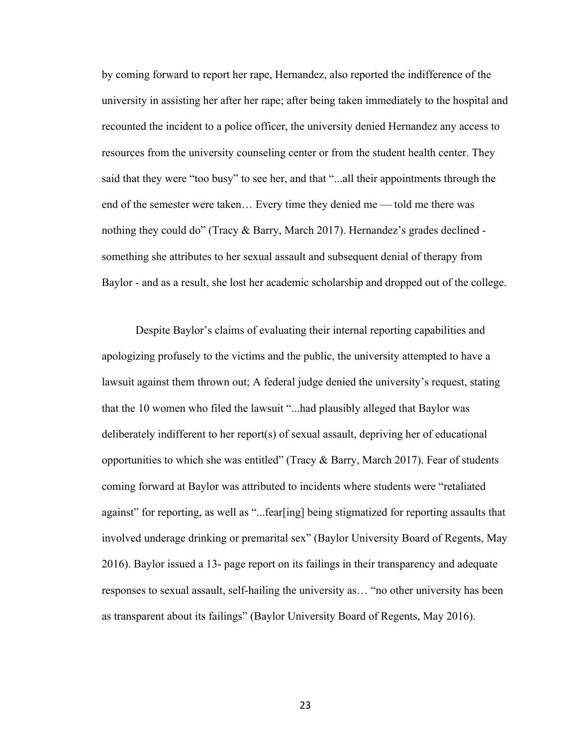by coming forward to report her rape, Hernandez, also reported the indifference of the university in assisting her after her rape; after being taken immediately to the hospital and recounted the incident to a police officer, the university denied Hernandez any access to resources from the university counseling center or from the student health center. They said that they were "too busy" to see her, and that "...all their appointments through the end of the semester were taken… Every time they denied me — told me there was nothing they could do" (Tracy & Barry, March 2017). Hernandez's grades declined something she attributes to her sexual assault and subsequent denial of therapy from Baylor - and as a result, she lost her academic scholarship and dropped out of the college.

Despite Baylor's claims of evaluating their internal reporting capabilities and apologizing profusely to the victims and the public, the university attempted to have a lawsuit against them thrown out; A federal judge denied the university's request, stating that the 10 women who filed the lawsuit "...had plausibly alleged that Baylor was deliberately indifferent to her report(s) of sexual assault, depriving her of educational opportunities to which she was entitled" (Tracy & Barry, March 2017). Fear of students coming forward at Baylor was attributed to incidents where students were "retaliated against" for reporting, as well as "...fear[ing] being stigmatized for reporting assaults that involved underage drinking or premarital sex" (Baylor University Board of Regents, May 2016). Baylor issued a 13- page report on its failings in their transparency and adequate responses to sexual assault, self-hailing the university as… "no other university has been as transparent about its failings" (Baylor University Board of Regents, May 2016).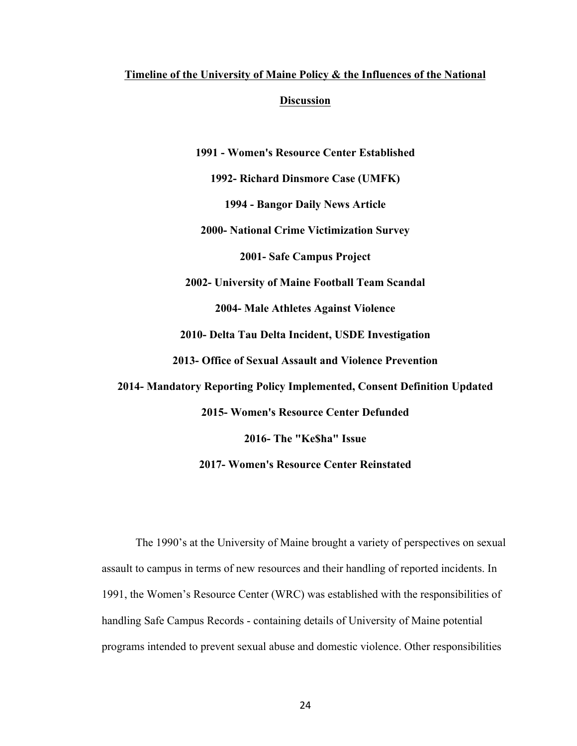## **Timeline of the University of Maine Policy & the Influences of the National Discussion**

**1991 - Women's Resource Center Established**

**1992- Richard Dinsmore Case (UMFK)**

**1994 - Bangor Daily News Article**

**2000- National Crime Victimization Survey**

**2001- Safe Campus Project**

**2002- University of Maine Football Team Scandal**

**2004- Male Athletes Against Violence**

**2010- Delta Tau Delta Incident, USDE Investigation**

**2013- Office of Sexual Assault and Violence Prevention**

**2014- Mandatory Reporting Policy Implemented, Consent Definition Updated**

**2015- Women's Resource Center Defunded**

**2016- The "Ke\$ha" Issue**

**2017- Women's Resource Center Reinstated**

The 1990's at the University of Maine brought a variety of perspectives on sexual assault to campus in terms of new resources and their handling of reported incidents. In 1991, the Women's Resource Center (WRC) was established with the responsibilities of handling Safe Campus Records - containing details of University of Maine potential programs intended to prevent sexual abuse and domestic violence. Other responsibilities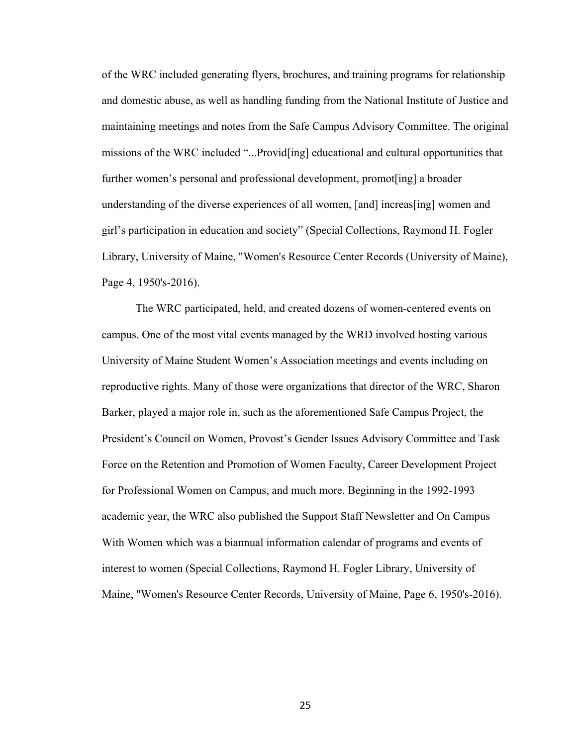of the WRC included generating flyers, brochures, and training programs for relationship and domestic abuse, as well as handling funding from the National Institute of Justice and maintaining meetings and notes from the Safe Campus Advisory Committee. The original missions of the WRC included "...Provid[ing] educational and cultural opportunities that further women's personal and professional development, promot[ing] a broader understanding of the diverse experiences of all women, [and] increas[ing] women and girl's participation in education and society" (Special Collections, Raymond H. Fogler Library, University of Maine, "Women's Resource Center Records (University of Maine), Page 4, 1950's-2016).

The WRC participated, held, and created dozens of women-centered events on campus. One of the most vital events managed by the WRD involved hosting various University of Maine Student Women's Association meetings and events including on reproductive rights. Many of those were organizations that director of the WRC, Sharon Barker, played a major role in, such as the aforementioned Safe Campus Project, the President's Council on Women, Provost's Gender Issues Advisory Committee and Task Force on the Retention and Promotion of Women Faculty, Career Development Project for Professional Women on Campus, and much more. Beginning in the 1992-1993 academic year, the WRC also published the Support Staff Newsletter and On Campus With Women which was a biannual information calendar of programs and events of interest to women (Special Collections, Raymond H. Fogler Library, University of Maine, "Women's Resource Center Records, University of Maine, Page 6, 1950's-2016).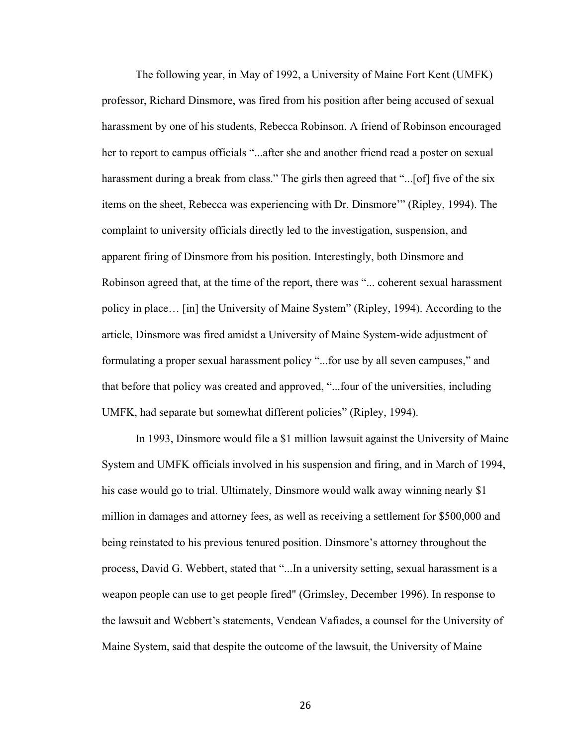The following year, in May of 1992, a University of Maine Fort Kent (UMFK) professor, Richard Dinsmore, was fired from his position after being accused of sexual harassment by one of his students, Rebecca Robinson. A friend of Robinson encouraged her to report to campus officials "...after she and another friend read a poster on sexual harassment during a break from class." The girls then agreed that "...[of] five of the six items on the sheet, Rebecca was experiencing with Dr. Dinsmore'" (Ripley, 1994). The complaint to university officials directly led to the investigation, suspension, and apparent firing of Dinsmore from his position. Interestingly, both Dinsmore and Robinson agreed that, at the time of the report, there was "... coherent sexual harassment policy in place… [in] the University of Maine System" (Ripley, 1994). According to the article, Dinsmore was fired amidst a University of Maine System-wide adjustment of formulating a proper sexual harassment policy "...for use by all seven campuses," and that before that policy was created and approved, "...four of the universities, including UMFK, had separate but somewhat different policies" (Ripley, 1994).

In 1993, Dinsmore would file a \$1 million lawsuit against the University of Maine System and UMFK officials involved in his suspension and firing, and in March of 1994, his case would go to trial. Ultimately, Dinsmore would walk away winning nearly \$1 million in damages and attorney fees, as well as receiving a settlement for \$500,000 and being reinstated to his previous tenured position. Dinsmore's attorney throughout the process, David G. Webbert, stated that "...In a university setting, sexual harassment is a weapon people can use to get people fired" (Grimsley, December 1996). In response to the lawsuit and Webbert's statements, Vendean Vafiades, a counsel for the University of Maine System, said that despite the outcome of the lawsuit, the University of Maine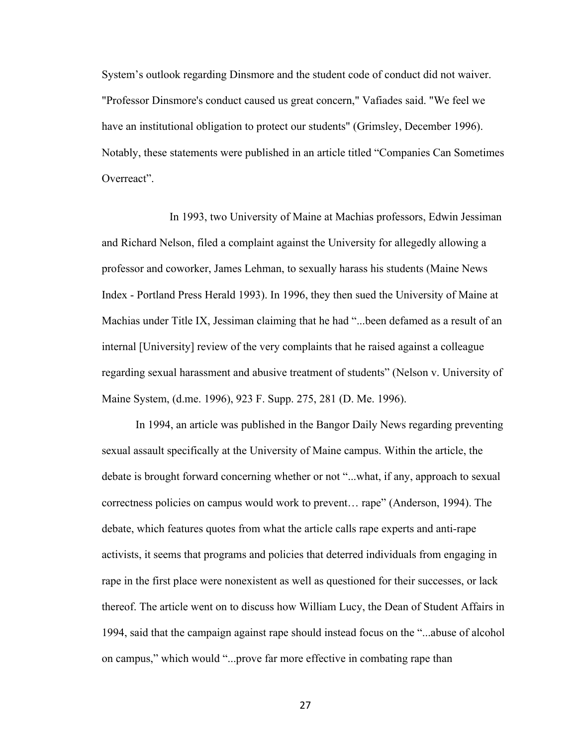System's outlook regarding Dinsmore and the student code of conduct did not waiver. "Professor Dinsmore's conduct caused us great concern," Vafiades said. "We feel we have an institutional obligation to protect our students" (Grimsley, December 1996). Notably, these statements were published in an article titled "Companies Can Sometimes Overreact".

In 1993, two University of Maine at Machias professors, Edwin Jessiman and Richard Nelson, filed a complaint against the University for allegedly allowing a professor and coworker, James Lehman, to sexually harass his students (Maine News Index - Portland Press Herald 1993). In 1996, they then sued the University of Maine at Machias under Title IX, Jessiman claiming that he had "...been defamed as a result of an internal [University] review of the very complaints that he raised against a colleague regarding sexual harassment and abusive treatment of students" (Nelson v. University of Maine System, (d.me. 1996), 923 F. Supp. 275, 281 (D. Me. 1996).

In 1994, an article was published in the Bangor Daily News regarding preventing sexual assault specifically at the University of Maine campus. Within the article, the debate is brought forward concerning whether or not "...what, if any, approach to sexual correctness policies on campus would work to prevent… rape" (Anderson, 1994). The debate, which features quotes from what the article calls rape experts and anti-rape activists, it seems that programs and policies that deterred individuals from engaging in rape in the first place were nonexistent as well as questioned for their successes, or lack thereof. The article went on to discuss how William Lucy, the Dean of Student Affairs in 1994, said that the campaign against rape should instead focus on the "...abuse of alcohol on campus," which would "...prove far more effective in combating rape than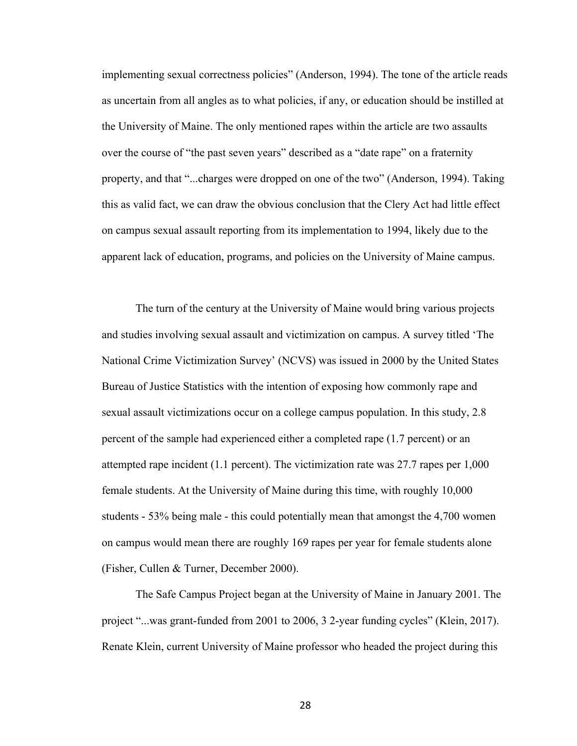implementing sexual correctness policies" (Anderson, 1994). The tone of the article reads as uncertain from all angles as to what policies, if any, or education should be instilled at the University of Maine. The only mentioned rapes within the article are two assaults over the course of "the past seven years" described as a "date rape" on a fraternity property, and that "...charges were dropped on one of the two" (Anderson, 1994). Taking this as valid fact, we can draw the obvious conclusion that the Clery Act had little effect on campus sexual assault reporting from its implementation to 1994, likely due to the apparent lack of education, programs, and policies on the University of Maine campus.

The turn of the century at the University of Maine would bring various projects and studies involving sexual assault and victimization on campus. A survey titled 'The National Crime Victimization Survey' (NCVS) was issued in 2000 by the United States Bureau of Justice Statistics with the intention of exposing how commonly rape and sexual assault victimizations occur on a college campus population. In this study, 2.8 percent of the sample had experienced either a completed rape (1.7 percent) or an attempted rape incident (1.1 percent). The victimization rate was 27.7 rapes per 1,000 female students. At the University of Maine during this time, with roughly 10,000 students - 53% being male - this could potentially mean that amongst the 4,700 women on campus would mean there are roughly 169 rapes per year for female students alone (Fisher, Cullen & Turner, December 2000).

The Safe Campus Project began at the University of Maine in January 2001. The project "...was grant-funded from 2001 to 2006, 3 2-year funding cycles" (Klein, 2017). Renate Klein, current University of Maine professor who headed the project during this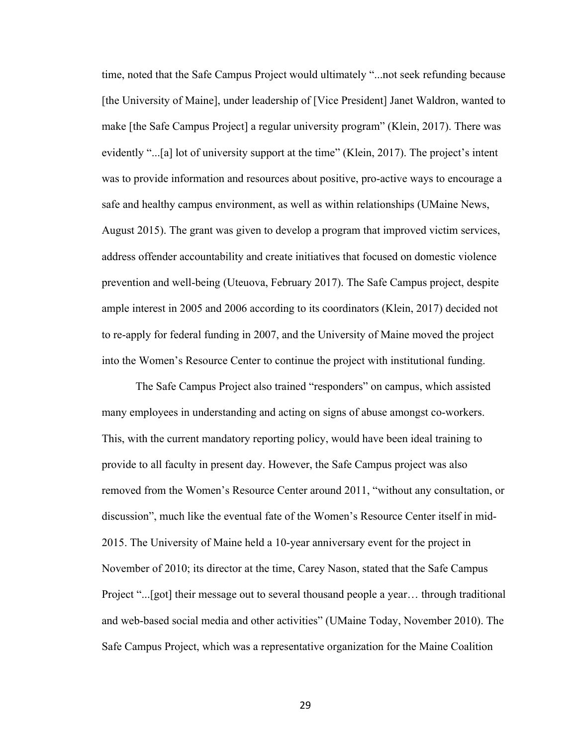time, noted that the Safe Campus Project would ultimately "...not seek refunding because [the University of Maine], under leadership of [Vice President] Janet Waldron, wanted to make [the Safe Campus Project] a regular university program" (Klein, 2017). There was evidently "...[a] lot of university support at the time" (Klein, 2017). The project's intent was to provide information and resources about positive, pro-active ways to encourage a safe and healthy campus environment, as well as within relationships (UMaine News, August 2015). The grant was given to develop a program that improved victim services, address offender accountability and create initiatives that focused on domestic violence prevention and well-being (Uteuova, February 2017). The Safe Campus project, despite ample interest in 2005 and 2006 according to its coordinators (Klein, 2017) decided not to re-apply for federal funding in 2007, and the University of Maine moved the project into the Women's Resource Center to continue the project with institutional funding.

The Safe Campus Project also trained "responders" on campus, which assisted many employees in understanding and acting on signs of abuse amongst co-workers. This, with the current mandatory reporting policy, would have been ideal training to provide to all faculty in present day. However, the Safe Campus project was also removed from the Women's Resource Center around 2011, "without any consultation, or discussion", much like the eventual fate of the Women's Resource Center itself in mid-2015. The University of Maine held a 10-year anniversary event for the project in November of 2010; its director at the time, Carey Nason, stated that the Safe Campus Project "...[got] their message out to several thousand people a year… through traditional and web-based social media and other activities" (UMaine Today, November 2010). The Safe Campus Project, which was a representative organization for the Maine Coalition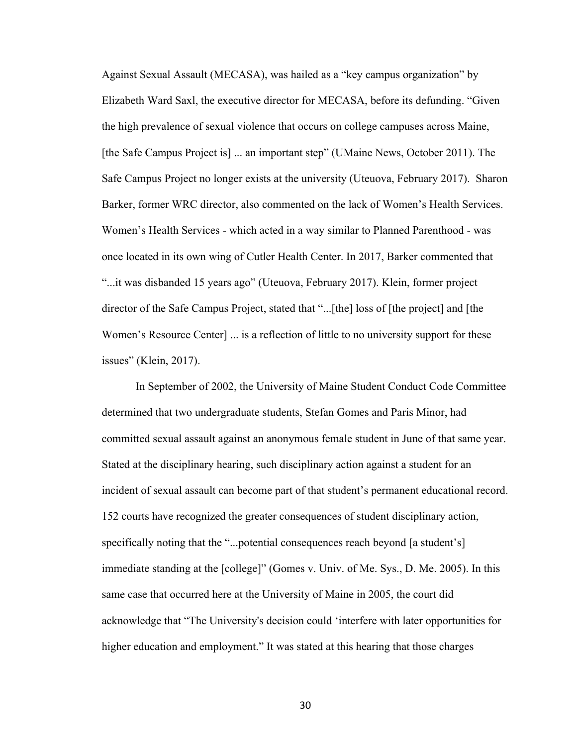Against Sexual Assault (MECASA), was hailed as a "key campus organization" by Elizabeth Ward Saxl, the executive director for MECASA, before its defunding. "Given the high prevalence of sexual violence that occurs on college campuses across Maine, [the Safe Campus Project is] ... an important step" (UMaine News, October 2011). The Safe Campus Project no longer exists at the university (Uteuova, February 2017). Sharon Barker, former WRC director, also commented on the lack of Women's Health Services. Women's Health Services - which acted in a way similar to Planned Parenthood - was once located in its own wing of Cutler Health Center. In 2017, Barker commented that "...it was disbanded 15 years ago" (Uteuova, February 2017). Klein, former project director of the Safe Campus Project, stated that "...[the] loss of [the project] and [the Women's Resource Center] ... is a reflection of little to no university support for these issues" (Klein, 2017).

In September of 2002, the University of Maine Student Conduct Code Committee determined that two undergraduate students, Stefan Gomes and Paris Minor, had committed sexual assault against an anonymous female student in June of that same year. Stated at the disciplinary hearing, such disciplinary action against a student for an incident of sexual assault can become part of that student's permanent educational record. 152 courts have recognized the greater consequences of student disciplinary action, specifically noting that the "...potential consequences reach beyond [a student's] immediate standing at the [college]" (Gomes v. Univ. of Me. Sys., D. Me. 2005). In this same case that occurred here at the University of Maine in 2005, the court did acknowledge that "The University's decision could 'interfere with later opportunities for higher education and employment." It was stated at this hearing that those charges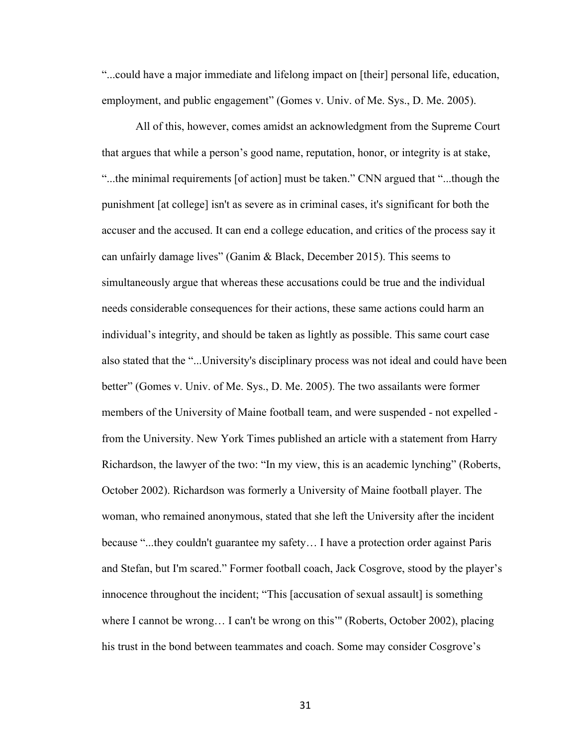"...could have a major immediate and lifelong impact on [their] personal life, education, employment, and public engagement" (Gomes v. Univ. of Me. Sys., D. Me. 2005).

All of this, however, comes amidst an acknowledgment from the Supreme Court that argues that while a person's good name, reputation, honor, or integrity is at stake, "...the minimal requirements [of action] must be taken." CNN argued that "...though the punishment [at college] isn't as severe as in criminal cases, it's significant for both the accuser and the accused. It can end a college education, and critics of the process say it can unfairly damage lives" (Ganim & Black, December 2015). This seems to simultaneously argue that whereas these accusations could be true and the individual needs considerable consequences for their actions, these same actions could harm an individual's integrity, and should be taken as lightly as possible. This same court case also stated that the "...University's disciplinary process was not ideal and could have been better" (Gomes v. Univ. of Me. Sys., D. Me. 2005). The two assailants were former members of the University of Maine football team, and were suspended - not expelled from the University. New York Times published an article with a statement from Harry Richardson, the lawyer of the two: "In my view, this is an academic lynching" (Roberts, October 2002). Richardson was formerly a University of Maine football player. The woman, who remained anonymous, stated that she left the University after the incident because "...they couldn't guarantee my safety… I have a protection order against Paris and Stefan, but I'm scared." Former football coach, Jack Cosgrove, stood by the player's innocence throughout the incident; "This [accusation of sexual assault] is something where I cannot be wrong... I can't be wrong on this'" (Roberts, October 2002), placing his trust in the bond between teammates and coach. Some may consider Cosgrove's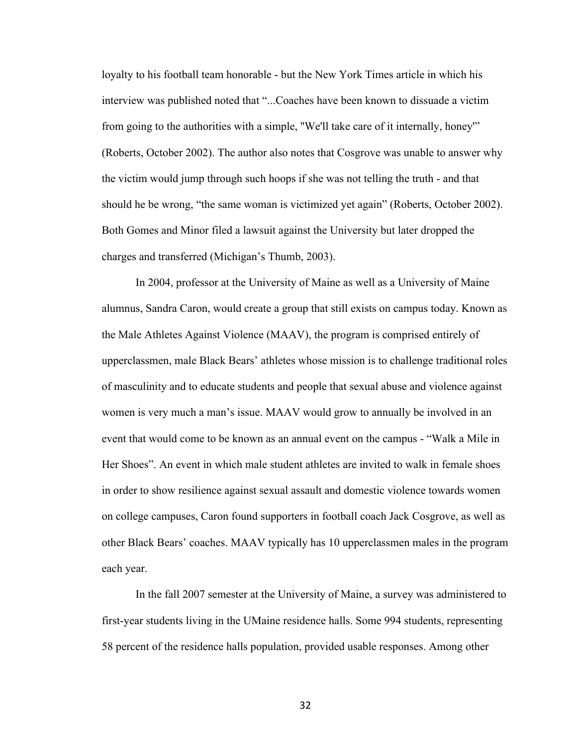loyalty to his football team honorable - but the New York Times article in which his interview was published noted that "...Coaches have been known to dissuade a victim from going to the authorities with a simple, ''We'll take care of it internally, honey'" (Roberts, October 2002). The author also notes that Cosgrove was unable to answer why the victim would jump through such hoops if she was not telling the truth - and that should he be wrong, "the same woman is victimized yet again" (Roberts, October 2002). Both Gomes and Minor filed a lawsuit against the University but later dropped the charges and transferred (Michigan's Thumb, 2003).

In 2004, professor at the University of Maine as well as a University of Maine alumnus, Sandra Caron, would create a group that still exists on campus today. Known as the Male Athletes Against Violence (MAAV), the program is comprised entirely of upperclassmen, male Black Bears' athletes whose mission is to challenge traditional roles of masculinity and to educate students and people that sexual abuse and violence against women is very much a man's issue. MAAV would grow to annually be involved in an event that would come to be known as an annual event on the campus - "Walk a Mile in Her Shoes". An event in which male student athletes are invited to walk in female shoes in order to show resilience against sexual assault and domestic violence towards women on college campuses, Caron found supporters in football coach Jack Cosgrove, as well as other Black Bears' coaches. MAAV typically has 10 upperclassmen males in the program each year.

In the fall 2007 semester at the University of Maine, a survey was administered to first-year students living in the UMaine residence halls. Some 994 students, representing 58 percent of the residence halls population, provided usable responses. Among other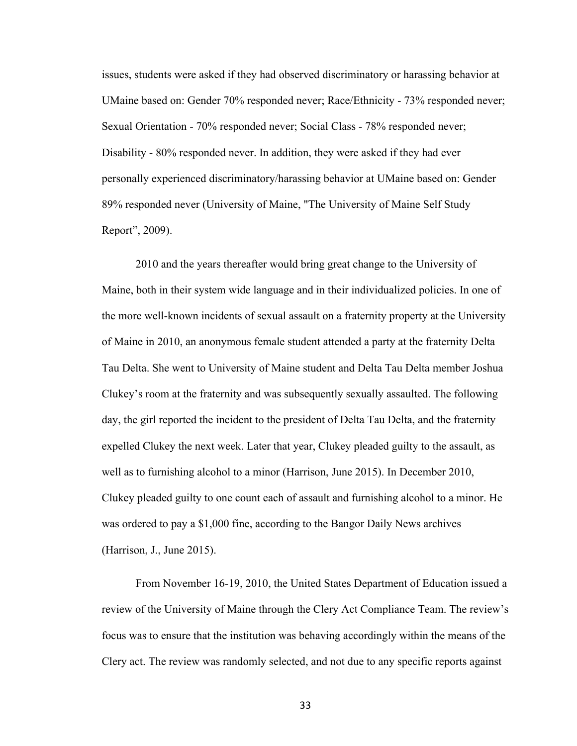issues, students were asked if they had observed discriminatory or harassing behavior at UMaine based on: Gender 70% responded never; Race/Ethnicity - 73% responded never; Sexual Orientation - 70% responded never; Social Class - 78% responded never; Disability - 80% responded never. In addition, they were asked if they had ever personally experienced discriminatory/harassing behavior at UMaine based on: Gender 89% responded never (University of Maine, "The University of Maine Self Study Report", 2009).

2010 and the years thereafter would bring great change to the University of Maine, both in their system wide language and in their individualized policies. In one of the more well-known incidents of sexual assault on a fraternity property at the University of Maine in 2010, an anonymous female student attended a party at the fraternity Delta Tau Delta. She went to University of Maine student and Delta Tau Delta member Joshua Clukey's room at the fraternity and was subsequently sexually assaulted. The following day, the girl reported the incident to the president of Delta Tau Delta, and the fraternity expelled Clukey the next week. Later that year, Clukey pleaded guilty to the assault, as well as to furnishing alcohol to a minor (Harrison, June 2015). In December 2010, Clukey pleaded guilty to one count each of assault and furnishing alcohol to a minor. He was ordered to pay a \$1,000 fine, according to the Bangor Daily News archives (Harrison, J., June 2015).

From November 16-19, 2010, the United States Department of Education issued a review of the University of Maine through the Clery Act Compliance Team. The review's focus was to ensure that the institution was behaving accordingly within the means of the Clery act. The review was randomly selected, and not due to any specific reports against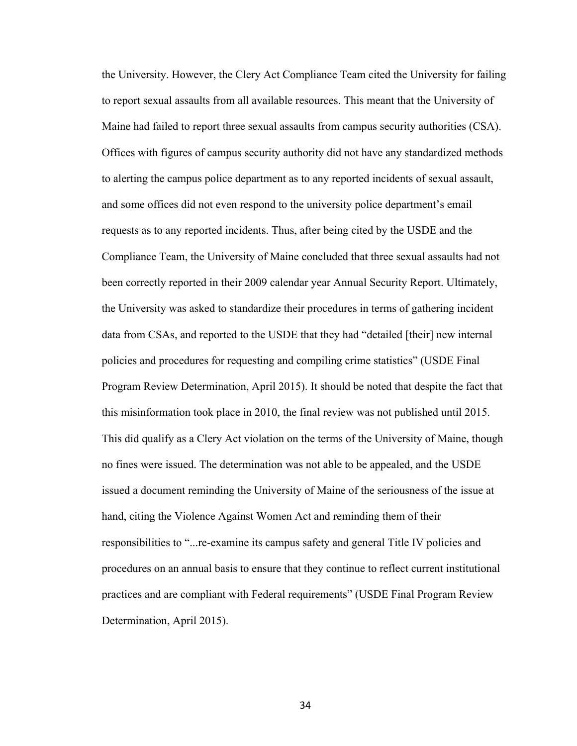the University. However, the Clery Act Compliance Team cited the University for failing to report sexual assaults from all available resources. This meant that the University of Maine had failed to report three sexual assaults from campus security authorities (CSA). Offices with figures of campus security authority did not have any standardized methods to alerting the campus police department as to any reported incidents of sexual assault, and some offices did not even respond to the university police department's email requests as to any reported incidents. Thus, after being cited by the USDE and the Compliance Team, the University of Maine concluded that three sexual assaults had not been correctly reported in their 2009 calendar year Annual Security Report. Ultimately, the University was asked to standardize their procedures in terms of gathering incident data from CSAs, and reported to the USDE that they had "detailed [their] new internal policies and procedures for requesting and compiling crime statistics" (USDE Final Program Review Determination, April 2015). It should be noted that despite the fact that this misinformation took place in 2010, the final review was not published until 2015. This did qualify as a Clery Act violation on the terms of the University of Maine, though no fines were issued. The determination was not able to be appealed, and the USDE issued a document reminding the University of Maine of the seriousness of the issue at hand, citing the Violence Against Women Act and reminding them of their responsibilities to "...re-examine its campus safety and general Title IV policies and procedures on an annual basis to ensure that they continue to reflect current institutional practices and are compliant with Federal requirements" (USDE Final Program Review Determination, April 2015).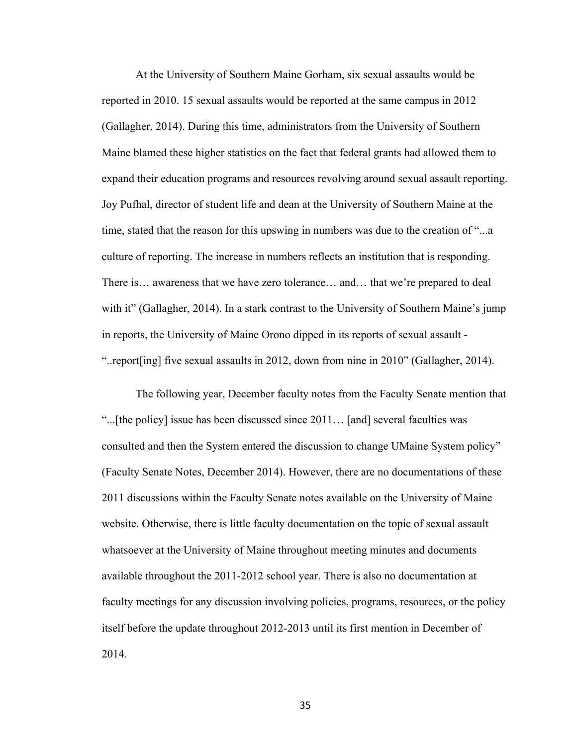At the University of Southern Maine Gorham, six sexual assaults would be reported in 2010. 15 sexual assaults would be reported at the same campus in 2012 (Gallagher, 2014). During this time, administrators from the University of Southern Maine blamed these higher statistics on the fact that federal grants had allowed them to expand their education programs and resources revolving around sexual assault reporting. Joy Pufhal, director of student life and dean at the University of Southern Maine at the time, stated that the reason for this upswing in numbers was due to the creation of "...a culture of reporting. The increase in numbers reflects an institution that is responding. There is… awareness that we have zero tolerance… and… that we're prepared to deal with it" (Gallagher, 2014). In a stark contrast to the University of Southern Maine's jump in reports, the University of Maine Orono dipped in its reports of sexual assault - "..report[ing] five sexual assaults in 2012, down from nine in 2010" (Gallagher, 2014).

The following year, December faculty notes from the Faculty Senate mention that "...[the policy] issue has been discussed since 2011… [and] several faculties was consulted and then the System entered the discussion to change UMaine System policy" (Faculty Senate Notes, December 2014). However, there are no documentations of these 2011 discussions within the Faculty Senate notes available on the University of Maine website. Otherwise, there is little faculty documentation on the topic of sexual assault whatsoever at the University of Maine throughout meeting minutes and documents available throughout the 2011-2012 school year. There is also no documentation at faculty meetings for any discussion involving policies, programs, resources, or the policy itself before the update throughout 2012-2013 until its first mention in December of 2014.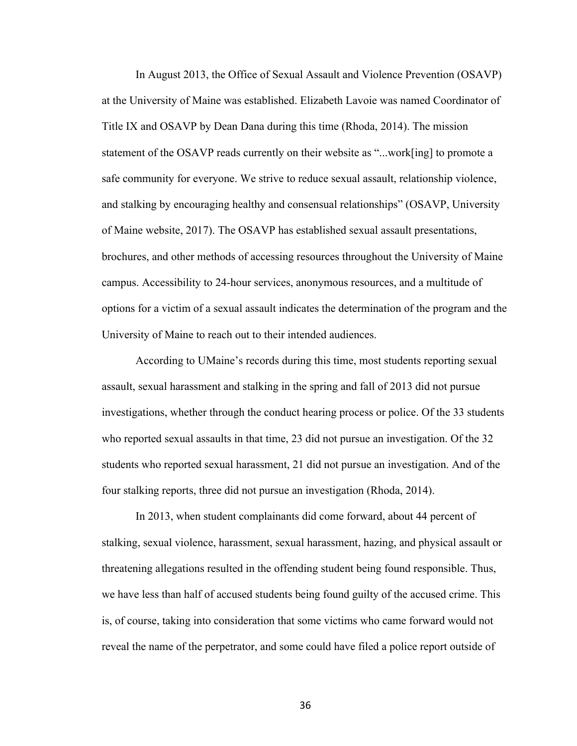In August 2013, the Office of Sexual Assault and Violence Prevention (OSAVP) at the University of Maine was established. Elizabeth Lavoie was named Coordinator of Title IX and OSAVP by Dean Dana during this time (Rhoda, 2014). The mission statement of the OSAVP reads currently on their website as "...work[ing] to promote a safe community for everyone. We strive to reduce sexual assault, relationship violence, and stalking by encouraging healthy and consensual relationships" (OSAVP, University of Maine website, 2017). The OSAVP has established sexual assault presentations, brochures, and other methods of accessing resources throughout the University of Maine campus. Accessibility to 24-hour services, anonymous resources, and a multitude of options for a victim of a sexual assault indicates the determination of the program and the University of Maine to reach out to their intended audiences.

According to UMaine's records during this time, most students reporting sexual assault, sexual harassment and stalking in the spring and fall of 2013 did not pursue investigations, whether through the conduct hearing process or police. Of the 33 students who reported sexual assaults in that time, 23 did not pursue an investigation. Of the 32 students who reported sexual harassment, 21 did not pursue an investigation. And of the four stalking reports, three did not pursue an investigation (Rhoda, 2014).

In 2013, when student complainants did come forward, about 44 percent of stalking, sexual violence, harassment, sexual harassment, hazing, and physical assault or threatening allegations resulted in the offending student being found responsible. Thus, we have less than half of accused students being found guilty of the accused crime. This is, of course, taking into consideration that some victims who came forward would not reveal the name of the perpetrator, and some could have filed a police report outside of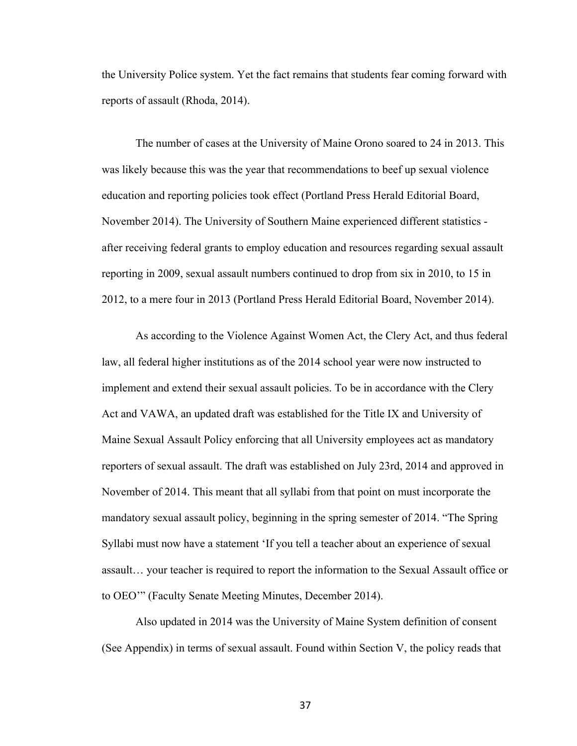the University Police system. Yet the fact remains that students fear coming forward with reports of assault (Rhoda, 2014).

The number of cases at the University of Maine Orono soared to 24 in 2013. This was likely because this was the year that recommendations to beef up sexual violence education and reporting policies took effect (Portland Press Herald Editorial Board, November 2014). The University of Southern Maine experienced different statistics after receiving federal grants to employ education and resources regarding sexual assault reporting in 2009, sexual assault numbers continued to drop from six in 2010, to 15 in 2012, to a mere four in 2013 (Portland Press Herald Editorial Board, November 2014).

As according to the Violence Against Women Act, the Clery Act, and thus federal law, all federal higher institutions as of the 2014 school year were now instructed to implement and extend their sexual assault policies. To be in accordance with the Clery Act and VAWA, an updated draft was established for the Title IX and University of Maine Sexual Assault Policy enforcing that all University employees act as mandatory reporters of sexual assault. The draft was established on July 23rd, 2014 and approved in November of 2014. This meant that all syllabi from that point on must incorporate the mandatory sexual assault policy, beginning in the spring semester of 2014. "The Spring Syllabi must now have a statement 'If you tell a teacher about an experience of sexual assault… your teacher is required to report the information to the Sexual Assault office or to OEO'" (Faculty Senate Meeting Minutes, December 2014).

Also updated in 2014 was the University of Maine System definition of consent (See Appendix) in terms of sexual assault. Found within Section V, the policy reads that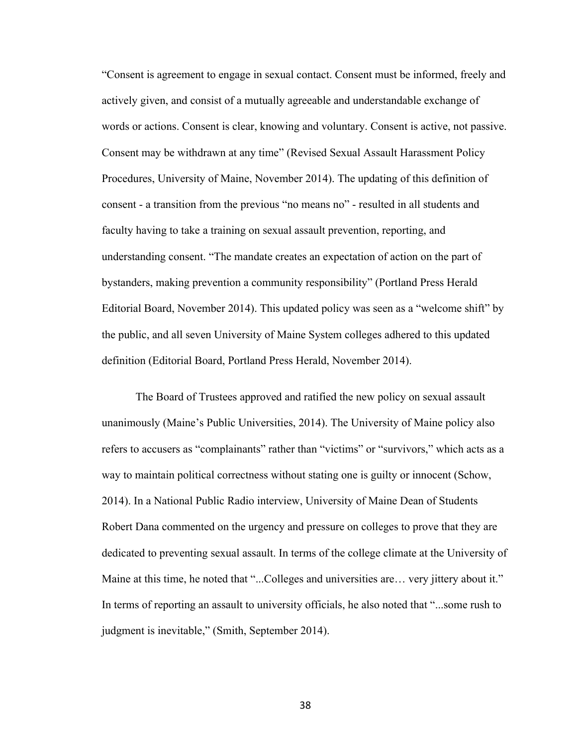"Consent is agreement to engage in sexual contact. Consent must be informed, freely and actively given, and consist of a mutually agreeable and understandable exchange of words or actions. Consent is clear, knowing and voluntary. Consent is active, not passive. Consent may be withdrawn at any time" (Revised Sexual Assault Harassment Policy Procedures, University of Maine, November 2014). The updating of this definition of consent - a transition from the previous "no means no" - resulted in all students and faculty having to take a training on sexual assault prevention, reporting, and understanding consent. "The mandate creates an expectation of action on the part of bystanders, making prevention a community responsibility" (Portland Press Herald Editorial Board, November 2014). This updated policy was seen as a "welcome shift" by the public, and all seven University of Maine System colleges adhered to this updated definition (Editorial Board, Portland Press Herald, November 2014).

The Board of Trustees approved and ratified the new policy on sexual assault unanimously (Maine's Public Universities, 2014). The University of Maine policy also refers to accusers as "complainants" rather than "victims" or "survivors," which acts as a way to maintain political correctness without stating one is guilty or innocent (Schow, 2014). In a National Public Radio interview, University of Maine Dean of Students Robert Dana commented on the urgency and pressure on colleges to prove that they are dedicated to preventing sexual assault. In terms of the college climate at the University of Maine at this time, he noted that "...Colleges and universities are... very jittery about it." In terms of reporting an assault to university officials, he also noted that "...some rush to judgment is inevitable," (Smith, September 2014).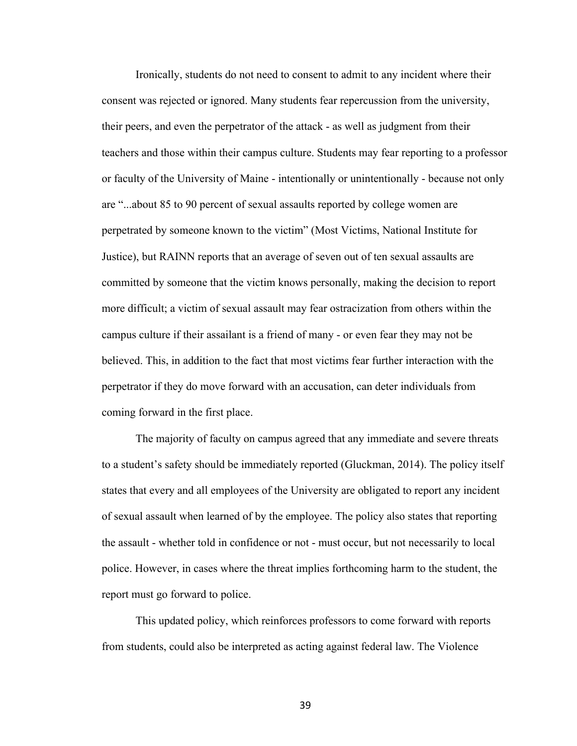Ironically, students do not need to consent to admit to any incident where their consent was rejected or ignored. Many students fear repercussion from the university, their peers, and even the perpetrator of the attack - as well as judgment from their teachers and those within their campus culture. Students may fear reporting to a professor or faculty of the University of Maine - intentionally or unintentionally - because not only are "...about 85 to 90 percent of sexual assaults reported by college women are perpetrated by someone known to the victim" (Most Victims, National Institute for Justice), but RAINN reports that an average of seven out of ten sexual assaults are committed by someone that the victim knows personally, making the decision to report more difficult; a victim of sexual assault may fear ostracization from others within the campus culture if their assailant is a friend of many - or even fear they may not be believed. This, in addition to the fact that most victims fear further interaction with the perpetrator if they do move forward with an accusation, can deter individuals from coming forward in the first place.

The majority of faculty on campus agreed that any immediate and severe threats to a student's safety should be immediately reported (Gluckman, 2014). The policy itself states that every and all employees of the University are obligated to report any incident of sexual assault when learned of by the employee. The policy also states that reporting the assault - whether told in confidence or not - must occur, but not necessarily to local police. However, in cases where the threat implies forthcoming harm to the student, the report must go forward to police.

This updated policy, which reinforces professors to come forward with reports from students, could also be interpreted as acting against federal law. The Violence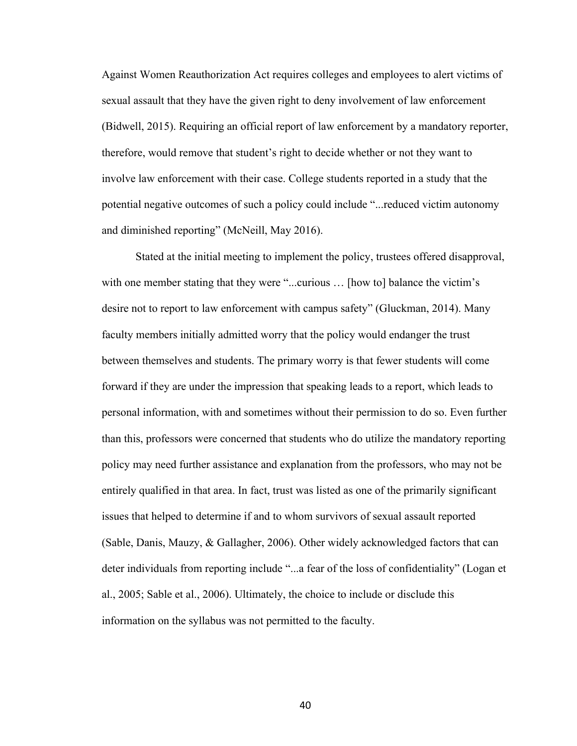Against Women Reauthorization Act requires colleges and employees to alert victims of sexual assault that they have the given right to deny involvement of law enforcement (Bidwell, 2015). Requiring an official report of law enforcement by a mandatory reporter, therefore, would remove that student's right to decide whether or not they want to involve law enforcement with their case. College students reported in a study that the potential negative outcomes of such a policy could include "...reduced victim autonomy and diminished reporting" (McNeill, May 2016).

Stated at the initial meeting to implement the policy, trustees offered disapproval, with one member stating that they were "...curious ... [how to] balance the victim's desire not to report to law enforcement with campus safety" (Gluckman, 2014). Many faculty members initially admitted worry that the policy would endanger the trust between themselves and students. The primary worry is that fewer students will come forward if they are under the impression that speaking leads to a report, which leads to personal information, with and sometimes without their permission to do so. Even further than this, professors were concerned that students who do utilize the mandatory reporting policy may need further assistance and explanation from the professors, who may not be entirely qualified in that area. In fact, trust was listed as one of the primarily significant issues that helped to determine if and to whom survivors of sexual assault reported (Sable, Danis, Mauzy, & Gallagher, 2006). Other widely acknowledged factors that can deter individuals from reporting include "...a fear of the loss of confidentiality" (Logan et al., 2005; Sable et al., 2006). Ultimately, the choice to include or disclude this information on the syllabus was not permitted to the faculty.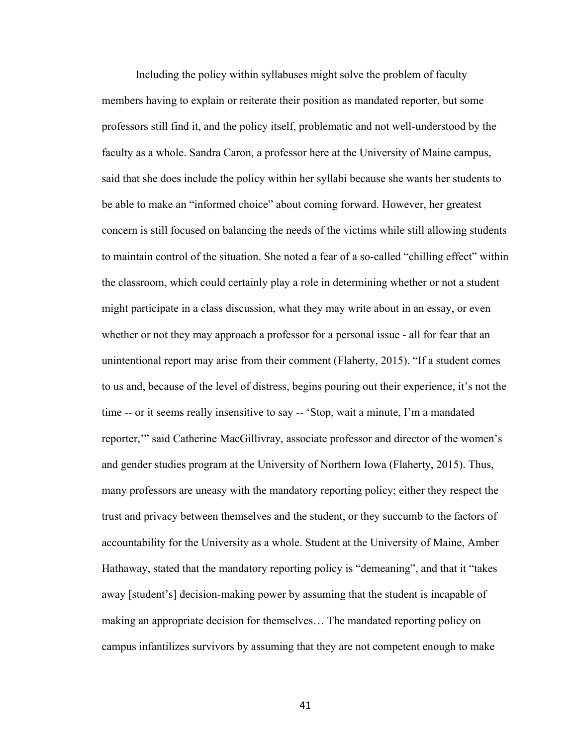Including the policy within syllabuses might solve the problem of faculty members having to explain or reiterate their position as mandated reporter, but some professors still find it, and the policy itself, problematic and not well-understood by the faculty as a whole. Sandra Caron, a professor here at the University of Maine campus, said that she does include the policy within her syllabi because she wants her students to be able to make an "informed choice" about coming forward. However, her greatest concern is still focused on balancing the needs of the victims while still allowing students to maintain control of the situation. She noted a fear of a so-called "chilling effect" within the classroom, which could certainly play a role in determining whether or not a student might participate in a class discussion, what they may write about in an essay, or even whether or not they may approach a professor for a personal issue - all for fear that an unintentional report may arise from their comment (Flaherty, 2015). "If a student comes to us and, because of the level of distress, begins pouring out their experience, it's not the time -- or it seems really insensitive to say -- 'Stop, wait a minute, I'm a mandated reporter,'" said Catherine MacGillivray, associate professor and director of the women's and gender studies program at the University of Northern Iowa (Flaherty, 2015). Thus, many professors are uneasy with the mandatory reporting policy; either they respect the trust and privacy between themselves and the student, or they succumb to the factors of accountability for the University as a whole. Student at the University of Maine, Amber Hathaway, stated that the mandatory reporting policy is "demeaning", and that it "takes away [student's] decision-making power by assuming that the student is incapable of making an appropriate decision for themselves… The mandated reporting policy on campus infantilizes survivors by assuming that they are not competent enough to make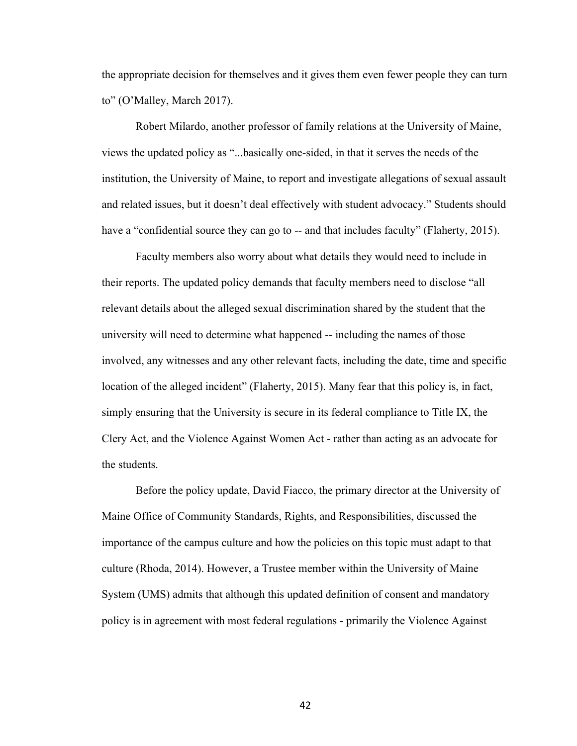the appropriate decision for themselves and it gives them even fewer people they can turn to" (O'Malley, March 2017).

Robert Milardo, another professor of family relations at the University of Maine, views the updated policy as "...basically one-sided, in that it serves the needs of the institution, the University of Maine, to report and investigate allegations of sexual assault and related issues, but it doesn't deal effectively with student advocacy." Students should have a "confidential source they can go to -- and that includes faculty" (Flaherty, 2015).

Faculty members also worry about what details they would need to include in their reports. The updated policy demands that faculty members need to disclose "all relevant details about the alleged sexual discrimination shared by the student that the university will need to determine what happened -- including the names of those involved, any witnesses and any other relevant facts, including the date, time and specific location of the alleged incident" (Flaherty, 2015). Many fear that this policy is, in fact, simply ensuring that the University is secure in its federal compliance to Title IX, the Clery Act, and the Violence Against Women Act - rather than acting as an advocate for the students.

Before the policy update, David Fiacco, the primary director at the University of Maine Office of Community Standards, Rights, and Responsibilities, discussed the importance of the campus culture and how the policies on this topic must adapt to that culture (Rhoda, 2014). However, a Trustee member within the University of Maine System (UMS) admits that although this updated definition of consent and mandatory policy is in agreement with most federal regulations - primarily the Violence Against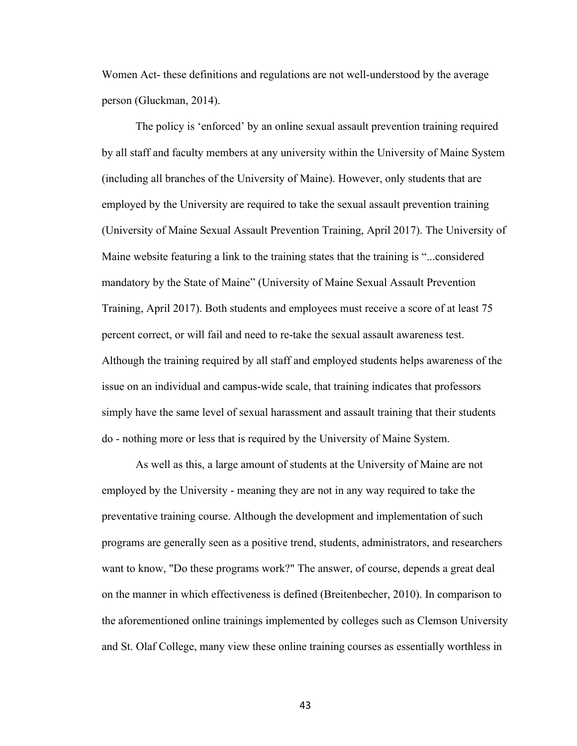Women Act- these definitions and regulations are not well-understood by the average person (Gluckman, 2014).

The policy is 'enforced' by an online sexual assault prevention training required by all staff and faculty members at any university within the University of Maine System (including all branches of the University of Maine). However, only students that are employed by the University are required to take the sexual assault prevention training (University of Maine Sexual Assault Prevention Training, April 2017). The University of Maine website featuring a link to the training states that the training is "...considered mandatory by the State of Maine" (University of Maine Sexual Assault Prevention Training, April 2017). Both students and employees must receive a score of at least 75 percent correct, or will fail and need to re-take the sexual assault awareness test. Although the training required by all staff and employed students helps awareness of the issue on an individual and campus-wide scale, that training indicates that professors simply have the same level of sexual harassment and assault training that their students do - nothing more or less that is required by the University of Maine System.

As well as this, a large amount of students at the University of Maine are not employed by the University - meaning they are not in any way required to take the preventative training course. Although the development and implementation of such programs are generally seen as a positive trend, students, administrators, and researchers want to know, "Do these programs work?" The answer, of course, depends a great deal on the manner in which effectiveness is defined (Breitenbecher, 2010). In comparison to the aforementioned online trainings implemented by colleges such as Clemson University and St. Olaf College, many view these online training courses as essentially worthless in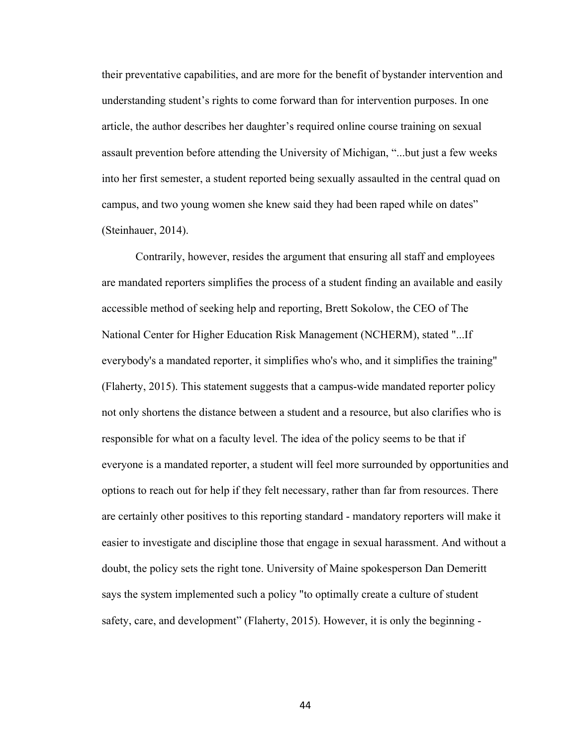their preventative capabilities, and are more for the benefit of bystander intervention and understanding student's rights to come forward than for intervention purposes. In one article, the author describes her daughter's required online course training on sexual assault prevention before attending the University of Michigan, "...but just a few weeks into her first semester, a student reported being sexually assaulted in the central quad on campus, and two young women she knew said they had been raped while on dates" (Steinhauer, 2014).

Contrarily, however, resides the argument that ensuring all staff and employees are mandated reporters simplifies the process of a student finding an available and easily accessible method of seeking help and reporting, Brett Sokolow, the CEO of The National Center for Higher Education Risk Management (NCHERM), stated "...If everybody's a mandated reporter, it simplifies who's who, and it simplifies the training" (Flaherty, 2015). This statement suggests that a campus-wide mandated reporter policy not only shortens the distance between a student and a resource, but also clarifies who is responsible for what on a faculty level. The idea of the policy seems to be that if everyone is a mandated reporter, a student will feel more surrounded by opportunities and options to reach out for help if they felt necessary, rather than far from resources. There are certainly other positives to this reporting standard - mandatory reporters will make it easier to investigate and discipline those that engage in sexual harassment. And without a doubt, the policy sets the right tone. University of Maine spokesperson Dan Demeritt says the system implemented such a policy "to optimally create a culture of student safety, care, and development" (Flaherty, 2015). However, it is only the beginning -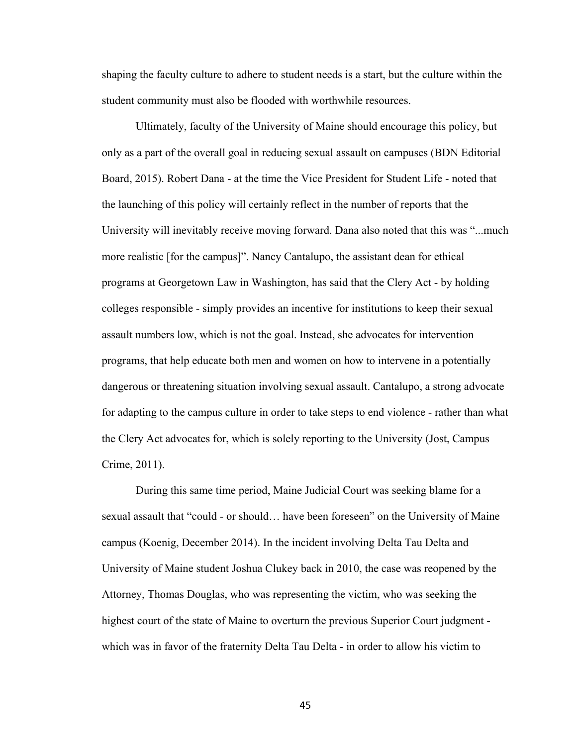shaping the faculty culture to adhere to student needs is a start, but the culture within the student community must also be flooded with worthwhile resources.

Ultimately, faculty of the University of Maine should encourage this policy, but only as a part of the overall goal in reducing sexual assault on campuses (BDN Editorial Board, 2015). Robert Dana - at the time the Vice President for Student Life - noted that the launching of this policy will certainly reflect in the number of reports that the University will inevitably receive moving forward. Dana also noted that this was "...much more realistic [for the campus]". Nancy Cantalupo, the assistant dean for ethical programs at Georgetown Law in Washington, has said that the Clery Act - by holding colleges responsible - simply provides an incentive for institutions to keep their sexual assault numbers low, which is not the goal. Instead, she advocates for intervention programs, that help educate both men and women on how to intervene in a potentially dangerous or threatening situation involving sexual assault. Cantalupo, a strong advocate for adapting to the campus culture in order to take steps to end violence - rather than what the Clery Act advocates for, which is solely reporting to the University (Jost, Campus Crime, 2011).

During this same time period, Maine Judicial Court was seeking blame for a sexual assault that "could - or should… have been foreseen" on the University of Maine campus (Koenig, December 2014). In the incident involving Delta Tau Delta and University of Maine student Joshua Clukey back in 2010, the case was reopened by the Attorney, Thomas Douglas, who was representing the victim, who was seeking the highest court of the state of Maine to overturn the previous Superior Court judgment which was in favor of the fraternity Delta Tau Delta - in order to allow his victim to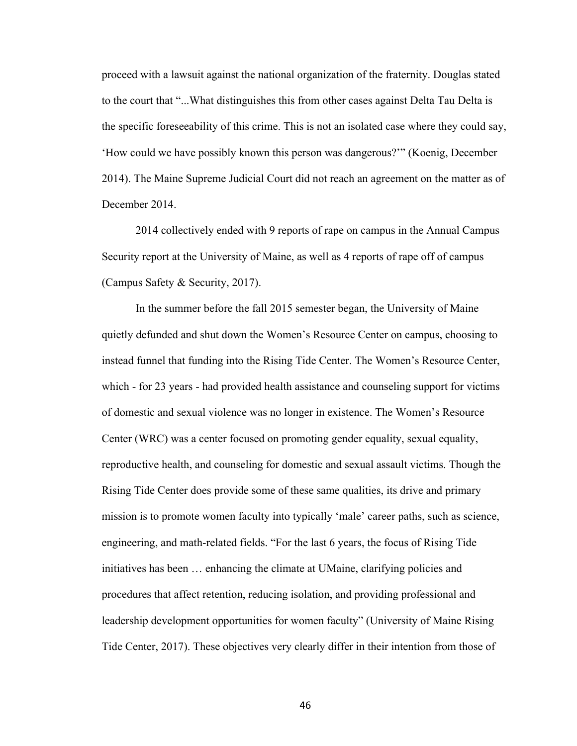proceed with a lawsuit against the national organization of the fraternity. Douglas stated to the court that "...What distinguishes this from other cases against Delta Tau Delta is the specific foreseeability of this crime. This is not an isolated case where they could say, 'How could we have possibly known this person was dangerous?'" (Koenig, December 2014). The Maine Supreme Judicial Court did not reach an agreement on the matter as of December 2014.

2014 collectively ended with 9 reports of rape on campus in the Annual Campus Security report at the University of Maine, as well as 4 reports of rape off of campus (Campus Safety & Security, 2017).

In the summer before the fall 2015 semester began, the University of Maine quietly defunded and shut down the Women's Resource Center on campus, choosing to instead funnel that funding into the Rising Tide Center. The Women's Resource Center, which - for 23 years - had provided health assistance and counseling support for victims of domestic and sexual violence was no longer in existence. The Women's Resource Center (WRC) was a center focused on promoting gender equality, sexual equality, reproductive health, and counseling for domestic and sexual assault victims. Though the Rising Tide Center does provide some of these same qualities, its drive and primary mission is to promote women faculty into typically 'male' career paths, such as science, engineering, and math-related fields. "For the last 6 years, the focus of Rising Tide initiatives has been … enhancing the climate at UMaine, clarifying policies and procedures that affect retention, reducing isolation, and providing professional and leadership development opportunities for women faculty" (University of Maine Rising Tide Center, 2017). These objectives very clearly differ in their intention from those of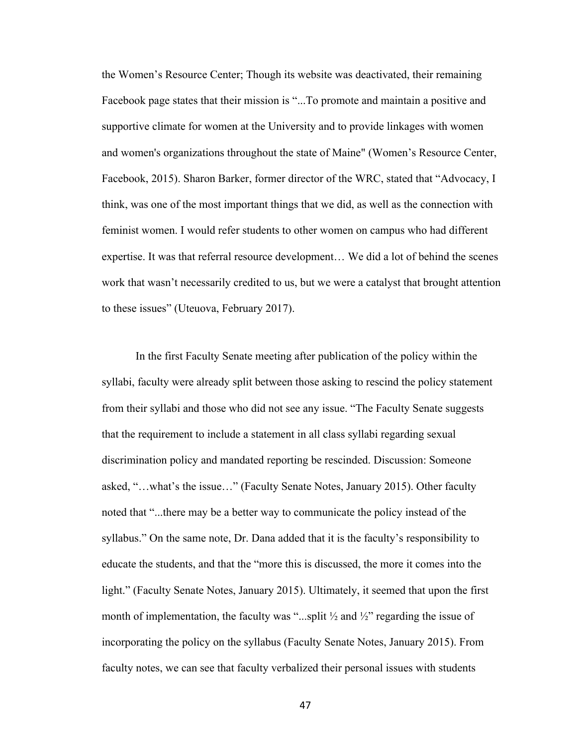the Women's Resource Center; Though its website was deactivated, their remaining Facebook page states that their mission is "...To promote and maintain a positive and supportive climate for women at the University and to provide linkages with women and women's organizations throughout the state of Maine" (Women's Resource Center, Facebook, 2015). Sharon Barker, former director of the WRC, stated that "Advocacy, I think, was one of the most important things that we did, as well as the connection with feminist women. I would refer students to other women on campus who had different expertise. It was that referral resource development… We did a lot of behind the scenes work that wasn't necessarily credited to us, but we were a catalyst that brought attention to these issues" (Uteuova, February 2017).

In the first Faculty Senate meeting after publication of the policy within the syllabi, faculty were already split between those asking to rescind the policy statement from their syllabi and those who did not see any issue. "The Faculty Senate suggests that the requirement to include a statement in all class syllabi regarding sexual discrimination policy and mandated reporting be rescinded. Discussion: Someone asked, "…what's the issue…" (Faculty Senate Notes, January 2015). Other faculty noted that "...there may be a better way to communicate the policy instead of the syllabus." On the same note, Dr. Dana added that it is the faculty's responsibility to educate the students, and that the "more this is discussed, the more it comes into the light." (Faculty Senate Notes, January 2015). Ultimately, it seemed that upon the first month of implementation, the faculty was "...split  $\frac{1}{2}$  and  $\frac{1}{2}$ " regarding the issue of incorporating the policy on the syllabus (Faculty Senate Notes, January 2015). From faculty notes, we can see that faculty verbalized their personal issues with students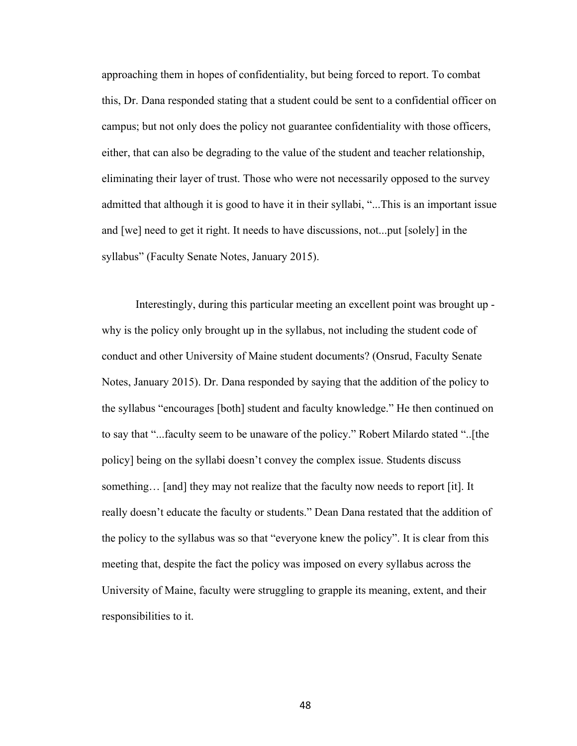approaching them in hopes of confidentiality, but being forced to report. To combat this, Dr. Dana responded stating that a student could be sent to a confidential officer on campus; but not only does the policy not guarantee confidentiality with those officers, either, that can also be degrading to the value of the student and teacher relationship, eliminating their layer of trust. Those who were not necessarily opposed to the survey admitted that although it is good to have it in their syllabi, "...This is an important issue and [we] need to get it right. It needs to have discussions, not...put [solely] in the syllabus" (Faculty Senate Notes, January 2015).

Interestingly, during this particular meeting an excellent point was brought up why is the policy only brought up in the syllabus, not including the student code of conduct and other University of Maine student documents? (Onsrud, Faculty Senate Notes, January 2015). Dr. Dana responded by saying that the addition of the policy to the syllabus "encourages [both] student and faculty knowledge." He then continued on to say that "...faculty seem to be unaware of the policy." Robert Milardo stated "..[the policy] being on the syllabi doesn't convey the complex issue. Students discuss something… [and] they may not realize that the faculty now needs to report [it]. It really doesn't educate the faculty or students." Dean Dana restated that the addition of the policy to the syllabus was so that "everyone knew the policy". It is clear from this meeting that, despite the fact the policy was imposed on every syllabus across the University of Maine, faculty were struggling to grapple its meaning, extent, and their responsibilities to it.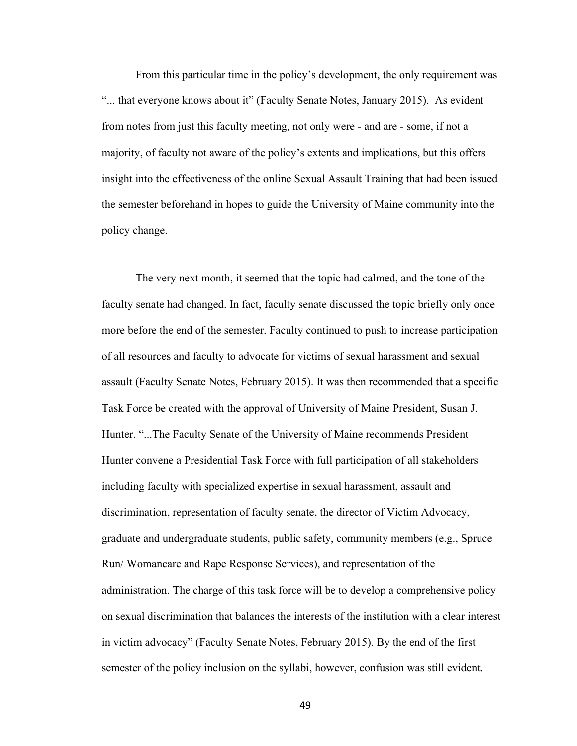From this particular time in the policy's development, the only requirement was "... that everyone knows about it" (Faculty Senate Notes, January 2015). As evident from notes from just this faculty meeting, not only were - and are - some, if not a majority, of faculty not aware of the policy's extents and implications, but this offers insight into the effectiveness of the online Sexual Assault Training that had been issued the semester beforehand in hopes to guide the University of Maine community into the policy change.

The very next month, it seemed that the topic had calmed, and the tone of the faculty senate had changed. In fact, faculty senate discussed the topic briefly only once more before the end of the semester. Faculty continued to push to increase participation of all resources and faculty to advocate for victims of sexual harassment and sexual assault (Faculty Senate Notes, February 2015). It was then recommended that a specific Task Force be created with the approval of University of Maine President, Susan J. Hunter. "...The Faculty Senate of the University of Maine recommends President Hunter convene a Presidential Task Force with full participation of all stakeholders including faculty with specialized expertise in sexual harassment, assault and discrimination, representation of faculty senate, the director of Victim Advocacy, graduate and undergraduate students, public safety, community members (e.g., Spruce Run/ Womancare and Rape Response Services), and representation of the administration. The charge of this task force will be to develop a comprehensive policy on sexual discrimination that balances the interests of the institution with a clear interest in victim advocacy" (Faculty Senate Notes, February 2015). By the end of the first semester of the policy inclusion on the syllabi, however, confusion was still evident.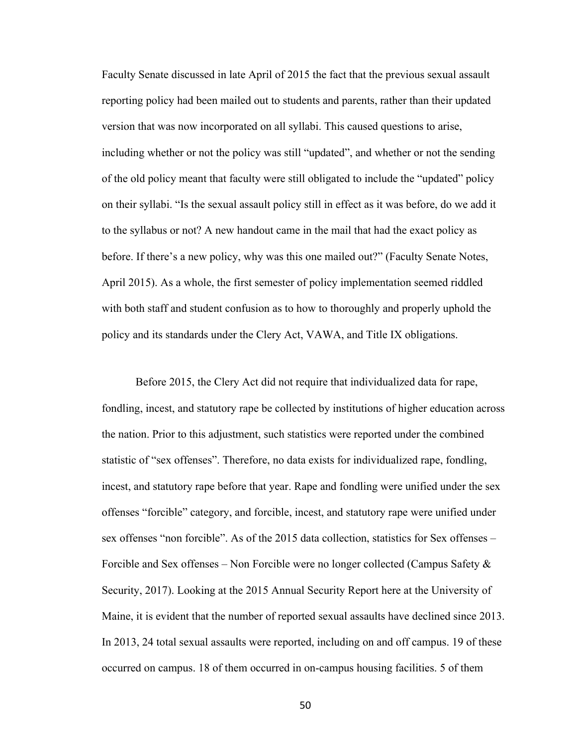Faculty Senate discussed in late April of 2015 the fact that the previous sexual assault reporting policy had been mailed out to students and parents, rather than their updated version that was now incorporated on all syllabi. This caused questions to arise, including whether or not the policy was still "updated", and whether or not the sending of the old policy meant that faculty were still obligated to include the "updated" policy on their syllabi. "Is the sexual assault policy still in effect as it was before, do we add it to the syllabus or not? A new handout came in the mail that had the exact policy as before. If there's a new policy, why was this one mailed out?" (Faculty Senate Notes, April 2015). As a whole, the first semester of policy implementation seemed riddled with both staff and student confusion as to how to thoroughly and properly uphold the policy and its standards under the Clery Act, VAWA, and Title IX obligations.

Before 2015, the Clery Act did not require that individualized data for rape, fondling, incest, and statutory rape be collected by institutions of higher education across the nation. Prior to this adjustment, such statistics were reported under the combined statistic of "sex offenses". Therefore, no data exists for individualized rape, fondling, incest, and statutory rape before that year. Rape and fondling were unified under the sex offenses "forcible" category, and forcible, incest, and statutory rape were unified under sex offenses "non forcible". As of the 2015 data collection, statistics for Sex offenses – Forcible and Sex offenses – Non Forcible were no longer collected (Campus Safety  $\&$ Security, 2017). Looking at the 2015 Annual Security Report here at the University of Maine, it is evident that the number of reported sexual assaults have declined since 2013. In 2013, 24 total sexual assaults were reported, including on and off campus. 19 of these occurred on campus. 18 of them occurred in on-campus housing facilities. 5 of them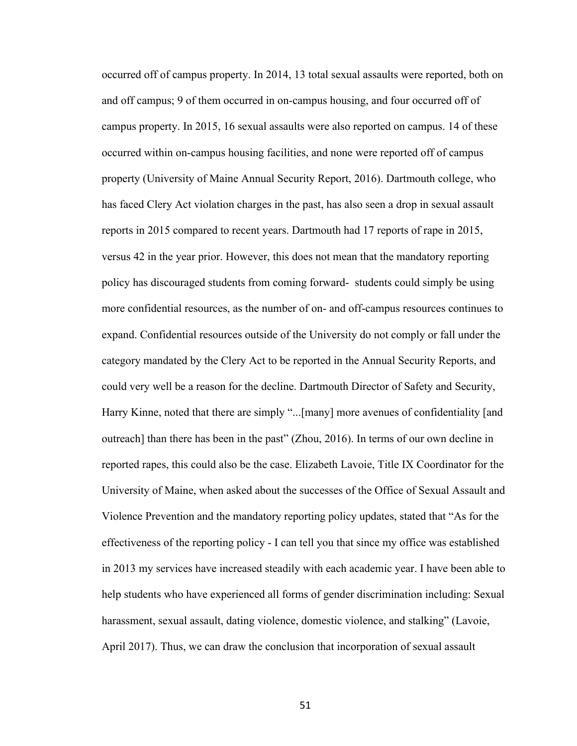occurred off of campus property. In 2014, 13 total sexual assaults were reported, both on and off campus; 9 of them occurred in on-campus housing, and four occurred off of campus property. In 2015, 16 sexual assaults were also reported on campus. 14 of these occurred within on-campus housing facilities, and none were reported off of campus property (University of Maine Annual Security Report, 2016). Dartmouth college, who has faced Clery Act violation charges in the past, has also seen a drop in sexual assault reports in 2015 compared to recent years. Dartmouth had 17 reports of rape in 2015, versus 42 in the year prior. However, this does not mean that the mandatory reporting policy has discouraged students from coming forward- students could simply be using more confidential resources, as the number of on- and off-campus resources continues to expand. Confidential resources outside of the University do not comply or fall under the category mandated by the Clery Act to be reported in the Annual Security Reports, and could very well be a reason for the decline. Dartmouth Director of Safety and Security, Harry Kinne, noted that there are simply "...[many] more avenues of confidentiality [and outreach] than there has been in the past" (Zhou, 2016). In terms of our own decline in reported rapes, this could also be the case. Elizabeth Lavoie, Title IX Coordinator for the University of Maine, when asked about the successes of the Office of Sexual Assault and Violence Prevention and the mandatory reporting policy updates, stated that "As for the effectiveness of the reporting policy - I can tell you that since my office was established in 2013 my services have increased steadily with each academic year. I have been able to help students who have experienced all forms of gender discrimination including: Sexual harassment, sexual assault, dating violence, domestic violence, and stalking" (Lavoie, April 2017). Thus, we can draw the conclusion that incorporation of sexual assault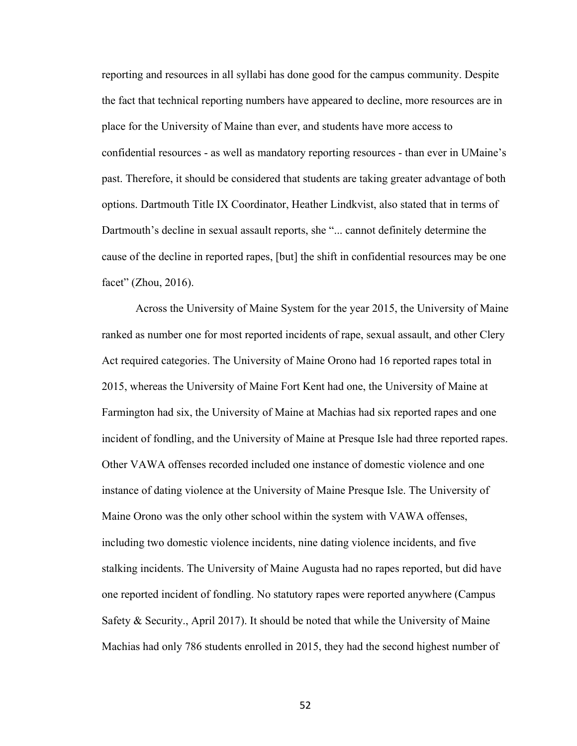reporting and resources in all syllabi has done good for the campus community. Despite the fact that technical reporting numbers have appeared to decline, more resources are in place for the University of Maine than ever, and students have more access to confidential resources - as well as mandatory reporting resources - than ever in UMaine's past. Therefore, it should be considered that students are taking greater advantage of both options. Dartmouth Title IX Coordinator, Heather Lindkvist, also stated that in terms of Dartmouth's decline in sexual assault reports, she "... cannot definitely determine the cause of the decline in reported rapes, [but] the shift in confidential resources may be one facet" (Zhou, 2016).

Across the University of Maine System for the year 2015, the University of Maine ranked as number one for most reported incidents of rape, sexual assault, and other Clery Act required categories. The University of Maine Orono had 16 reported rapes total in 2015, whereas the University of Maine Fort Kent had one, the University of Maine at Farmington had six, the University of Maine at Machias had six reported rapes and one incident of fondling, and the University of Maine at Presque Isle had three reported rapes. Other VAWA offenses recorded included one instance of domestic violence and one instance of dating violence at the University of Maine Presque Isle. The University of Maine Orono was the only other school within the system with VAWA offenses, including two domestic violence incidents, nine dating violence incidents, and five stalking incidents. The University of Maine Augusta had no rapes reported, but did have one reported incident of fondling. No statutory rapes were reported anywhere (Campus Safety & Security., April 2017). It should be noted that while the University of Maine Machias had only 786 students enrolled in 2015, they had the second highest number of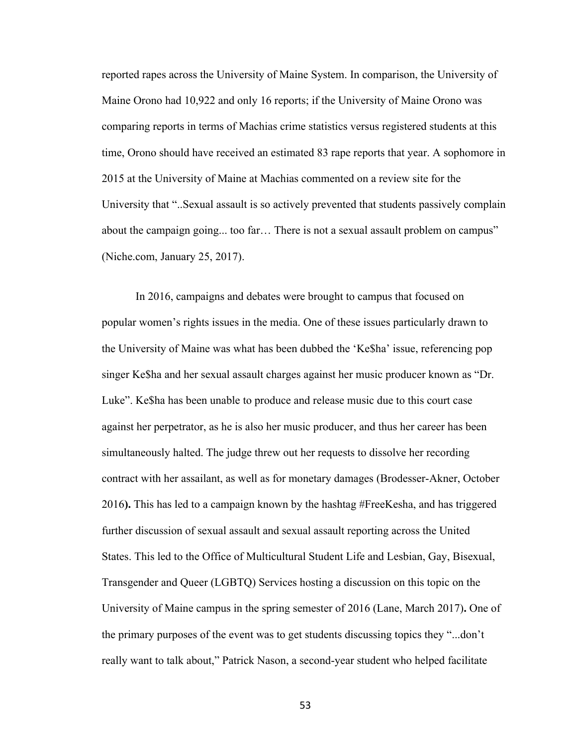reported rapes across the University of Maine System. In comparison, the University of Maine Orono had 10,922 and only 16 reports; if the University of Maine Orono was comparing reports in terms of Machias crime statistics versus registered students at this time, Orono should have received an estimated 83 rape reports that year. A sophomore in 2015 at the University of Maine at Machias commented on a review site for the University that "..Sexual assault is so actively prevented that students passively complain about the campaign going... too far… There is not a sexual assault problem on campus" (Niche.com, January 25, 2017).

In 2016, campaigns and debates were brought to campus that focused on popular women's rights issues in the media. One of these issues particularly drawn to the University of Maine was what has been dubbed the 'Ke\$ha' issue, referencing pop singer Ke\$ha and her sexual assault charges against her music producer known as "Dr. Luke". Ke\$ha has been unable to produce and release music due to this court case against her perpetrator, as he is also her music producer, and thus her career has been simultaneously halted. The judge threw out her requests to dissolve her recording contract with her assailant, as well as for monetary damages (Brodesser-Akner, October 2016**).** This has led to a campaign known by the hashtag #FreeKesha, and has triggered further discussion of sexual assault and sexual assault reporting across the United States. This led to the Office of Multicultural Student Life and Lesbian, Gay, Bisexual, Transgender and Queer (LGBTQ) Services hosting a discussion on this topic on the University of Maine campus in the spring semester of 2016 (Lane, March 2017)**.** One of the primary purposes of the event was to get students discussing topics they "...don't really want to talk about," Patrick Nason, a second-year student who helped facilitate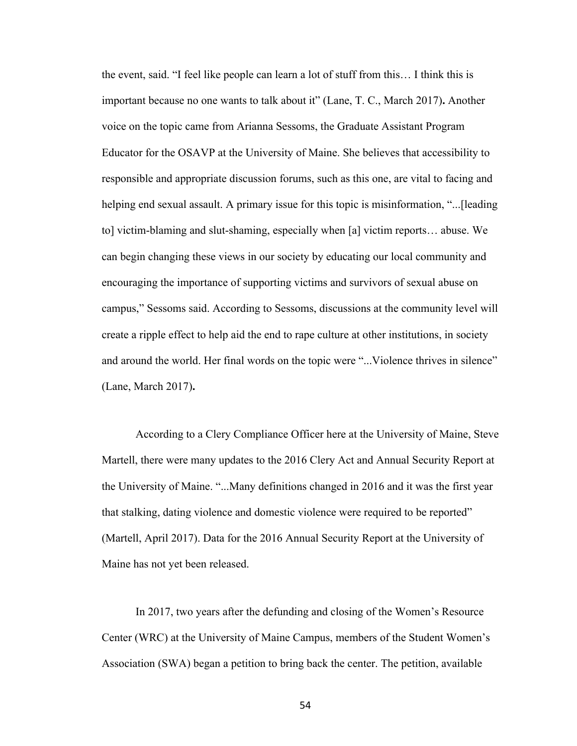the event, said. "I feel like people can learn a lot of stuff from this… I think this is important because no one wants to talk about it" (Lane, T. C., March 2017)**.** Another voice on the topic came from Arianna Sessoms, the Graduate Assistant Program Educator for the OSAVP at the University of Maine. She believes that accessibility to responsible and appropriate discussion forums, such as this one, are vital to facing and helping end sexual assault. A primary issue for this topic is misinformation, "...[leading to] victim-blaming and slut-shaming, especially when [a] victim reports… abuse. We can begin changing these views in our society by educating our local community and encouraging the importance of supporting victims and survivors of sexual abuse on campus," Sessoms said. According to Sessoms, discussions at the community level will create a ripple effect to help aid the end to rape culture at other institutions, in society and around the world. Her final words on the topic were "...Violence thrives in silence" (Lane, March 2017)**.**

According to a Clery Compliance Officer here at the University of Maine, Steve Martell, there were many updates to the 2016 Clery Act and Annual Security Report at the University of Maine. "...Many definitions changed in 2016 and it was the first year that stalking, dating violence and domestic violence were required to be reported" (Martell, April 2017). Data for the 2016 Annual Security Report at the University of Maine has not yet been released.

In 2017, two years after the defunding and closing of the Women's Resource Center (WRC) at the University of Maine Campus, members of the Student Women's Association (SWA) began a petition to bring back the center. The petition, available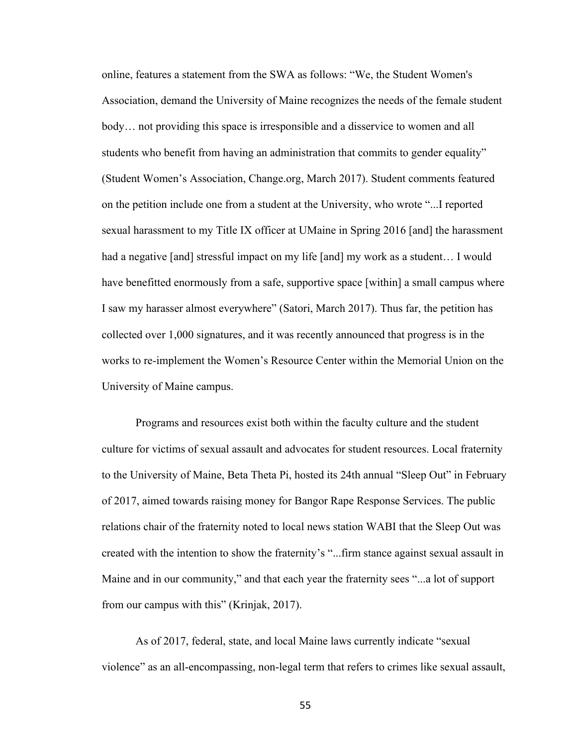online, features a statement from the SWA as follows: "We, the Student Women's Association, demand the University of Maine recognizes the needs of the female student body… not providing this space is irresponsible and a disservice to women and all students who benefit from having an administration that commits to gender equality" (Student Women's Association, Change.org, March 2017). Student comments featured on the petition include one from a student at the University, who wrote "...I reported sexual harassment to my Title IX officer at UMaine in Spring 2016 [and] the harassment had a negative [and] stressful impact on my life [and] my work as a student... I would have benefitted enormously from a safe, supportive space [within] a small campus where I saw my harasser almost everywhere" (Satori, March 2017). Thus far, the petition has collected over 1,000 signatures, and it was recently announced that progress is in the works to re-implement the Women's Resource Center within the Memorial Union on the University of Maine campus.

Programs and resources exist both within the faculty culture and the student culture for victims of sexual assault and advocates for student resources. Local fraternity to the University of Maine, Beta Theta Pi, hosted its 24th annual "Sleep Out" in February of 2017, aimed towards raising money for Bangor Rape Response Services. The public relations chair of the fraternity noted to local news station WABI that the Sleep Out was created with the intention to show the fraternity's "...firm stance against sexual assault in Maine and in our community," and that each year the fraternity sees "...a lot of support from our campus with this" (Krinjak, 2017).

As of 2017, federal, state, and local Maine laws currently indicate "sexual violence" as an all-encompassing, non-legal term that refers to crimes like sexual assault,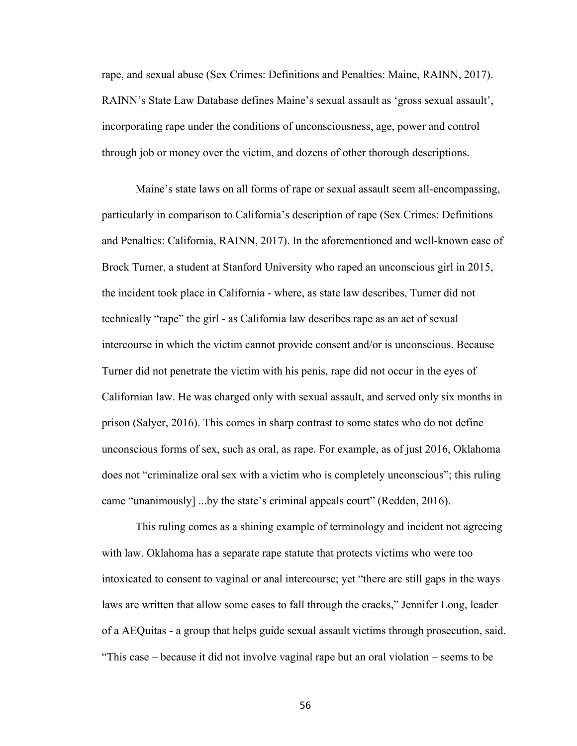rape, and sexual abuse (Sex Crimes: Definitions and Penalties: Maine, RAINN, 2017). RAINN's State Law Database defines Maine's sexual assault as 'gross sexual assault', incorporating rape under the conditions of unconsciousness, age, power and control through job or money over the victim, and dozens of other thorough descriptions.

Maine's state laws on all forms of rape or sexual assault seem all-encompassing, particularly in comparison to California's description of rape (Sex Crimes: Definitions and Penalties: California, RAINN, 2017). In the aforementioned and well-known case of Brock Turner, a student at Stanford University who raped an unconscious girl in 2015, the incident took place in California - where, as state law describes, Turner did not technically "rape" the girl - as California law describes rape as an act of sexual intercourse in which the victim cannot provide consent and/or is unconscious. Because Turner did not penetrate the victim with his penis, rape did not occur in the eyes of Californian law. He was charged only with sexual assault, and served only six months in prison (Salyer, 2016). This comes in sharp contrast to some states who do not define unconscious forms of sex, such as oral, as rape. For example, as of just 2016, Oklahoma does not "criminalize oral sex with a victim who is completely unconscious"; this ruling came "unanimously] ...by the state's criminal appeals court" (Redden, 2016).

This ruling comes as a shining example of terminology and incident not agreeing with law. Oklahoma has a separate rape statute that protects victims who were too intoxicated to consent to vaginal or anal intercourse; yet "there are still gaps in the ways laws are written that allow some cases to fall through the cracks," Jennifer Long, leader of a AEQuitas - a group that helps guide sexual assault victims through prosecution, said. "This case – because it did not involve vaginal rape but an oral violation – seems to be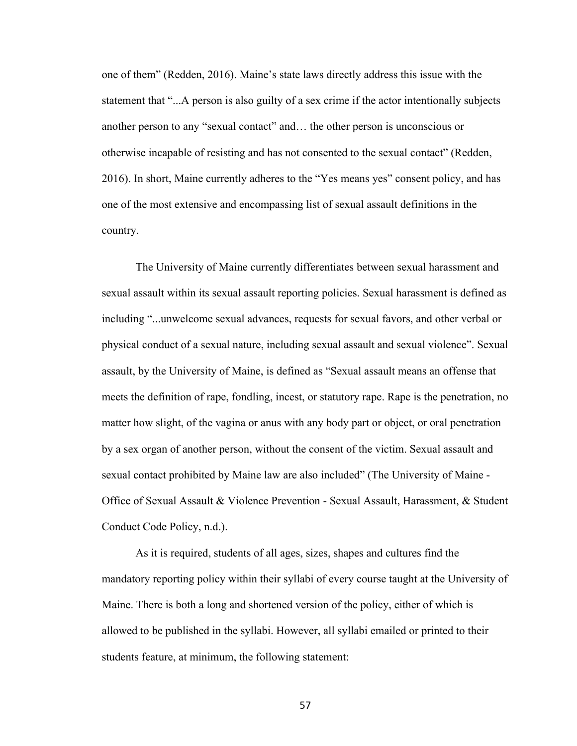one of them" (Redden, 2016). Maine's state laws directly address this issue with the statement that "...A person is also guilty of a sex crime if the actor intentionally subjects another person to any "sexual contact" and… the other person is unconscious or otherwise incapable of resisting and has not consented to the sexual contact" (Redden, 2016). In short, Maine currently adheres to the "Yes means yes" consent policy, and has one of the most extensive and encompassing list of sexual assault definitions in the country.

The University of Maine currently differentiates between sexual harassment and sexual assault within its sexual assault reporting policies. Sexual harassment is defined as including "...unwelcome sexual advances, requests for sexual favors, and other verbal or physical conduct of a sexual nature, including sexual assault and sexual violence". Sexual assault, by the University of Maine, is defined as "Sexual assault means an offense that meets the definition of rape, fondling, incest, or statutory rape. Rape is the penetration, no matter how slight, of the vagina or anus with any body part or object, or oral penetration by a sex organ of another person, without the consent of the victim. Sexual assault and sexual contact prohibited by Maine law are also included" (The University of Maine - Office of Sexual Assault & Violence Prevention - Sexual Assault, Harassment, & Student Conduct Code Policy, n.d.).

 As it is required, students of all ages, sizes, shapes and cultures find the mandatory reporting policy within their syllabi of every course taught at the University of Maine. There is both a long and shortened version of the policy, either of which is allowed to be published in the syllabi. However, all syllabi emailed or printed to their students feature, at minimum, the following statement: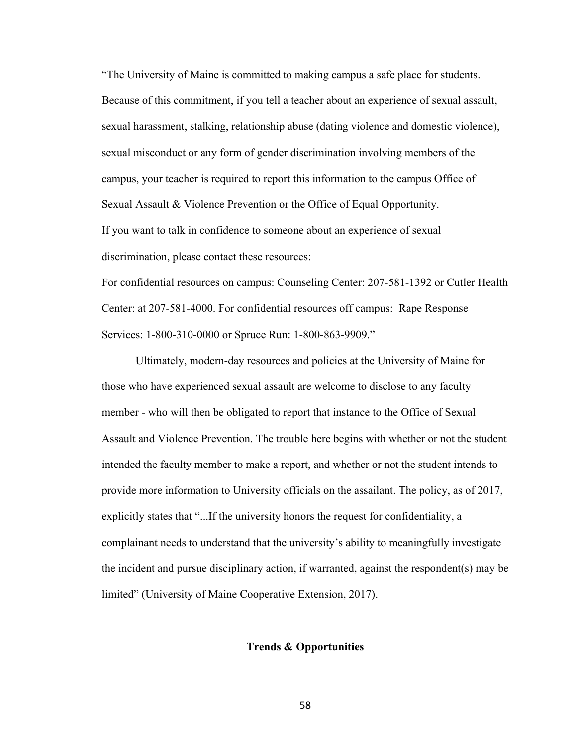"The University of Maine is committed to making campus a safe place for students. Because of this commitment, if you tell a teacher about an experience of sexual assault, sexual harassment, stalking, relationship abuse (dating violence and domestic violence), sexual misconduct or any form of gender discrimination involving members of the campus, your teacher is required to report this information to the campus Office of Sexual Assault & Violence Prevention or the Office of Equal Opportunity. If you want to talk in confidence to someone about an experience of sexual discrimination, please contact these resources:

For confidential resources on campus: Counseling Center: 207-581-1392 or Cutler Health Center: at 207-581-4000. For confidential resources off campus: Rape Response Services: 1-800-310-0000 or Spruce Run: 1-800-863-9909."

Ultimately, modern-day resources and policies at the University of Maine for those who have experienced sexual assault are welcome to disclose to any faculty member - who will then be obligated to report that instance to the Office of Sexual Assault and Violence Prevention. The trouble here begins with whether or not the student intended the faculty member to make a report, and whether or not the student intends to provide more information to University officials on the assailant. The policy, as of 2017, explicitly states that "...If the university honors the request for confidentiality, a complainant needs to understand that the university's ability to meaningfully investigate the incident and pursue disciplinary action, if warranted, against the respondent(s) may be limited" (University of Maine Cooperative Extension, 2017).

## **Trends & Opportunities**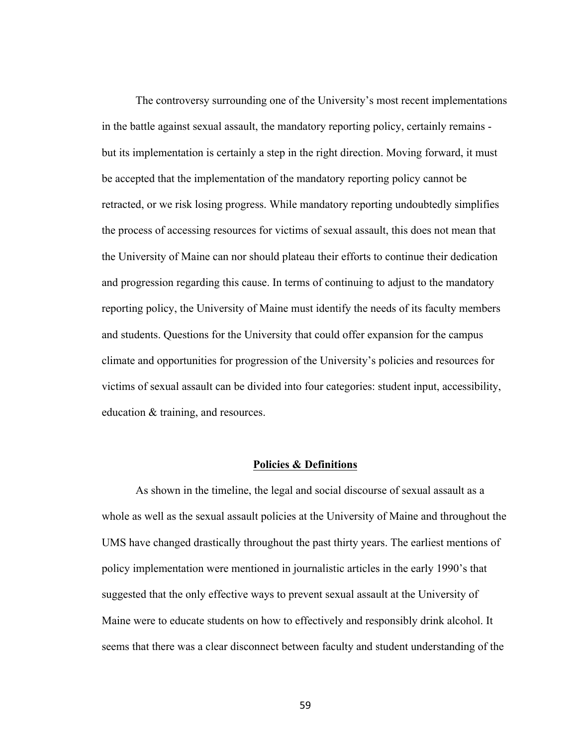The controversy surrounding one of the University's most recent implementations in the battle against sexual assault, the mandatory reporting policy, certainly remains but its implementation is certainly a step in the right direction. Moving forward, it must be accepted that the implementation of the mandatory reporting policy cannot be retracted, or we risk losing progress. While mandatory reporting undoubtedly simplifies the process of accessing resources for victims of sexual assault, this does not mean that the University of Maine can nor should plateau their efforts to continue their dedication and progression regarding this cause. In terms of continuing to adjust to the mandatory reporting policy, the University of Maine must identify the needs of its faculty members and students. Questions for the University that could offer expansion for the campus climate and opportunities for progression of the University's policies and resources for victims of sexual assault can be divided into four categories: student input, accessibility, education & training, and resources.

## **Policies & Definitions**

As shown in the timeline, the legal and social discourse of sexual assault as a whole as well as the sexual assault policies at the University of Maine and throughout the UMS have changed drastically throughout the past thirty years. The earliest mentions of policy implementation were mentioned in journalistic articles in the early 1990's that suggested that the only effective ways to prevent sexual assault at the University of Maine were to educate students on how to effectively and responsibly drink alcohol. It seems that there was a clear disconnect between faculty and student understanding of the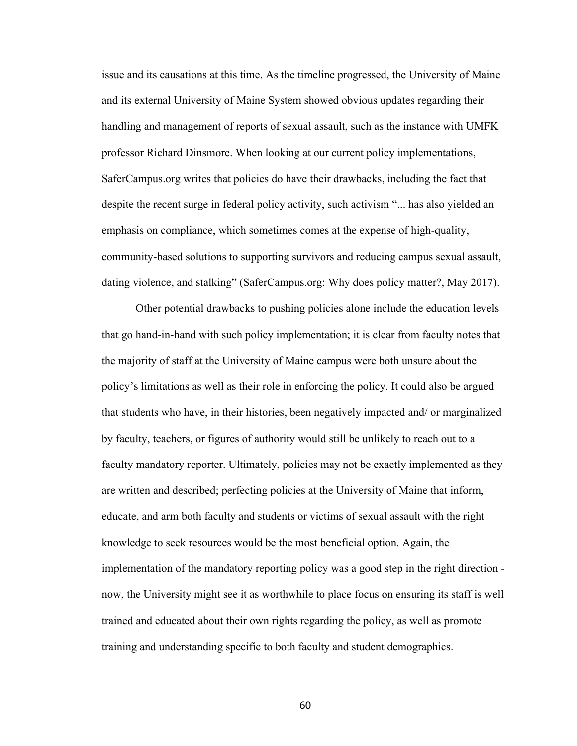issue and its causations at this time. As the timeline progressed, the University of Maine and its external University of Maine System showed obvious updates regarding their handling and management of reports of sexual assault, such as the instance with UMFK professor Richard Dinsmore. When looking at our current policy implementations, SaferCampus.org writes that policies do have their drawbacks, including the fact that despite the recent surge in federal policy activity, such activism "... has also yielded an emphasis on compliance, which sometimes comes at the expense of high-quality, community-based solutions to supporting survivors and reducing campus sexual assault, dating violence, and stalking" (SaferCampus.org: Why does policy matter?, May 2017).

Other potential drawbacks to pushing policies alone include the education levels that go hand-in-hand with such policy implementation; it is clear from faculty notes that the majority of staff at the University of Maine campus were both unsure about the policy's limitations as well as their role in enforcing the policy. It could also be argued that students who have, in their histories, been negatively impacted and/ or marginalized by faculty, teachers, or figures of authority would still be unlikely to reach out to a faculty mandatory reporter. Ultimately, policies may not be exactly implemented as they are written and described; perfecting policies at the University of Maine that inform, educate, and arm both faculty and students or victims of sexual assault with the right knowledge to seek resources would be the most beneficial option. Again, the implementation of the mandatory reporting policy was a good step in the right direction now, the University might see it as worthwhile to place focus on ensuring its staff is well trained and educated about their own rights regarding the policy, as well as promote training and understanding specific to both faculty and student demographics.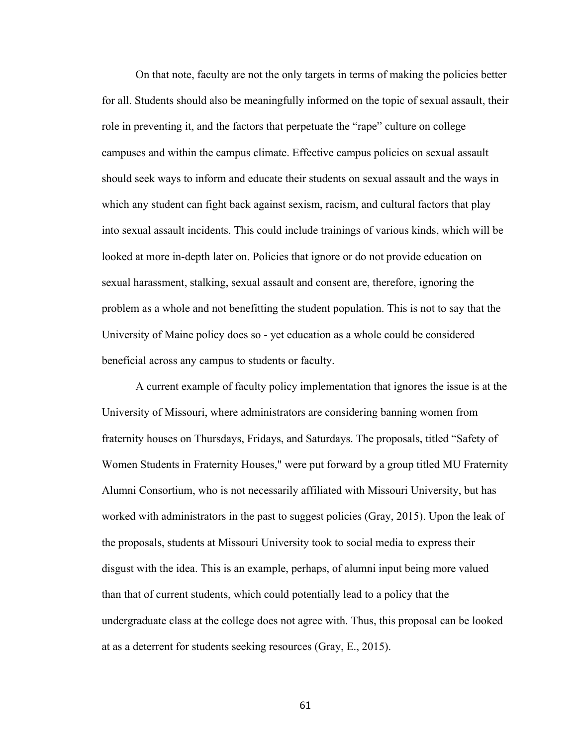On that note, faculty are not the only targets in terms of making the policies better for all. Students should also be meaningfully informed on the topic of sexual assault, their role in preventing it, and the factors that perpetuate the "rape" culture on college campuses and within the campus climate. Effective campus policies on sexual assault should seek ways to inform and educate their students on sexual assault and the ways in which any student can fight back against sexism, racism, and cultural factors that play into sexual assault incidents. This could include trainings of various kinds, which will be looked at more in-depth later on. Policies that ignore or do not provide education on sexual harassment, stalking, sexual assault and consent are, therefore, ignoring the problem as a whole and not benefitting the student population. This is not to say that the University of Maine policy does so - yet education as a whole could be considered beneficial across any campus to students or faculty.

A current example of faculty policy implementation that ignores the issue is at the University of Missouri, where administrators are considering banning women from fraternity houses on Thursdays, Fridays, and Saturdays. The proposals, titled "Safety of Women Students in Fraternity Houses," were put forward by a group titled MU Fraternity Alumni Consortium, who is not necessarily affiliated with Missouri University, but has worked with administrators in the past to suggest policies (Gray, 2015). Upon the leak of the proposals, students at Missouri University took to social media to express their disgust with the idea. This is an example, perhaps, of alumni input being more valued than that of current students, which could potentially lead to a policy that the undergraduate class at the college does not agree with. Thus, this proposal can be looked at as a deterrent for students seeking resources (Gray, E., 2015).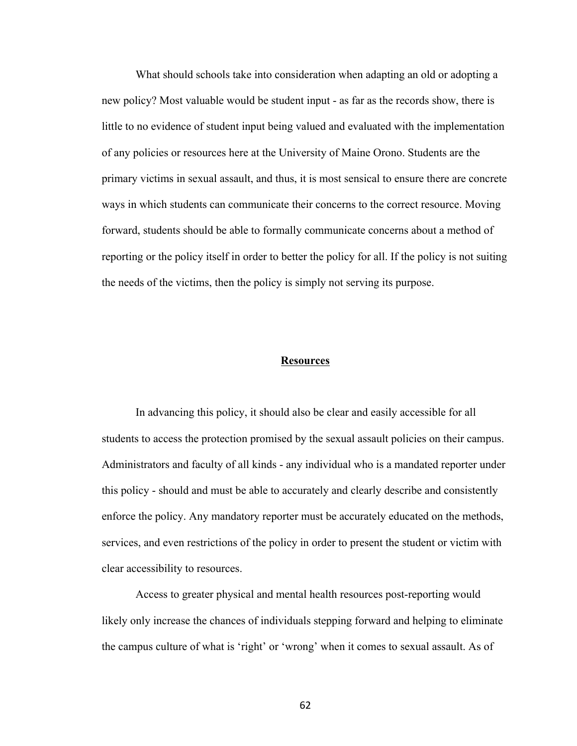What should schools take into consideration when adapting an old or adopting a new policy? Most valuable would be student input - as far as the records show, there is little to no evidence of student input being valued and evaluated with the implementation of any policies or resources here at the University of Maine Orono. Students are the primary victims in sexual assault, and thus, it is most sensical to ensure there are concrete ways in which students can communicate their concerns to the correct resource. Moving forward, students should be able to formally communicate concerns about a method of reporting or the policy itself in order to better the policy for all. If the policy is not suiting the needs of the victims, then the policy is simply not serving its purpose.

## **Resources**

In advancing this policy, it should also be clear and easily accessible for all students to access the protection promised by the sexual assault policies on their campus. Administrators and faculty of all kinds - any individual who is a mandated reporter under this policy - should and must be able to accurately and clearly describe and consistently enforce the policy. Any mandatory reporter must be accurately educated on the methods, services, and even restrictions of the policy in order to present the student or victim with clear accessibility to resources.

Access to greater physical and mental health resources post-reporting would likely only increase the chances of individuals stepping forward and helping to eliminate the campus culture of what is 'right' or 'wrong' when it comes to sexual assault. As of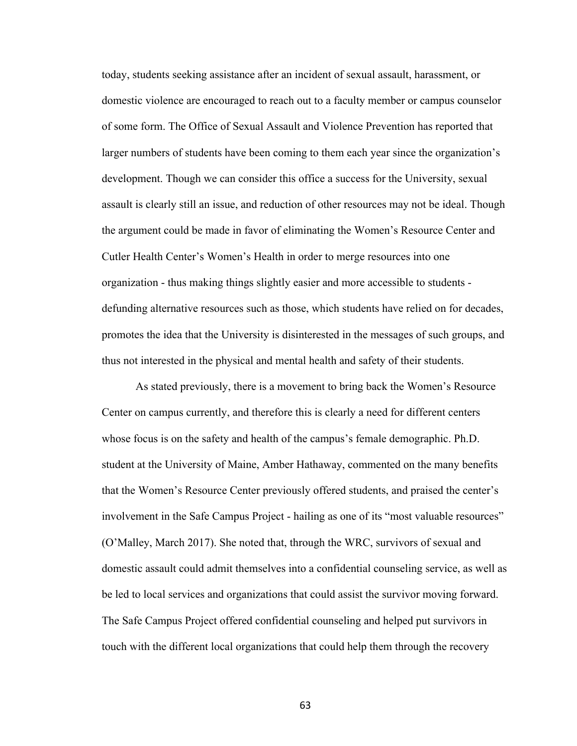today, students seeking assistance after an incident of sexual assault, harassment, or domestic violence are encouraged to reach out to a faculty member or campus counselor of some form. The Office of Sexual Assault and Violence Prevention has reported that larger numbers of students have been coming to them each year since the organization's development. Though we can consider this office a success for the University, sexual assault is clearly still an issue, and reduction of other resources may not be ideal. Though the argument could be made in favor of eliminating the Women's Resource Center and Cutler Health Center's Women's Health in order to merge resources into one organization - thus making things slightly easier and more accessible to students defunding alternative resources such as those, which students have relied on for decades, promotes the idea that the University is disinterested in the messages of such groups, and thus not interested in the physical and mental health and safety of their students.

As stated previously, there is a movement to bring back the Women's Resource Center on campus currently, and therefore this is clearly a need for different centers whose focus is on the safety and health of the campus's female demographic. Ph.D. student at the University of Maine, Amber Hathaway, commented on the many benefits that the Women's Resource Center previously offered students, and praised the center's involvement in the Safe Campus Project - hailing as one of its "most valuable resources" (O'Malley, March 2017). She noted that, through the WRC, survivors of sexual and domestic assault could admit themselves into a confidential counseling service, as well as be led to local services and organizations that could assist the survivor moving forward. The Safe Campus Project offered confidential counseling and helped put survivors in touch with the different local organizations that could help them through the recovery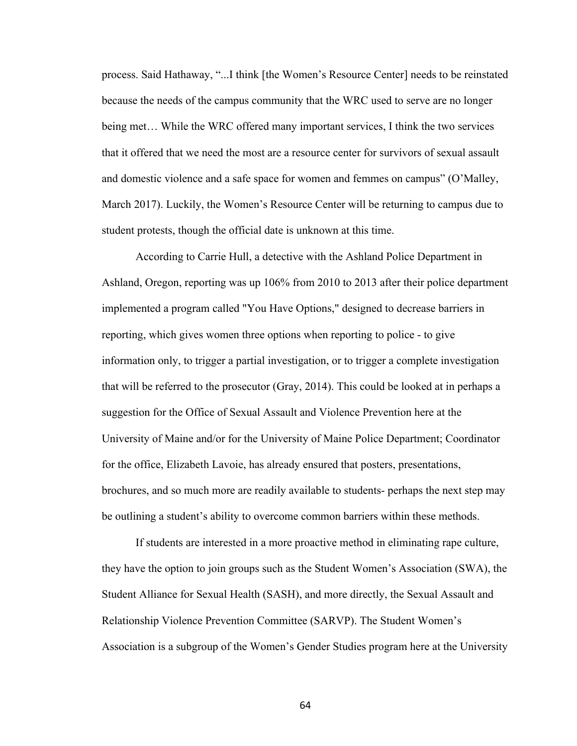process. Said Hathaway, "...I think [the Women's Resource Center] needs to be reinstated because the needs of the campus community that the WRC used to serve are no longer being met… While the WRC offered many important services, I think the two services that it offered that we need the most are a resource center for survivors of sexual assault and domestic violence and a safe space for women and femmes on campus" (O'Malley, March 2017). Luckily, the Women's Resource Center will be returning to campus due to student protests, though the official date is unknown at this time.

According to Carrie Hull, a detective with the Ashland Police Department in Ashland, Oregon, reporting was up 106% from 2010 to 2013 after their police department implemented a program called "You Have Options," designed to decrease barriers in reporting, which gives women three options when reporting to police - to give information only, to trigger a partial investigation, or to trigger a complete investigation that will be referred to the prosecutor (Gray, 2014). This could be looked at in perhaps a suggestion for the Office of Sexual Assault and Violence Prevention here at the University of Maine and/or for the University of Maine Police Department; Coordinator for the office, Elizabeth Lavoie, has already ensured that posters, presentations, brochures, and so much more are readily available to students- perhaps the next step may be outlining a student's ability to overcome common barriers within these methods.

If students are interested in a more proactive method in eliminating rape culture, they have the option to join groups such as the Student Women's Association (SWA), the Student Alliance for Sexual Health (SASH), and more directly, the Sexual Assault and Relationship Violence Prevention Committee (SARVP). The Student Women's Association is a subgroup of the Women's Gender Studies program here at the University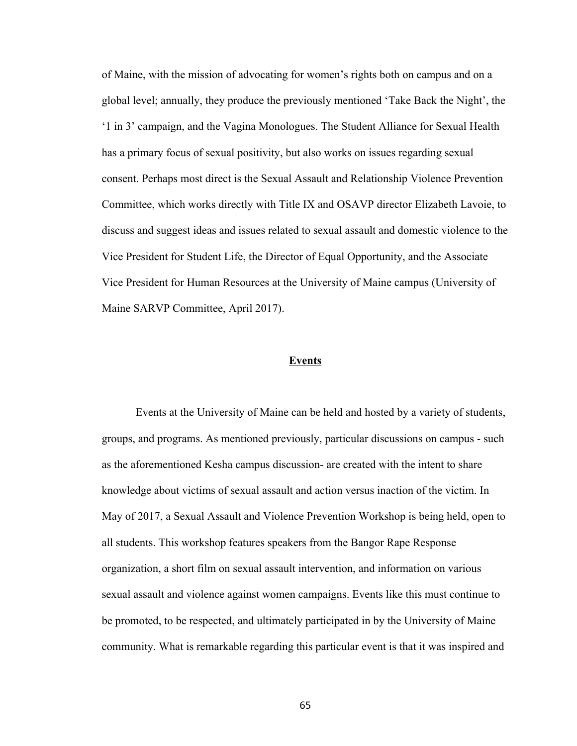of Maine, with the mission of advocating for women's rights both on campus and on a global level; annually, they produce the previously mentioned 'Take Back the Night', the '1 in 3' campaign, and the Vagina Monologues. The Student Alliance for Sexual Health has a primary focus of sexual positivity, but also works on issues regarding sexual consent. Perhaps most direct is the Sexual Assault and Relationship Violence Prevention Committee, which works directly with Title IX and OSAVP director Elizabeth Lavoie, to discuss and suggest ideas and issues related to sexual assault and domestic violence to the Vice President for Student Life, the Director of Equal Opportunity, and the Associate Vice President for Human Resources at the University of Maine campus (University of Maine SARVP Committee, April 2017).

#### **Events**

Events at the University of Maine can be held and hosted by a variety of students, groups, and programs. As mentioned previously, particular discussions on campus - such as the aforementioned Kesha campus discussion- are created with the intent to share knowledge about victims of sexual assault and action versus inaction of the victim. In May of 2017, a Sexual Assault and Violence Prevention Workshop is being held, open to all students. This workshop features speakers from the Bangor Rape Response organization, a short film on sexual assault intervention, and information on various sexual assault and violence against women campaigns. Events like this must continue to be promoted, to be respected, and ultimately participated in by the University of Maine community. What is remarkable regarding this particular event is that it was inspired and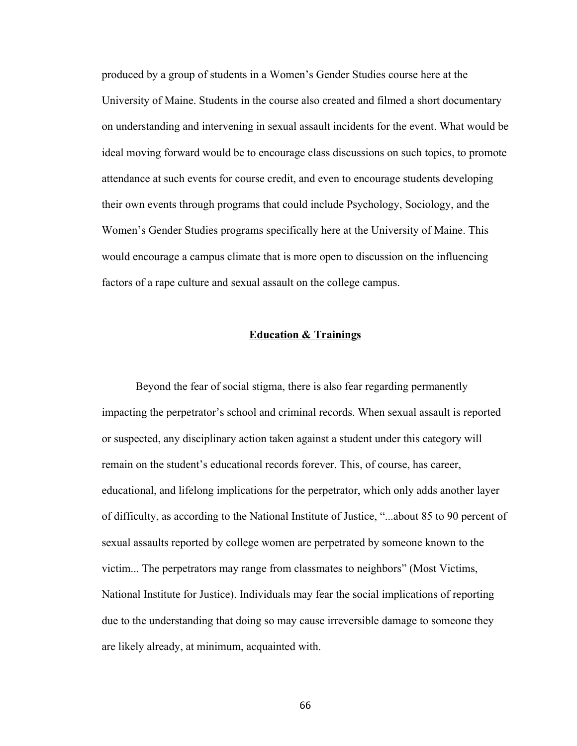produced by a group of students in a Women's Gender Studies course here at the University of Maine. Students in the course also created and filmed a short documentary on understanding and intervening in sexual assault incidents for the event. What would be ideal moving forward would be to encourage class discussions on such topics, to promote attendance at such events for course credit, and even to encourage students developing their own events through programs that could include Psychology, Sociology, and the Women's Gender Studies programs specifically here at the University of Maine. This would encourage a campus climate that is more open to discussion on the influencing factors of a rape culture and sexual assault on the college campus.

### **Education & Trainings**

Beyond the fear of social stigma, there is also fear regarding permanently impacting the perpetrator's school and criminal records. When sexual assault is reported or suspected, any disciplinary action taken against a student under this category will remain on the student's educational records forever. This, of course, has career, educational, and lifelong implications for the perpetrator, which only adds another layer of difficulty, as according to the National Institute of Justice, "...about 85 to 90 percent of sexual assaults reported by college women are perpetrated by someone known to the victim... The perpetrators may range from classmates to neighbors" (Most Victims, National Institute for Justice). Individuals may fear the social implications of reporting due to the understanding that doing so may cause irreversible damage to someone they are likely already, at minimum, acquainted with.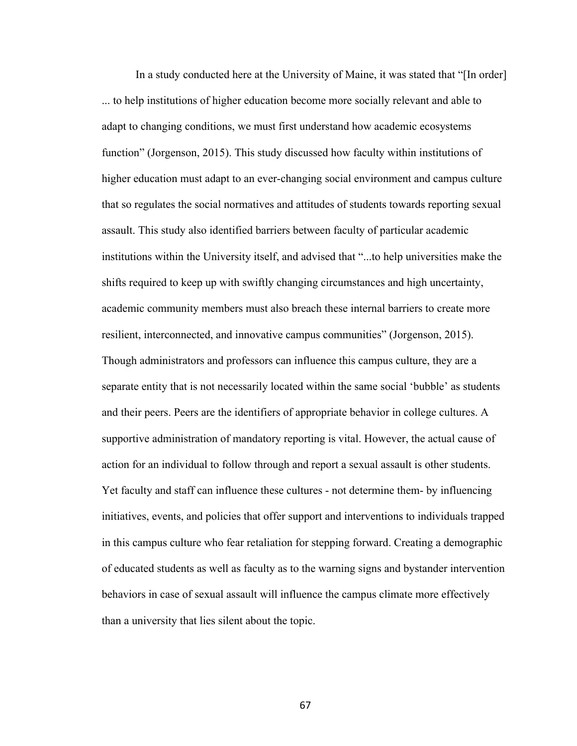In a study conducted here at the University of Maine, it was stated that "[In order] ... to help institutions of higher education become more socially relevant and able to adapt to changing conditions, we must first understand how academic ecosystems function" (Jorgenson, 2015). This study discussed how faculty within institutions of higher education must adapt to an ever-changing social environment and campus culture that so regulates the social normatives and attitudes of students towards reporting sexual assault. This study also identified barriers between faculty of particular academic institutions within the University itself, and advised that "...to help universities make the shifts required to keep up with swiftly changing circumstances and high uncertainty, academic community members must also breach these internal barriers to create more resilient, interconnected, and innovative campus communities" (Jorgenson, 2015). Though administrators and professors can influence this campus culture, they are a separate entity that is not necessarily located within the same social 'bubble' as students and their peers. Peers are the identifiers of appropriate behavior in college cultures. A supportive administration of mandatory reporting is vital. However, the actual cause of action for an individual to follow through and report a sexual assault is other students. Yet faculty and staff can influence these cultures - not determine them- by influencing initiatives, events, and policies that offer support and interventions to individuals trapped in this campus culture who fear retaliation for stepping forward. Creating a demographic of educated students as well as faculty as to the warning signs and bystander intervention behaviors in case of sexual assault will influence the campus climate more effectively than a university that lies silent about the topic.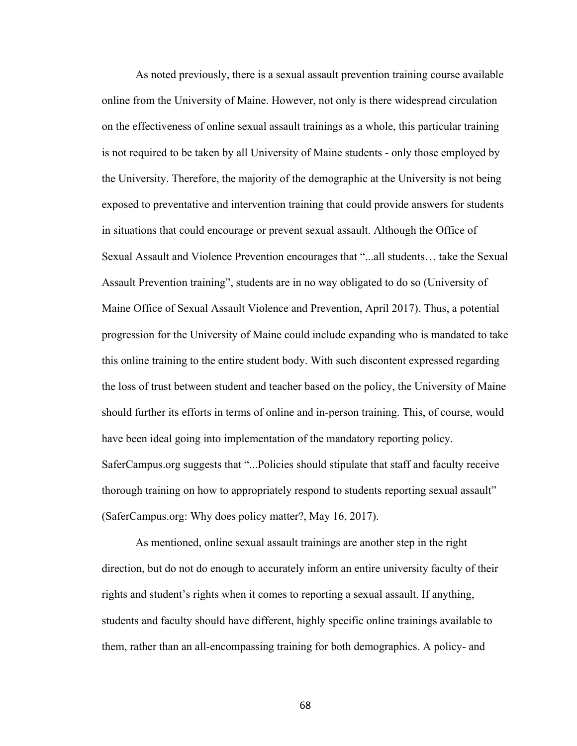As noted previously, there is a sexual assault prevention training course available online from the University of Maine. However, not only is there widespread circulation on the effectiveness of online sexual assault trainings as a whole, this particular training is not required to be taken by all University of Maine students - only those employed by the University. Therefore, the majority of the demographic at the University is not being exposed to preventative and intervention training that could provide answers for students in situations that could encourage or prevent sexual assault. Although the Office of Sexual Assault and Violence Prevention encourages that "...all students… take the Sexual Assault Prevention training", students are in no way obligated to do so (University of Maine Office of Sexual Assault Violence and Prevention, April 2017). Thus, a potential progression for the University of Maine could include expanding who is mandated to take this online training to the entire student body. With such discontent expressed regarding the loss of trust between student and teacher based on the policy, the University of Maine should further its efforts in terms of online and in-person training. This, of course, would have been ideal going into implementation of the mandatory reporting policy. SaferCampus.org suggests that "...Policies should stipulate that staff and faculty receive thorough training on how to appropriately respond to students reporting sexual assault" (SaferCampus.org: Why does policy matter?, May 16, 2017).

As mentioned, online sexual assault trainings are another step in the right direction, but do not do enough to accurately inform an entire university faculty of their rights and student's rights when it comes to reporting a sexual assault. If anything, students and faculty should have different, highly specific online trainings available to them, rather than an all-encompassing training for both demographics. A policy- and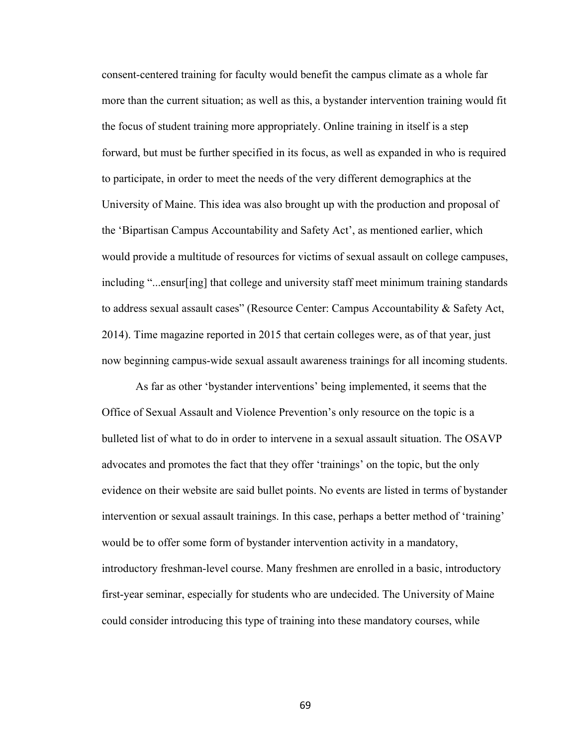consent-centered training for faculty would benefit the campus climate as a whole far more than the current situation; as well as this, a bystander intervention training would fit the focus of student training more appropriately. Online training in itself is a step forward, but must be further specified in its focus, as well as expanded in who is required to participate, in order to meet the needs of the very different demographics at the University of Maine. This idea was also brought up with the production and proposal of the 'Bipartisan Campus Accountability and Safety Act', as mentioned earlier, which would provide a multitude of resources for victims of sexual assault on college campuses, including "...ensur[ing] that college and university staff meet minimum training standards to address sexual assault cases" (Resource Center: Campus Accountability & Safety Act, 2014). Time magazine reported in 2015 that certain colleges were, as of that year, just now beginning campus-wide sexual assault awareness trainings for all incoming students.

As far as other 'bystander interventions' being implemented, it seems that the Office of Sexual Assault and Violence Prevention's only resource on the topic is a bulleted list of what to do in order to intervene in a sexual assault situation. The OSAVP advocates and promotes the fact that they offer 'trainings' on the topic, but the only evidence on their website are said bullet points. No events are listed in terms of bystander intervention or sexual assault trainings. In this case, perhaps a better method of 'training' would be to offer some form of bystander intervention activity in a mandatory, introductory freshman-level course. Many freshmen are enrolled in a basic, introductory first-year seminar, especially for students who are undecided. The University of Maine could consider introducing this type of training into these mandatory courses, while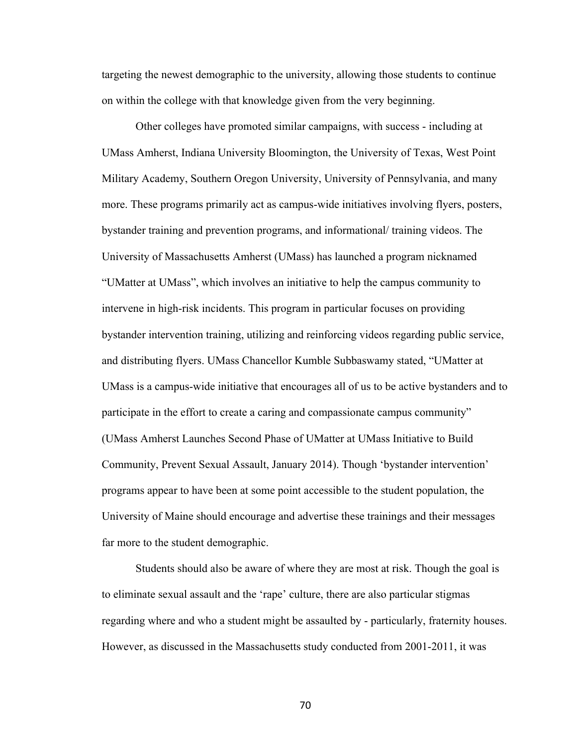targeting the newest demographic to the university, allowing those students to continue on within the college with that knowledge given from the very beginning.

Other colleges have promoted similar campaigns, with success - including at UMass Amherst, Indiana University Bloomington, the University of Texas, West Point Military Academy, Southern Oregon University, University of Pennsylvania, and many more. These programs primarily act as campus-wide initiatives involving flyers, posters, bystander training and prevention programs, and informational/ training videos. The University of Massachusetts Amherst (UMass) has launched a program nicknamed "UMatter at UMass", which involves an initiative to help the campus community to intervene in high-risk incidents. This program in particular focuses on providing bystander intervention training, utilizing and reinforcing videos regarding public service, and distributing flyers. UMass Chancellor Kumble Subbaswamy stated, "UMatter at UMass is a campus-wide initiative that encourages all of us to be active bystanders and to participate in the effort to create a caring and compassionate campus community" (UMass Amherst Launches Second Phase of UMatter at UMass Initiative to Build Community, Prevent Sexual Assault, January 2014). Though 'bystander intervention' programs appear to have been at some point accessible to the student population, the University of Maine should encourage and advertise these trainings and their messages far more to the student demographic.

Students should also be aware of where they are most at risk. Though the goal is to eliminate sexual assault and the 'rape' culture, there are also particular stigmas regarding where and who a student might be assaulted by - particularly, fraternity houses. However, as discussed in the Massachusetts study conducted from 2001-2011, it was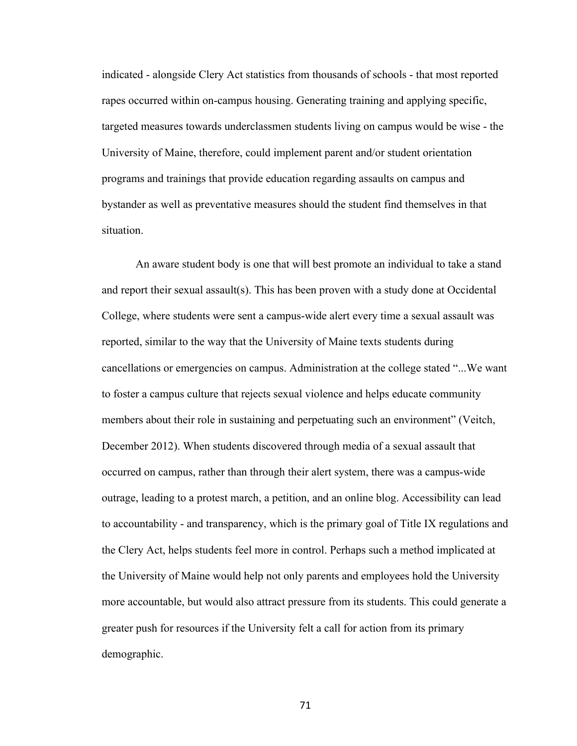indicated - alongside Clery Act statistics from thousands of schools - that most reported rapes occurred within on-campus housing. Generating training and applying specific, targeted measures towards underclassmen students living on campus would be wise - the University of Maine, therefore, could implement parent and/or student orientation programs and trainings that provide education regarding assaults on campus and bystander as well as preventative measures should the student find themselves in that situation.

An aware student body is one that will best promote an individual to take a stand and report their sexual assault(s). This has been proven with a study done at Occidental College, where students were sent a campus-wide alert every time a sexual assault was reported, similar to the way that the University of Maine texts students during cancellations or emergencies on campus. Administration at the college stated "...We want to foster a campus culture that rejects sexual violence and helps educate community members about their role in sustaining and perpetuating such an environment" (Veitch, December 2012). When students discovered through media of a sexual assault that occurred on campus, rather than through their alert system, there was a campus-wide outrage, leading to a protest march, a petition, and an online blog. Accessibility can lead to accountability - and transparency, which is the primary goal of Title IX regulations and the Clery Act, helps students feel more in control. Perhaps such a method implicated at the University of Maine would help not only parents and employees hold the University more accountable, but would also attract pressure from its students. This could generate a greater push for resources if the University felt a call for action from its primary demographic.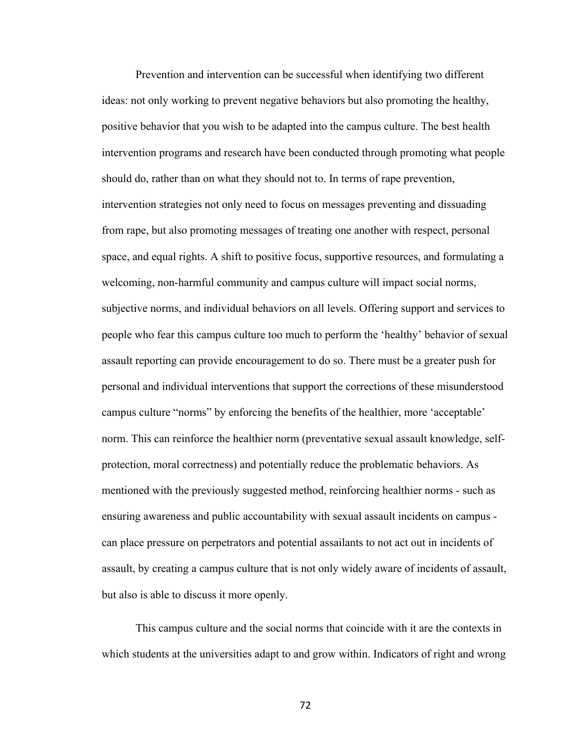Prevention and intervention can be successful when identifying two different ideas: not only working to prevent negative behaviors but also promoting the healthy, positive behavior that you wish to be adapted into the campus culture. The best health intervention programs and research have been conducted through promoting what people should do, rather than on what they should not to. In terms of rape prevention, intervention strategies not only need to focus on messages preventing and dissuading from rape, but also promoting messages of treating one another with respect, personal space, and equal rights. A shift to positive focus, supportive resources, and formulating a welcoming, non-harmful community and campus culture will impact social norms, subjective norms, and individual behaviors on all levels. Offering support and services to people who fear this campus culture too much to perform the 'healthy' behavior of sexual assault reporting can provide encouragement to do so. There must be a greater push for personal and individual interventions that support the corrections of these misunderstood campus culture "norms" by enforcing the benefits of the healthier, more 'acceptable' norm. This can reinforce the healthier norm (preventative sexual assault knowledge, selfprotection, moral correctness) and potentially reduce the problematic behaviors. As mentioned with the previously suggested method, reinforcing healthier norms - such as ensuring awareness and public accountability with sexual assault incidents on campus can place pressure on perpetrators and potential assailants to not act out in incidents of assault, by creating a campus culture that is not only widely aware of incidents of assault, but also is able to discuss it more openly.

This campus culture and the social norms that coincide with it are the contexts in which students at the universities adapt to and grow within. Indicators of right and wrong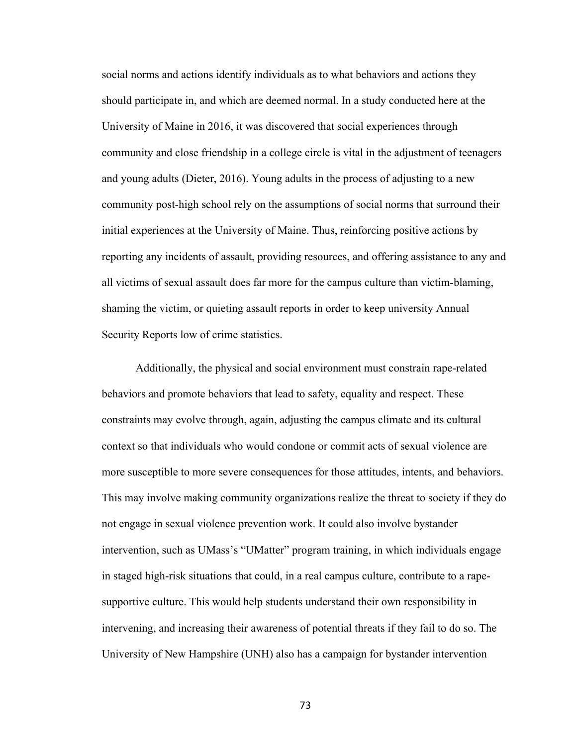social norms and actions identify individuals as to what behaviors and actions they should participate in, and which are deemed normal. In a study conducted here at the University of Maine in 2016, it was discovered that social experiences through community and close friendship in a college circle is vital in the adjustment of teenagers and young adults (Dieter, 2016). Young adults in the process of adjusting to a new community post-high school rely on the assumptions of social norms that surround their initial experiences at the University of Maine. Thus, reinforcing positive actions by reporting any incidents of assault, providing resources, and offering assistance to any and all victims of sexual assault does far more for the campus culture than victim-blaming, shaming the victim, or quieting assault reports in order to keep university Annual Security Reports low of crime statistics.

Additionally, the physical and social environment must constrain rape-related behaviors and promote behaviors that lead to safety, equality and respect. These constraints may evolve through, again, adjusting the campus climate and its cultural context so that individuals who would condone or commit acts of sexual violence are more susceptible to more severe consequences for those attitudes, intents, and behaviors. This may involve making community organizations realize the threat to society if they do not engage in sexual violence prevention work. It could also involve bystander intervention, such as UMass's "UMatter" program training, in which individuals engage in staged high-risk situations that could, in a real campus culture, contribute to a rapesupportive culture. This would help students understand their own responsibility in intervening, and increasing their awareness of potential threats if they fail to do so. The University of New Hampshire (UNH) also has a campaign for bystander intervention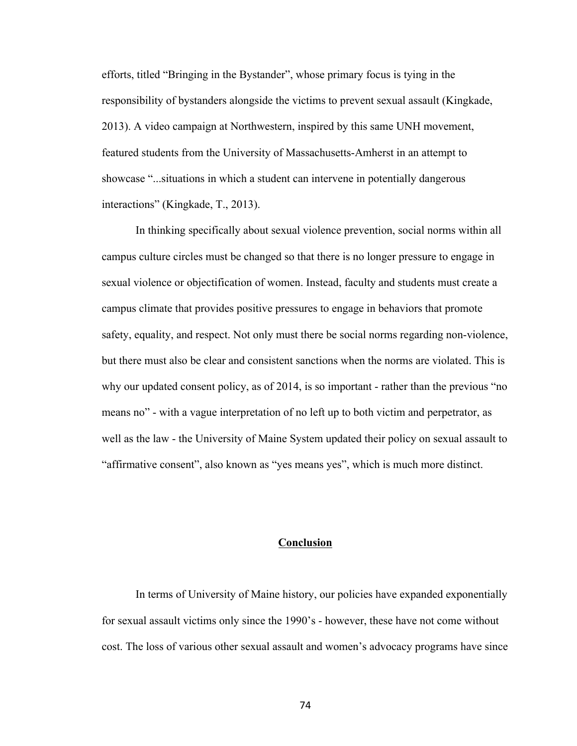efforts, titled "Bringing in the Bystander", whose primary focus is tying in the responsibility of bystanders alongside the victims to prevent sexual assault (Kingkade, 2013). A video campaign at Northwestern, inspired by this same UNH movement, featured students from the University of Massachusetts-Amherst in an attempt to showcase "...situations in which a student can intervene in potentially dangerous interactions" (Kingkade, T., 2013).

In thinking specifically about sexual violence prevention, social norms within all campus culture circles must be changed so that there is no longer pressure to engage in sexual violence or objectification of women. Instead, faculty and students must create a campus climate that provides positive pressures to engage in behaviors that promote safety, equality, and respect. Not only must there be social norms regarding non-violence, but there must also be clear and consistent sanctions when the norms are violated. This is why our updated consent policy, as of 2014, is so important - rather than the previous "no means no" - with a vague interpretation of no left up to both victim and perpetrator, as well as the law - the University of Maine System updated their policy on sexual assault to "affirmative consent", also known as "yes means yes", which is much more distinct.

# **Conclusion**

In terms of University of Maine history, our policies have expanded exponentially for sexual assault victims only since the 1990's - however, these have not come without cost. The loss of various other sexual assault and women's advocacy programs have since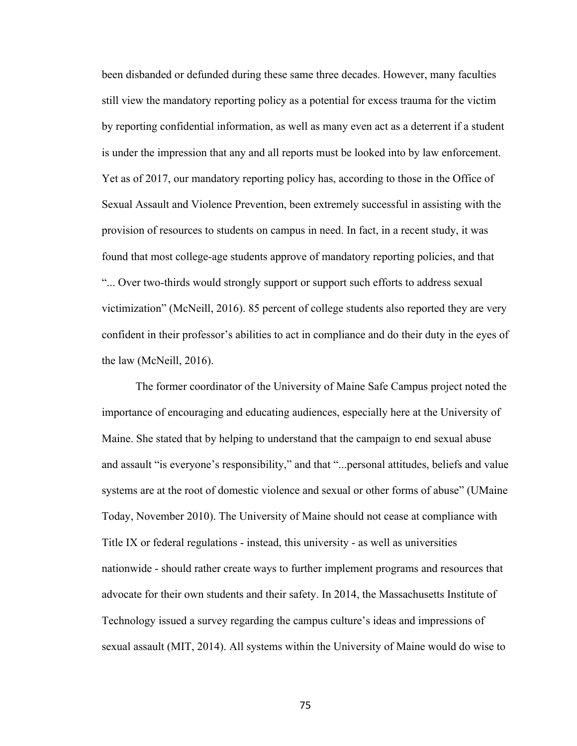been disbanded or defunded during these same three decades. However, many faculties still view the mandatory reporting policy as a potential for excess trauma for the victim by reporting confidential information, as well as many even act as a deterrent if a student is under the impression that any and all reports must be looked into by law enforcement. Yet as of 2017, our mandatory reporting policy has, according to those in the Office of Sexual Assault and Violence Prevention, been extremely successful in assisting with the provision of resources to students on campus in need. In fact, in a recent study, it was found that most college-age students approve of mandatory reporting policies, and that "... Over two-thirds would strongly support or support such efforts to address sexual victimization" (McNeill, 2016). 85 percent of college students also reported they are very confident in their professor's abilities to act in compliance and do their duty in the eyes of the law (McNeill, 2016).

The former coordinator of the University of Maine Safe Campus project noted the importance of encouraging and educating audiences, especially here at the University of Maine. She stated that by helping to understand that the campaign to end sexual abuse and assault "is everyone's responsibility," and that "...personal attitudes, beliefs and value systems are at the root of domestic violence and sexual or other forms of abuse" (UMaine Today, November 2010). The University of Maine should not cease at compliance with Title IX or federal regulations - instead, this university - as well as universities nationwide - should rather create ways to further implement programs and resources that advocate for their own students and their safety. In 2014, the Massachusetts Institute of Technology issued a survey regarding the campus culture's ideas and impressions of sexual assault (MIT, 2014). All systems within the University of Maine would do wise to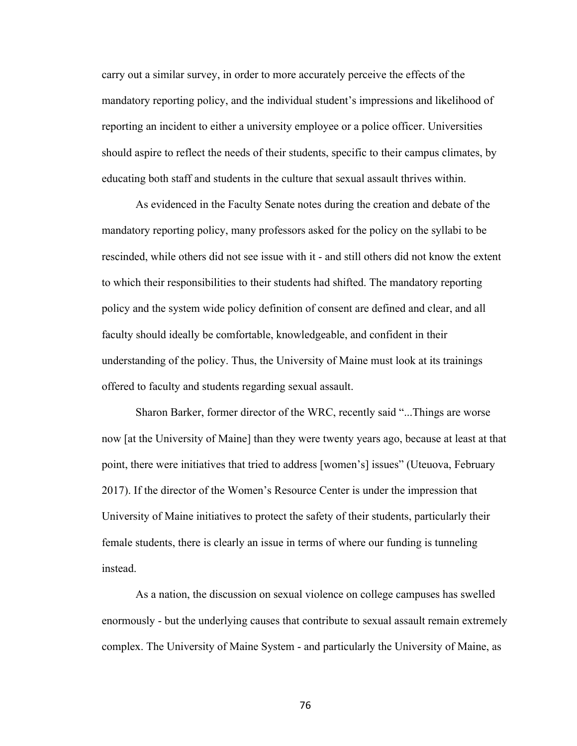carry out a similar survey, in order to more accurately perceive the effects of the mandatory reporting policy, and the individual student's impressions and likelihood of reporting an incident to either a university employee or a police officer. Universities should aspire to reflect the needs of their students, specific to their campus climates, by educating both staff and students in the culture that sexual assault thrives within.

As evidenced in the Faculty Senate notes during the creation and debate of the mandatory reporting policy, many professors asked for the policy on the syllabi to be rescinded, while others did not see issue with it - and still others did not know the extent to which their responsibilities to their students had shifted. The mandatory reporting policy and the system wide policy definition of consent are defined and clear, and all faculty should ideally be comfortable, knowledgeable, and confident in their understanding of the policy. Thus, the University of Maine must look at its trainings offered to faculty and students regarding sexual assault.

Sharon Barker, former director of the WRC, recently said "...Things are worse now [at the University of Maine] than they were twenty years ago, because at least at that point, there were initiatives that tried to address [women's] issues" (Uteuova, February 2017). If the director of the Women's Resource Center is under the impression that University of Maine initiatives to protect the safety of their students, particularly their female students, there is clearly an issue in terms of where our funding is tunneling instead.

As a nation, the discussion on sexual violence on college campuses has swelled enormously - but the underlying causes that contribute to sexual assault remain extremely complex. The University of Maine System - and particularly the University of Maine, as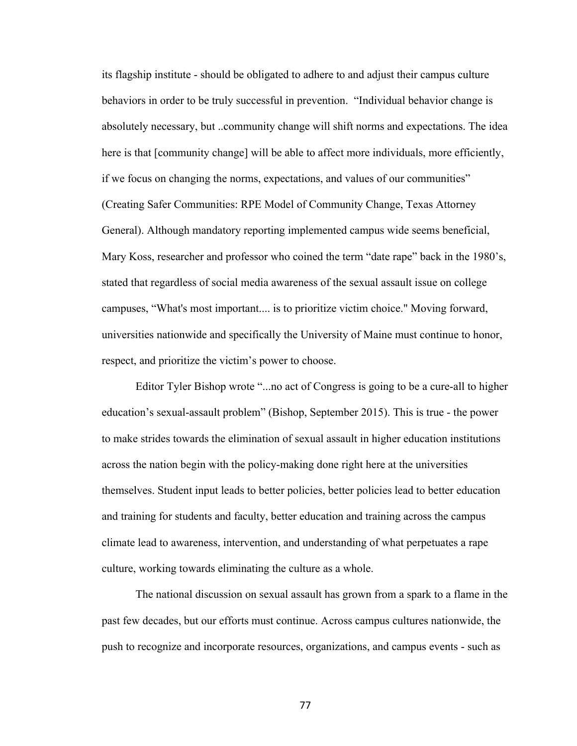its flagship institute - should be obligated to adhere to and adjust their campus culture behaviors in order to be truly successful in prevention. "Individual behavior change is absolutely necessary, but ..community change will shift norms and expectations. The idea here is that [community change] will be able to affect more individuals, more efficiently, if we focus on changing the norms, expectations, and values of our communities" (Creating Safer Communities: RPE Model of Community Change, Texas Attorney General). Although mandatory reporting implemented campus wide seems beneficial, Mary Koss, researcher and professor who coined the term "date rape" back in the 1980's, stated that regardless of social media awareness of the sexual assault issue on college campuses, "What's most important.... is to prioritize victim choice." Moving forward, universities nationwide and specifically the University of Maine must continue to honor, respect, and prioritize the victim's power to choose.

Editor Tyler Bishop wrote "...no act of Congress is going to be a cure-all to higher education's sexual-assault problem" (Bishop, September 2015). This is true - the power to make strides towards the elimination of sexual assault in higher education institutions across the nation begin with the policy-making done right here at the universities themselves. Student input leads to better policies, better policies lead to better education and training for students and faculty, better education and training across the campus climate lead to awareness, intervention, and understanding of what perpetuates a rape culture, working towards eliminating the culture as a whole.

The national discussion on sexual assault has grown from a spark to a flame in the past few decades, but our efforts must continue. Across campus cultures nationwide, the push to recognize and incorporate resources, organizations, and campus events - such as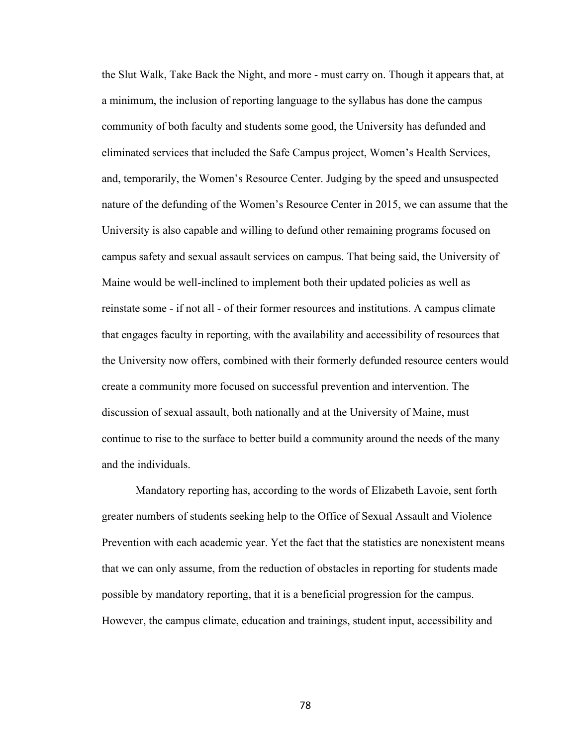the Slut Walk, Take Back the Night, and more - must carry on. Though it appears that, at a minimum, the inclusion of reporting language to the syllabus has done the campus community of both faculty and students some good, the University has defunded and eliminated services that included the Safe Campus project, Women's Health Services, and, temporarily, the Women's Resource Center. Judging by the speed and unsuspected nature of the defunding of the Women's Resource Center in 2015, we can assume that the University is also capable and willing to defund other remaining programs focused on campus safety and sexual assault services on campus. That being said, the University of Maine would be well-inclined to implement both their updated policies as well as reinstate some - if not all - of their former resources and institutions. A campus climate that engages faculty in reporting, with the availability and accessibility of resources that the University now offers, combined with their formerly defunded resource centers would create a community more focused on successful prevention and intervention. The discussion of sexual assault, both nationally and at the University of Maine, must continue to rise to the surface to better build a community around the needs of the many and the individuals.

Mandatory reporting has, according to the words of Elizabeth Lavoie, sent forth greater numbers of students seeking help to the Office of Sexual Assault and Violence Prevention with each academic year. Yet the fact that the statistics are nonexistent means that we can only assume, from the reduction of obstacles in reporting for students made possible by mandatory reporting, that it is a beneficial progression for the campus. However, the campus climate, education and trainings, student input, accessibility and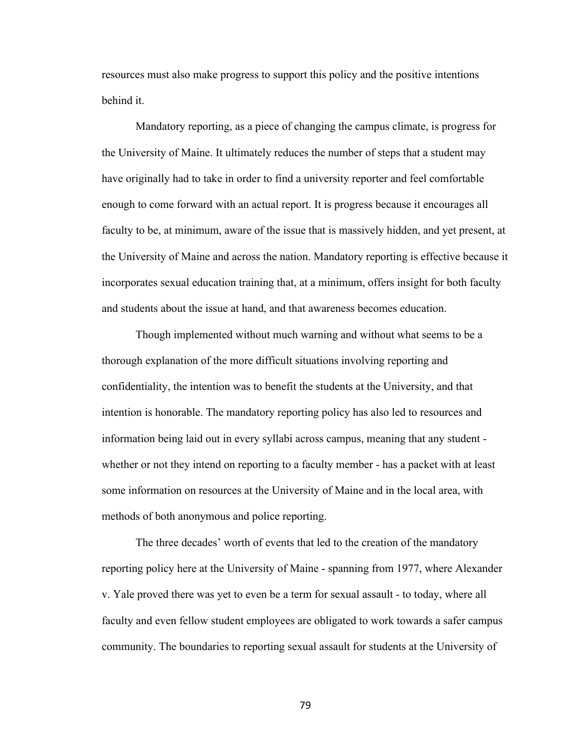resources must also make progress to support this policy and the positive intentions behind it.

Mandatory reporting, as a piece of changing the campus climate, is progress for the University of Maine. It ultimately reduces the number of steps that a student may have originally had to take in order to find a university reporter and feel comfortable enough to come forward with an actual report. It is progress because it encourages all faculty to be, at minimum, aware of the issue that is massively hidden, and yet present, at the University of Maine and across the nation. Mandatory reporting is effective because it incorporates sexual education training that, at a minimum, offers insight for both faculty and students about the issue at hand, and that awareness becomes education.

Though implemented without much warning and without what seems to be a thorough explanation of the more difficult situations involving reporting and confidentiality, the intention was to benefit the students at the University, and that intention is honorable. The mandatory reporting policy has also led to resources and information being laid out in every syllabi across campus, meaning that any student whether or not they intend on reporting to a faculty member - has a packet with at least some information on resources at the University of Maine and in the local area, with methods of both anonymous and police reporting.

The three decades' worth of events that led to the creation of the mandatory reporting policy here at the University of Maine - spanning from 1977, where Alexander v. Yale proved there was yet to even be a term for sexual assault - to today, where all faculty and even fellow student employees are obligated to work towards a safer campus community. The boundaries to reporting sexual assault for students at the University of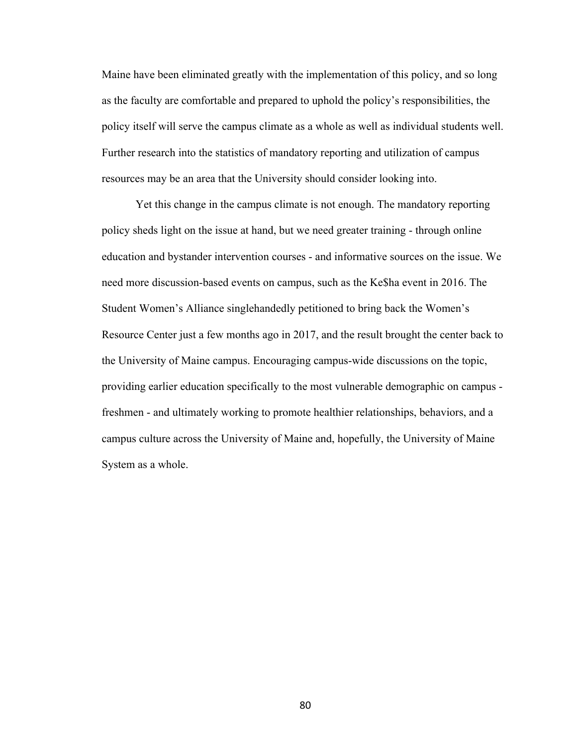Maine have been eliminated greatly with the implementation of this policy, and so long as the faculty are comfortable and prepared to uphold the policy's responsibilities, the policy itself will serve the campus climate as a whole as well as individual students well. Further research into the statistics of mandatory reporting and utilization of campus resources may be an area that the University should consider looking into.

Yet this change in the campus climate is not enough. The mandatory reporting policy sheds light on the issue at hand, but we need greater training - through online education and bystander intervention courses - and informative sources on the issue. We need more discussion-based events on campus, such as the Ke\$ha event in 2016. The Student Women's Alliance singlehandedly petitioned to bring back the Women's Resource Center just a few months ago in 2017, and the result brought the center back to the University of Maine campus. Encouraging campus-wide discussions on the topic, providing earlier education specifically to the most vulnerable demographic on campus freshmen - and ultimately working to promote healthier relationships, behaviors, and a campus culture across the University of Maine and, hopefully, the University of Maine System as a whole.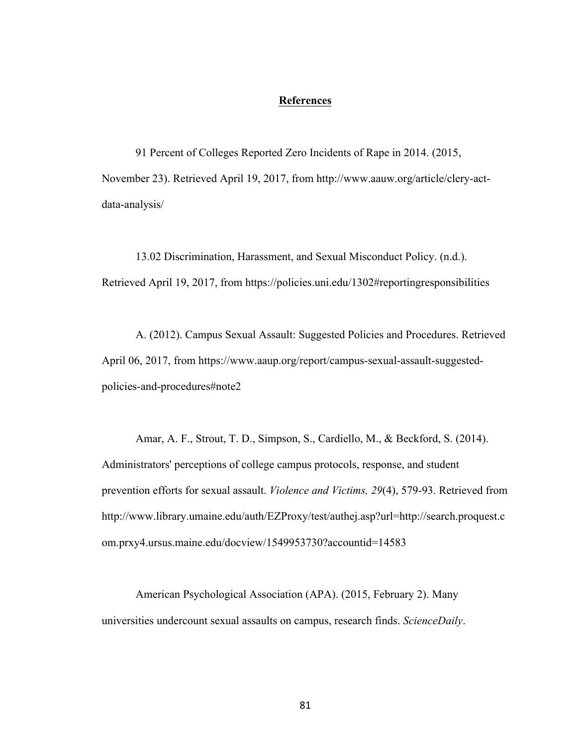# **References**

91 Percent of Colleges Reported Zero Incidents of Rape in 2014. (2015, November 23). Retrieved April 19, 2017, from http://www.aauw.org/article/clery-actdata-analysis/

13.02 Discrimination, Harassment, and Sexual Misconduct Policy. (n.d.). Retrieved April 19, 2017, from https://policies.uni.edu/1302#reportingresponsibilities

A. (2012). Campus Sexual Assault: Suggested Policies and Procedures. Retrieved April 06, 2017, from https://www.aaup.org/report/campus-sexual-assault-suggestedpolicies-and-procedures#note2

Amar, A. F., Strout, T. D., Simpson, S., Cardiello, M., & Beckford, S. (2014). Administrators' perceptions of college campus protocols, response, and student prevention efforts for sexual assault. *Violence and Victims, 29*(4), 579-93. Retrieved from http://www.library.umaine.edu/auth/EZProxy/test/authej.asp?url=http://search.proquest.c om.prxy4.ursus.maine.edu/docview/1549953730?accountid=14583

American Psychological Association (APA). (2015, February 2). Many universities undercount sexual assaults on campus, research finds. *ScienceDaily*.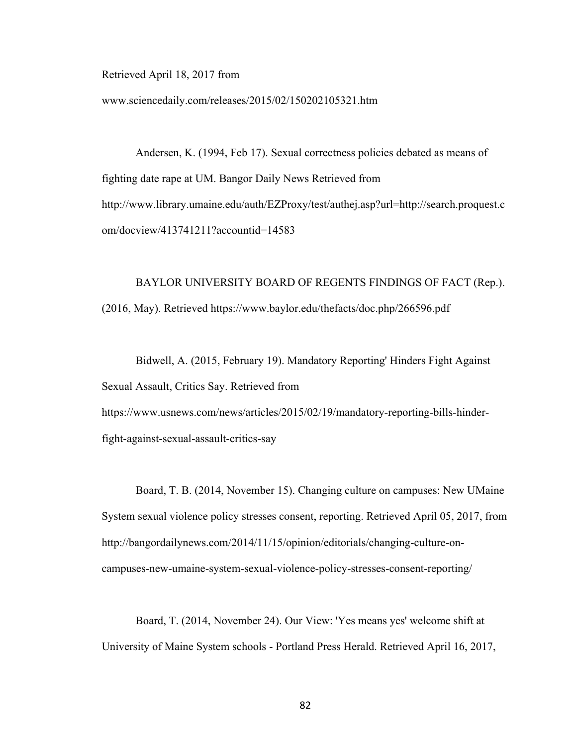Retrieved April 18, 2017 from

www.sciencedaily.com/releases/2015/02/150202105321.htm

Andersen, K. (1994, Feb 17). Sexual correctness policies debated as means of fighting date rape at UM. Bangor Daily News Retrieved from http://www.library.umaine.edu/auth/EZProxy/test/authej.asp?url=http://search.proquest.c om/docview/413741211?accountid=14583

# BAYLOR UNIVERSITY BOARD OF REGENTS FINDINGS OF FACT (Rep.). (2016, May). Retrieved https://www.baylor.edu/thefacts/doc.php/266596.pdf

Bidwell, A. (2015, February 19). Mandatory Reporting' Hinders Fight Against Sexual Assault, Critics Say. Retrieved from https://www.usnews.com/news/articles/2015/02/19/mandatory-reporting-bills-hinderfight-against-sexual-assault-critics-say

Board, T. B. (2014, November 15). Changing culture on campuses: New UMaine System sexual violence policy stresses consent, reporting. Retrieved April 05, 2017, from http://bangordailynews.com/2014/11/15/opinion/editorials/changing-culture-oncampuses-new-umaine-system-sexual-violence-policy-stresses-consent-reporting/

Board, T. (2014, November 24). Our View: 'Yes means yes' welcome shift at University of Maine System schools - Portland Press Herald. Retrieved April 16, 2017,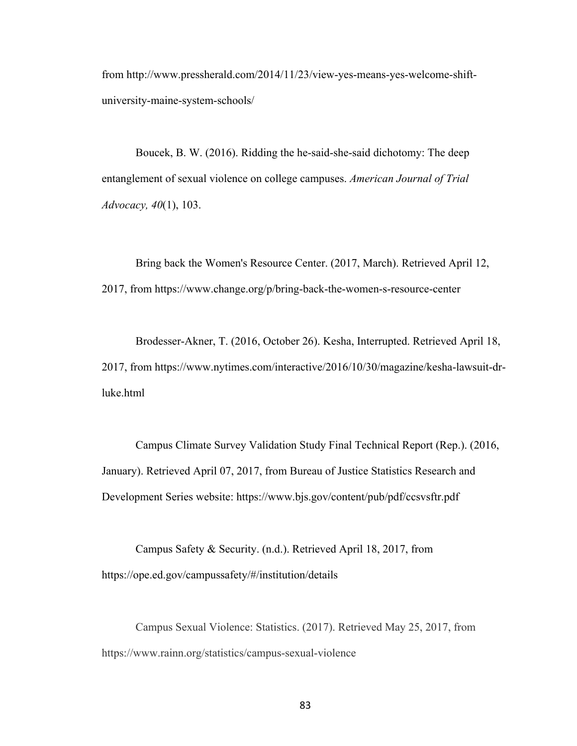from http://www.pressherald.com/2014/11/23/view-yes-means-yes-welcome-shiftuniversity-maine-system-schools/

Boucek, B. W. (2016). Ridding the he-said-she-said dichotomy: The deep entanglement of sexual violence on college campuses. *American Journal of Trial Advocacy, 40*(1), 103.

Bring back the Women's Resource Center. (2017, March). Retrieved April 12, 2017, from https://www.change.org/p/bring-back-the-women-s-resource-center

Brodesser-Akner, T. (2016, October 26). Kesha, Interrupted. Retrieved April 18, 2017, from https://www.nytimes.com/interactive/2016/10/30/magazine/kesha-lawsuit-drluke.html

Campus Climate Survey Validation Study Final Technical Report (Rep.). (2016, January). Retrieved April 07, 2017, from Bureau of Justice Statistics Research and Development Series website: https://www.bjs.gov/content/pub/pdf/ccsvsftr.pdf

Campus Safety & Security. (n.d.). Retrieved April 18, 2017, from https://ope.ed.gov/campussafety/#/institution/details

Campus Sexual Violence: Statistics. (2017). Retrieved May 25, 2017, from https://www.rainn.org/statistics/campus-sexual-violence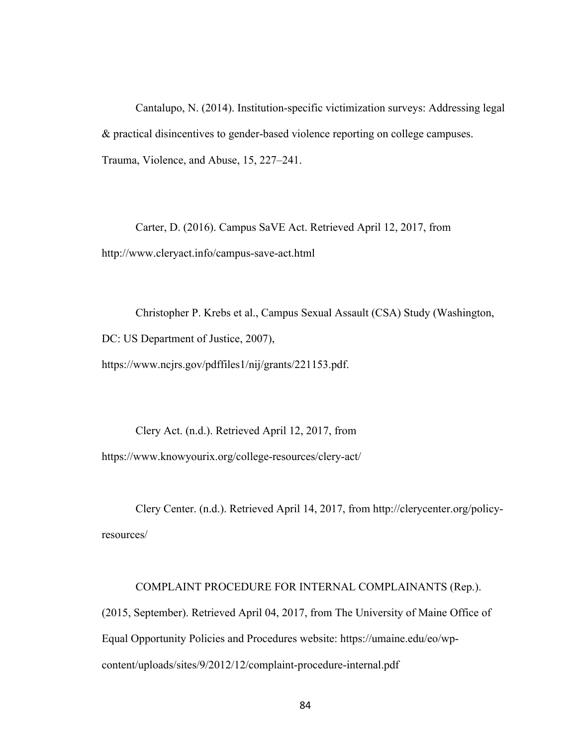Cantalupo, N. (2014). Institution-specific victimization surveys: Addressing legal & practical disincentives to gender-based violence reporting on college campuses. Trauma, Violence, and Abuse, 15, 227–241.

Carter, D. (2016). Campus SaVE Act. Retrieved April 12, 2017, from http://www.cleryact.info/campus-save-act.html

Christopher P. Krebs et al., Campus Sexual Assault (CSA) Study (Washington, DC: US Department of Justice, 2007), https://www.ncjrs.gov/pdffiles1/nij/grants/221153.pdf.

Clery Act. (n.d.). Retrieved April 12, 2017, from https://www.knowyourix.org/college-resources/clery-act/

Clery Center. (n.d.). Retrieved April 14, 2017, from http://clerycenter.org/policyresources/

# COMPLAINT PROCEDURE FOR INTERNAL COMPLAINANTS (Rep.).

(2015, September). Retrieved April 04, 2017, from The University of Maine Office of Equal Opportunity Policies and Procedures website: https://umaine.edu/eo/wpcontent/uploads/sites/9/2012/12/complaint-procedure-internal.pdf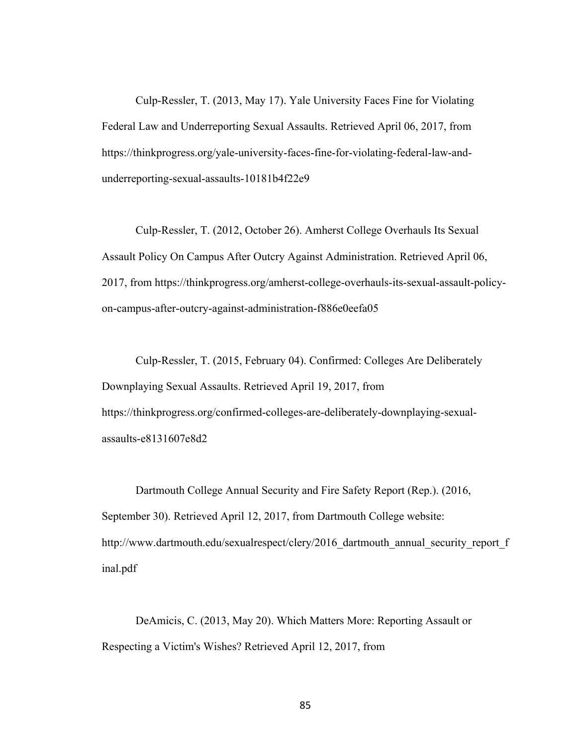Culp-Ressler, T. (2013, May 17). Yale University Faces Fine for Violating Federal Law and Underreporting Sexual Assaults. Retrieved April 06, 2017, from https://thinkprogress.org/yale-university-faces-fine-for-violating-federal-law-andunderreporting-sexual-assaults-10181b4f22e9

Culp-Ressler, T. (2012, October 26). Amherst College Overhauls Its Sexual Assault Policy On Campus After Outcry Against Administration. Retrieved April 06, 2017, from https://thinkprogress.org/amherst-college-overhauls-its-sexual-assault-policyon-campus-after-outcry-against-administration-f886e0eefa05

Culp-Ressler, T. (2015, February 04). Confirmed: Colleges Are Deliberately Downplaying Sexual Assaults. Retrieved April 19, 2017, from https://thinkprogress.org/confirmed-colleges-are-deliberately-downplaying-sexualassaults-e8131607e8d2

Dartmouth College Annual Security and Fire Safety Report (Rep.). (2016, September 30). Retrieved April 12, 2017, from Dartmouth College website: http://www.dartmouth.edu/sexualrespect/clery/2016\_dartmouth\_annual\_security\_report\_f inal.pdf

DeAmicis, C. (2013, May 20). Which Matters More: Reporting Assault or Respecting a Victim's Wishes? Retrieved April 12, 2017, from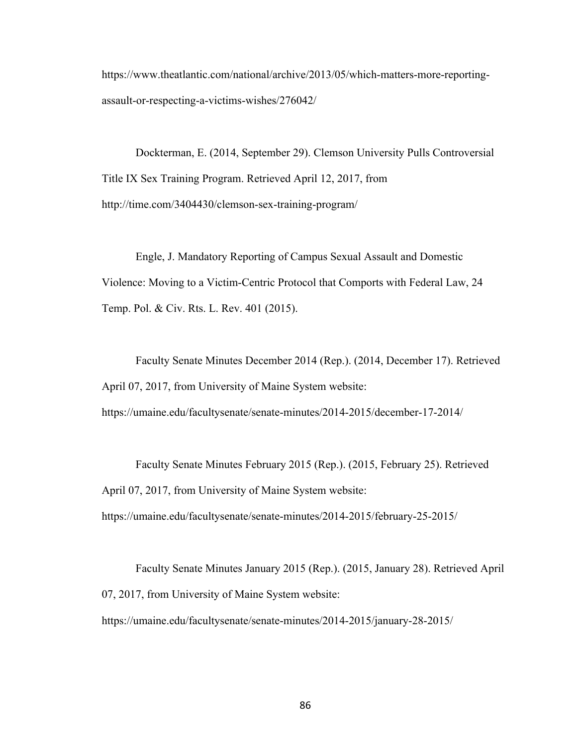https://www.theatlantic.com/national/archive/2013/05/which-matters-more-reportingassault-or-respecting-a-victims-wishes/276042/

Dockterman, E. (2014, September 29). Clemson University Pulls Controversial Title IX Sex Training Program. Retrieved April 12, 2017, from http://time.com/3404430/clemson-sex-training-program/

Engle, J. Mandatory Reporting of Campus Sexual Assault and Domestic Violence: Moving to a Victim-Centric Protocol that Comports with Federal Law, 24 Temp. Pol. & Civ. Rts. L. Rev. 401 (2015).

Faculty Senate Minutes December 2014 (Rep.). (2014, December 17). Retrieved April 07, 2017, from University of Maine System website:

Faculty Senate Minutes February 2015 (Rep.). (2015, February 25). Retrieved

https://umaine.edu/facultysenate/senate-minutes/2014-2015/december-17-2014/

April 07, 2017, from University of Maine System website:

https://umaine.edu/facultysenate/senate-minutes/2014-2015/february-25-2015/

Faculty Senate Minutes January 2015 (Rep.). (2015, January 28). Retrieved April 07, 2017, from University of Maine System website: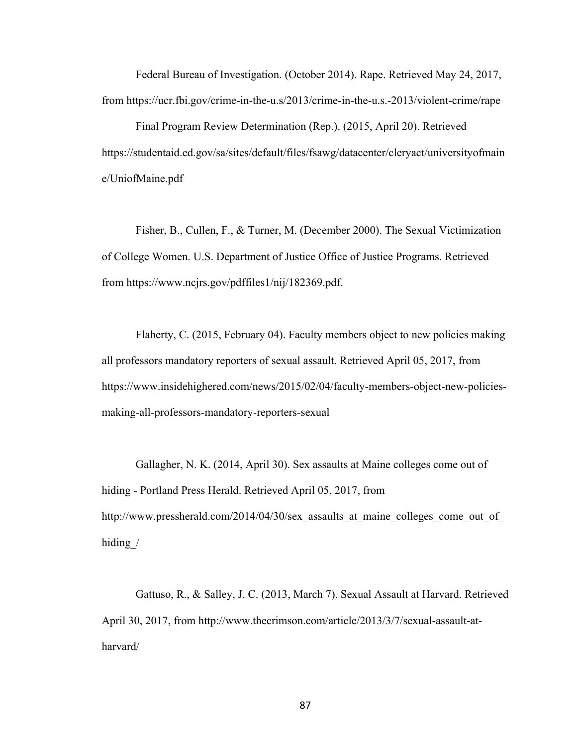Federal Bureau of Investigation. (October 2014). Rape. Retrieved May 24, 2017, from https://ucr.fbi.gov/crime-in-the-u.s/2013/crime-in-the-u.s.-2013/violent-crime/rape

Final Program Review Determination (Rep.). (2015, April 20). Retrieved https://studentaid.ed.gov/sa/sites/default/files/fsawg/datacenter/cleryact/universityofmain e/UniofMaine.pdf

Fisher, B., Cullen, F., & Turner, M. (December 2000). The Sexual Victimization of College Women. U.S. Department of Justice Office of Justice Programs. Retrieved from https://www.ncjrs.gov/pdffiles1/nij/182369.pdf.

Flaherty, C. (2015, February 04). Faculty members object to new policies making all professors mandatory reporters of sexual assault. Retrieved April 05, 2017, from https://www.insidehighered.com/news/2015/02/04/faculty-members-object-new-policiesmaking-all-professors-mandatory-reporters-sexual

Gallagher, N. K. (2014, April 30). Sex assaults at Maine colleges come out of hiding - Portland Press Herald. Retrieved April 05, 2017, from http://www.pressherald.com/2014/04/30/sex\_assaults\_at\_maine\_colleges\_come\_out\_of hiding /

Gattuso, R., & Salley, J. C. (2013, March 7). Sexual Assault at Harvard. Retrieved April 30, 2017, from http://www.thecrimson.com/article/2013/3/7/sexual-assault-atharvard/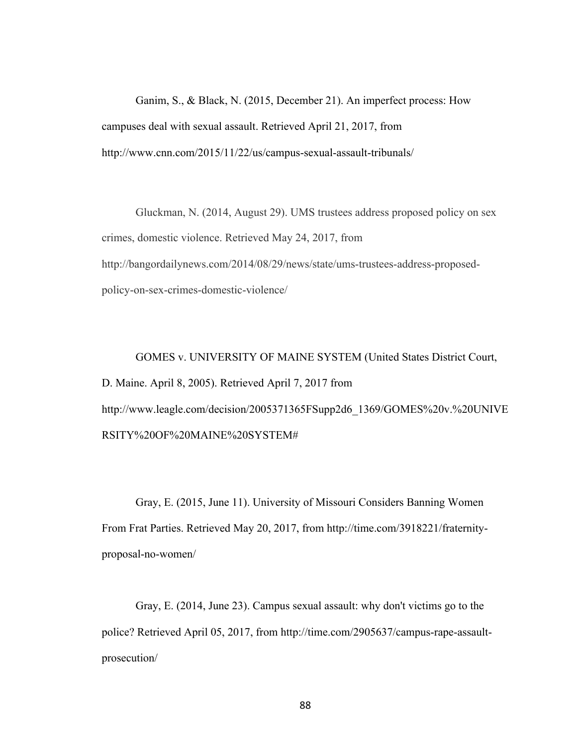Ganim, S., & Black, N. (2015, December 21). An imperfect process: How campuses deal with sexual assault. Retrieved April 21, 2017, from http://www.cnn.com/2015/11/22/us/campus-sexual-assault-tribunals/

Gluckman, N. (2014, August 29). UMS trustees address proposed policy on sex crimes, domestic violence. Retrieved May 24, 2017, from http://bangordailynews.com/2014/08/29/news/state/ums-trustees-address-proposedpolicy-on-sex-crimes-domestic-violence/

GOMES v. UNIVERSITY OF MAINE SYSTEM (United States District Court, D. Maine. April 8, 2005). Retrieved April 7, 2017 from http://www.leagle.com/decision/2005371365FSupp2d6\_1369/GOMES%20v.%20UNIVE RSITY%20OF%20MAINE%20SYSTEM#

Gray, E. (2015, June 11). University of Missouri Considers Banning Women From Frat Parties. Retrieved May 20, 2017, from http://time.com/3918221/fraternityproposal-no-women/

Gray, E. (2014, June 23). Campus sexual assault: why don't victims go to the police? Retrieved April 05, 2017, from http://time.com/2905637/campus-rape-assaultprosecution/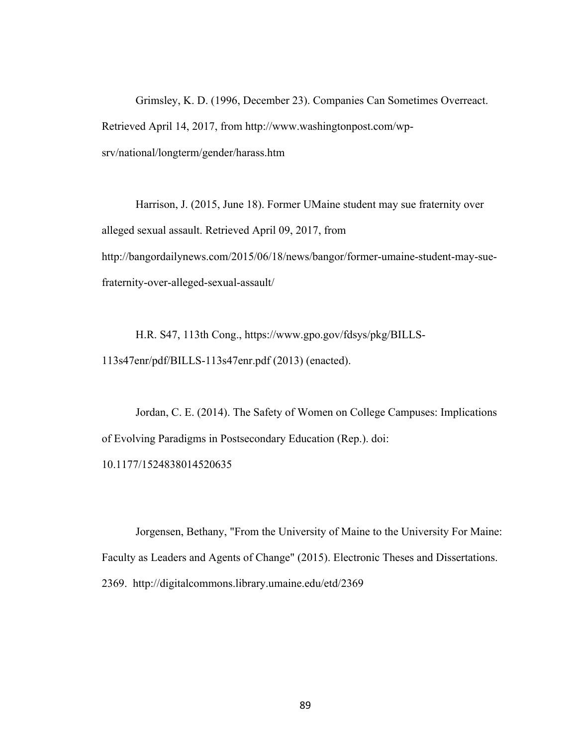Grimsley, K. D. (1996, December 23). Companies Can Sometimes Overreact. Retrieved April 14, 2017, from http://www.washingtonpost.com/wpsrv/national/longterm/gender/harass.htm

Harrison, J. (2015, June 18). Former UMaine student may sue fraternity over alleged sexual assault. Retrieved April 09, 2017, from http://bangordailynews.com/2015/06/18/news/bangor/former-umaine-student-may-suefraternity-over-alleged-sexual-assault/

H.R. S47, 113th Cong., https://www.gpo.gov/fdsys/pkg/BILLS-113s47enr/pdf/BILLS-113s47enr.pdf (2013) (enacted).

Jordan, C. E. (2014). The Safety of Women on College Campuses: Implications of Evolving Paradigms in Postsecondary Education (Rep.). doi: 10.1177/1524838014520635

Jorgensen, Bethany, "From the University of Maine to the University For Maine: Faculty as Leaders and Agents of Change" (2015). Electronic Theses and Dissertations. 2369. http://digitalcommons.library.umaine.edu/etd/2369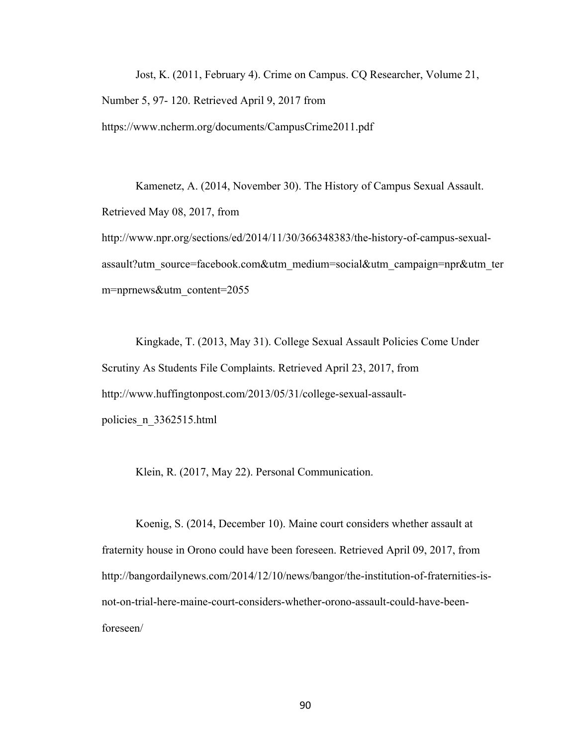Jost, K. (2011, February 4). Crime on Campus. CQ Researcher, Volume 21, Number 5, 97- 120. Retrieved April 9, 2017 from https://www.ncherm.org/documents/CampusCrime2011.pdf

Kamenetz, A. (2014, November 30). The History of Campus Sexual Assault. Retrieved May 08, 2017, from http://www.npr.org/sections/ed/2014/11/30/366348383/the-history-of-campus-sexualassault?utm\_source=facebook.com&utm\_medium=social&utm\_campaign=npr&utm\_ter m=nprnews&utm\_content=2055

Kingkade, T. (2013, May 31). College Sexual Assault Policies Come Under Scrutiny As Students File Complaints. Retrieved April 23, 2017, from http://www.huffingtonpost.com/2013/05/31/college-sexual-assaultpolicies\_n\_3362515.html

Klein, R. (2017, May 22). Personal Communication.

Koenig, S. (2014, December 10). Maine court considers whether assault at fraternity house in Orono could have been foreseen. Retrieved April 09, 2017, from http://bangordailynews.com/2014/12/10/news/bangor/the-institution-of-fraternities-isnot-on-trial-here-maine-court-considers-whether-orono-assault-could-have-beenforeseen/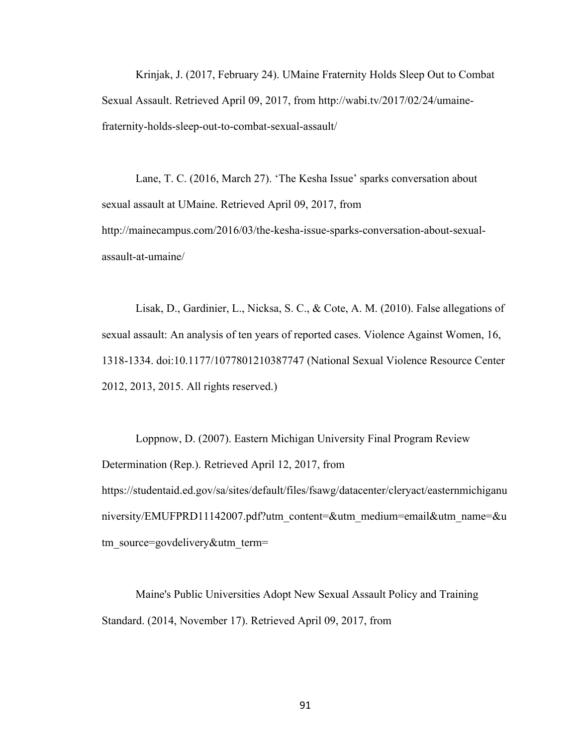Krinjak, J. (2017, February 24). UMaine Fraternity Holds Sleep Out to Combat Sexual Assault. Retrieved April 09, 2017, from http://wabi.tv/2017/02/24/umainefraternity-holds-sleep-out-to-combat-sexual-assault/

Lane, T. C. (2016, March 27). 'The Kesha Issue' sparks conversation about sexual assault at UMaine. Retrieved April 09, 2017, from http://mainecampus.com/2016/03/the-kesha-issue-sparks-conversation-about-sexualassault-at-umaine/

Lisak, D., Gardinier, L., Nicksa, S. C., & Cote, A. M. (2010). False allegations of sexual assault: An analysis of ten years of reported cases. Violence Against Women, 16, 1318-1334. doi:10.1177/1077801210387747 (National Sexual Violence Resource Center 2012, 2013, 2015. All rights reserved.)

Loppnow, D. (2007). Eastern Michigan University Final Program Review Determination (Rep.). Retrieved April 12, 2017, from https://studentaid.ed.gov/sa/sites/default/files/fsawg/datacenter/cleryact/easternmichiganu niversity/EMUFPRD11142007.pdf?utm\_content=&utm\_medium=email&utm\_name=&u tm\_source=govdelivery&utm\_term=

Maine's Public Universities Adopt New Sexual Assault Policy and Training Standard. (2014, November 17). Retrieved April 09, 2017, from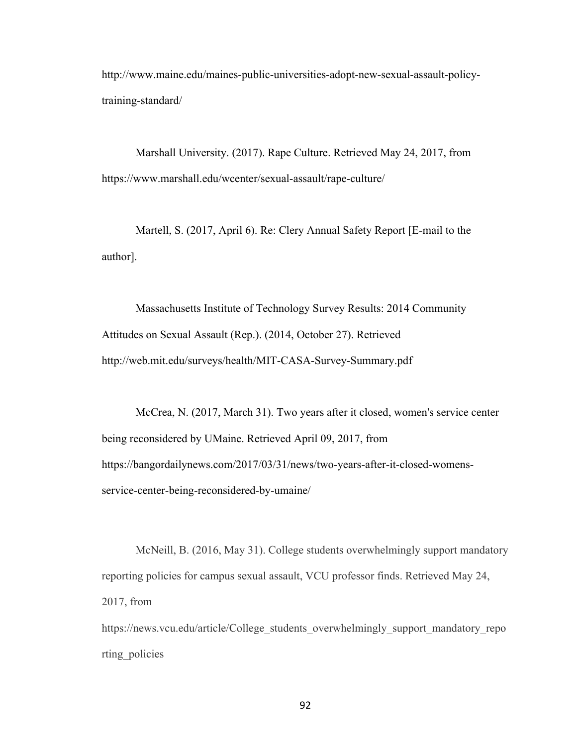http://www.maine.edu/maines-public-universities-adopt-new-sexual-assault-policytraining-standard/

Marshall University. (2017). Rape Culture. Retrieved May 24, 2017, from https://www.marshall.edu/wcenter/sexual-assault/rape-culture/

Martell, S. (2017, April 6). Re: Clery Annual Safety Report [E-mail to the author].

Massachusetts Institute of Technology Survey Results: 2014 Community Attitudes on Sexual Assault (Rep.). (2014, October 27). Retrieved http://web.mit.edu/surveys/health/MIT-CASA-Survey-Summary.pdf

McCrea, N. (2017, March 31). Two years after it closed, women's service center being reconsidered by UMaine. Retrieved April 09, 2017, from https://bangordailynews.com/2017/03/31/news/two-years-after-it-closed-womensservice-center-being-reconsidered-by-umaine/

McNeill, B. (2016, May 31). College students overwhelmingly support mandatory reporting policies for campus sexual assault, VCU professor finds. Retrieved May 24, 2017, from

https://news.vcu.edu/article/College\_students\_overwhelmingly\_support\_mandatory\_repo rting\_policies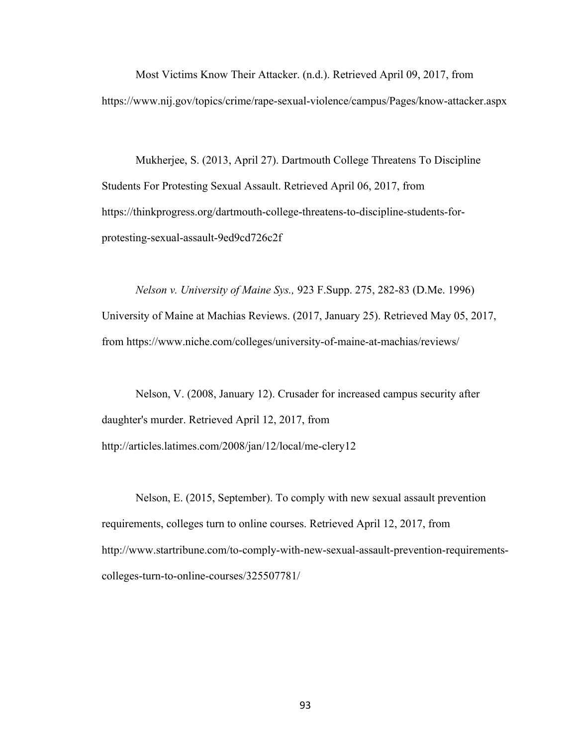Most Victims Know Their Attacker. (n.d.). Retrieved April 09, 2017, from https://www.nij.gov/topics/crime/rape-sexual-violence/campus/Pages/know-attacker.aspx

Mukherjee, S. (2013, April 27). Dartmouth College Threatens To Discipline Students For Protesting Sexual Assault. Retrieved April 06, 2017, from https://thinkprogress.org/dartmouth-college-threatens-to-discipline-students-forprotesting-sexual-assault-9ed9cd726c2f

*Nelson v. University of Maine Sys.,* 923 F.Supp. 275, 282-83 (D.Me. 1996) University of Maine at Machias Reviews. (2017, January 25). Retrieved May 05, 2017, from https://www.niche.com/colleges/university-of-maine-at-machias/reviews/

Nelson, V. (2008, January 12). Crusader for increased campus security after daughter's murder. Retrieved April 12, 2017, from http://articles.latimes.com/2008/jan/12/local/me-clery12

Nelson, E. (2015, September). To comply with new sexual assault prevention requirements, colleges turn to online courses. Retrieved April 12, 2017, from http://www.startribune.com/to-comply-with-new-sexual-assault-prevention-requirementscolleges-turn-to-online-courses/325507781/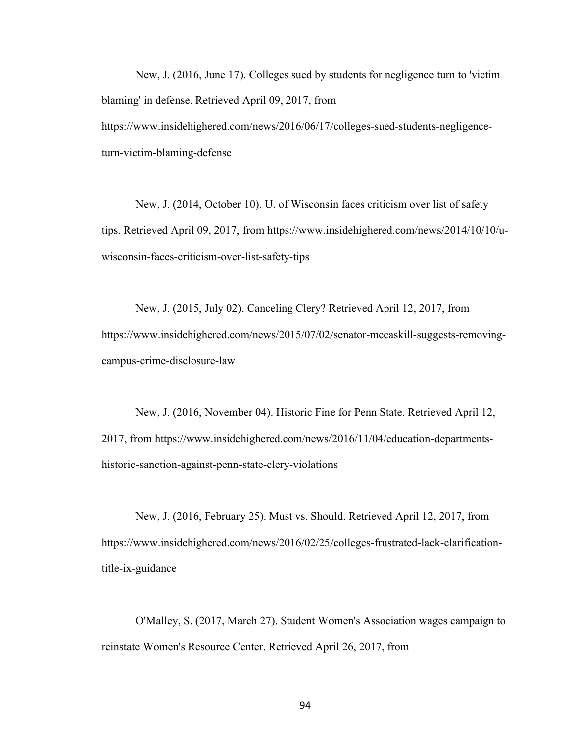New, J. (2016, June 17). Colleges sued by students for negligence turn to 'victim blaming' in defense. Retrieved April 09, 2017, from https://www.insidehighered.com/news/2016/06/17/colleges-sued-students-negligenceturn-victim-blaming-defense

New, J. (2014, October 10). U. of Wisconsin faces criticism over list of safety tips. Retrieved April 09, 2017, from https://www.insidehighered.com/news/2014/10/10/uwisconsin-faces-criticism-over-list-safety-tips

New, J. (2015, July 02). Canceling Clery? Retrieved April 12, 2017, from https://www.insidehighered.com/news/2015/07/02/senator-mccaskill-suggests-removingcampus-crime-disclosure-law

New, J. (2016, November 04). Historic Fine for Penn State. Retrieved April 12, 2017, from https://www.insidehighered.com/news/2016/11/04/education-departmentshistoric-sanction-against-penn-state-clery-violations

New, J. (2016, February 25). Must vs. Should. Retrieved April 12, 2017, from https://www.insidehighered.com/news/2016/02/25/colleges-frustrated-lack-clarificationtitle-ix-guidance

O'Malley, S. (2017, March 27). Student Women's Association wages campaign to reinstate Women's Resource Center. Retrieved April 26, 2017, from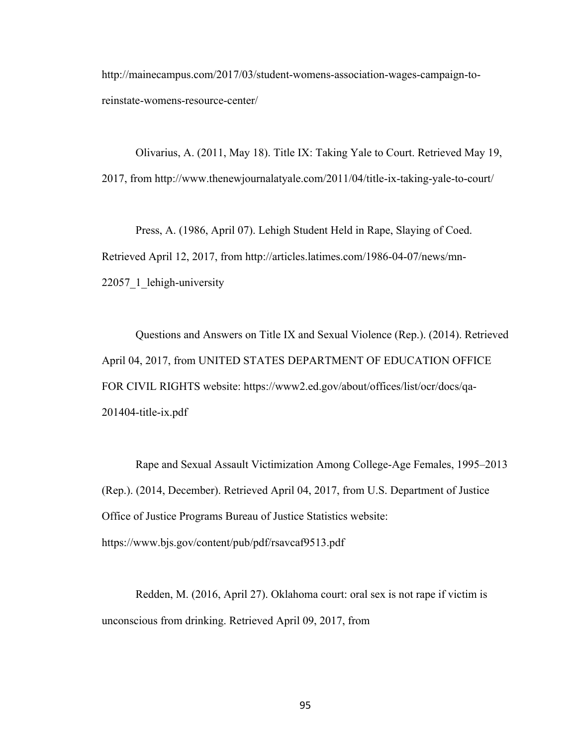http://mainecampus.com/2017/03/student-womens-association-wages-campaign-toreinstate-womens-resource-center/

Olivarius, A. (2011, May 18). Title IX: Taking Yale to Court. Retrieved May 19, 2017, from http://www.thenewjournalatyale.com/2011/04/title-ix-taking-yale-to-court/

Press, A. (1986, April 07). Lehigh Student Held in Rape, Slaying of Coed. Retrieved April 12, 2017, from http://articles.latimes.com/1986-04-07/news/mn-22057 1 lehigh-university

Questions and Answers on Title IX and Sexual Violence (Rep.). (2014). Retrieved April 04, 2017, from UNITED STATES DEPARTMENT OF EDUCATION OFFICE FOR CIVIL RIGHTS website: https://www2.ed.gov/about/offices/list/ocr/docs/qa-201404-title-ix.pdf

Rape and Sexual Assault Victimization Among College-Age Females, 1995–2013 (Rep.). (2014, December). Retrieved April 04, 2017, from U.S. Department of Justice Office of Justice Programs Bureau of Justice Statistics website: https://www.bjs.gov/content/pub/pdf/rsavcaf9513.pdf

Redden, M. (2016, April 27). Oklahoma court: oral sex is not rape if victim is unconscious from drinking. Retrieved April 09, 2017, from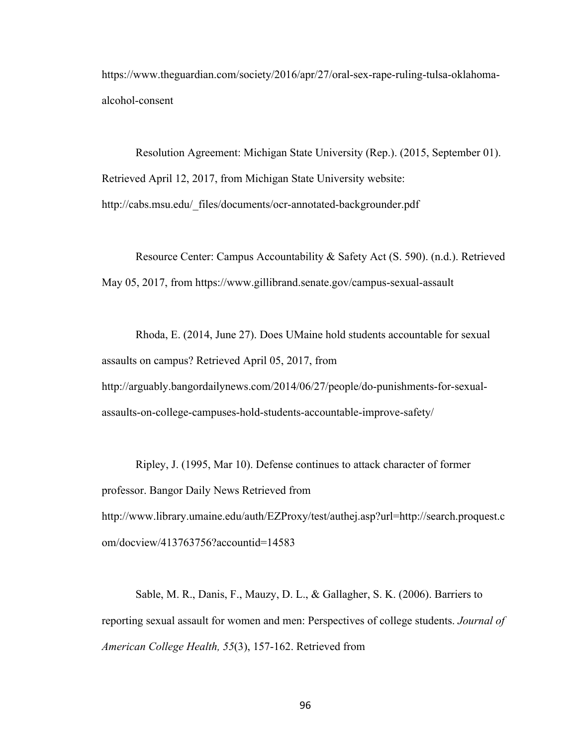https://www.theguardian.com/society/2016/apr/27/oral-sex-rape-ruling-tulsa-oklahomaalcohol-consent

Resolution Agreement: Michigan State University (Rep.). (2015, September 01). Retrieved April 12, 2017, from Michigan State University website: http://cabs.msu.edu/\_files/documents/ocr-annotated-backgrounder.pdf

Resource Center: Campus Accountability & Safety Act (S. 590). (n.d.). Retrieved May 05, 2017, from https://www.gillibrand.senate.gov/campus-sexual-assault

Rhoda, E. (2014, June 27). Does UMaine hold students accountable for sexual assaults on campus? Retrieved April 05, 2017, from http://arguably.bangordailynews.com/2014/06/27/people/do-punishments-for-sexualassaults-on-college-campuses-hold-students-accountable-improve-safety/

Ripley, J. (1995, Mar 10). Defense continues to attack character of former professor. Bangor Daily News Retrieved from http://www.library.umaine.edu/auth/EZProxy/test/authej.asp?url=http://search.proquest.c om/docview/413763756?accountid=14583

Sable, M. R., Danis, F., Mauzy, D. L., & Gallagher, S. K. (2006). Barriers to reporting sexual assault for women and men: Perspectives of college students. *Journal of American College Health, 55*(3), 157-162. Retrieved from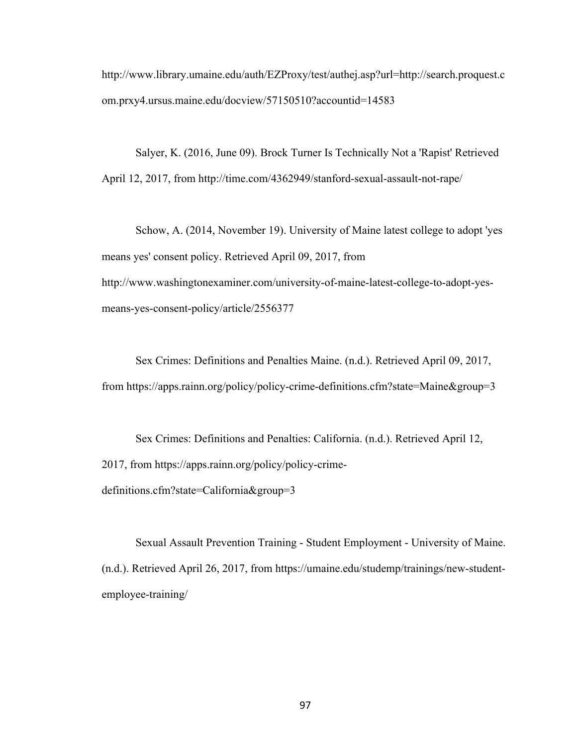http://www.library.umaine.edu/auth/EZProxy/test/authej.asp?url=http://search.proquest.c om.prxy4.ursus.maine.edu/docview/57150510?accountid=14583

Salyer, K. (2016, June 09). Brock Turner Is Technically Not a 'Rapist' Retrieved April 12, 2017, from http://time.com/4362949/stanford-sexual-assault-not-rape/

Schow, A. (2014, November 19). University of Maine latest college to adopt 'yes means yes' consent policy. Retrieved April 09, 2017, from http://www.washingtonexaminer.com/university-of-maine-latest-college-to-adopt-yesmeans-yes-consent-policy/article/2556377

Sex Crimes: Definitions and Penalties Maine. (n.d.). Retrieved April 09, 2017, from https://apps.rainn.org/policy/policy-crime-definitions.cfm?state=Maine&group=3

Sex Crimes: Definitions and Penalties: California. (n.d.). Retrieved April 12, 2017, from https://apps.rainn.org/policy/policy-crimedefinitions.cfm?state=California&group=3

Sexual Assault Prevention Training - Student Employment - University of Maine. (n.d.). Retrieved April 26, 2017, from https://umaine.edu/studemp/trainings/new-studentemployee-training/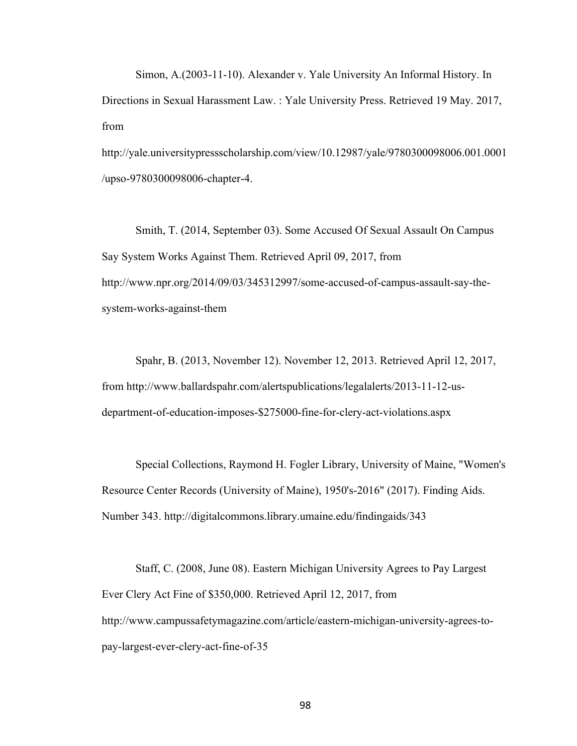Simon, A.(2003-11-10). Alexander v. Yale University An Informal History. In Directions in Sexual Harassment Law. : Yale University Press. Retrieved 19 May. 2017, from

http://yale.universitypressscholarship.com/view/10.12987/yale/9780300098006.001.0001 /upso-9780300098006-chapter-4.

Smith, T. (2014, September 03). Some Accused Of Sexual Assault On Campus Say System Works Against Them. Retrieved April 09, 2017, from http://www.npr.org/2014/09/03/345312997/some-accused-of-campus-assault-say-thesystem-works-against-them

Spahr, B. (2013, November 12). November 12, 2013. Retrieved April 12, 2017, from http://www.ballardspahr.com/alertspublications/legalalerts/2013-11-12-usdepartment-of-education-imposes-\$275000-fine-for-clery-act-violations.aspx

Special Collections, Raymond H. Fogler Library, University of Maine, "Women's Resource Center Records (University of Maine), 1950's-2016" (2017). Finding Aids. Number 343. http://digitalcommons.library.umaine.edu/findingaids/343

Staff, C. (2008, June 08). Eastern Michigan University Agrees to Pay Largest Ever Clery Act Fine of \$350,000. Retrieved April 12, 2017, from http://www.campussafetymagazine.com/article/eastern-michigan-university-agrees-topay-largest-ever-clery-act-fine-of-35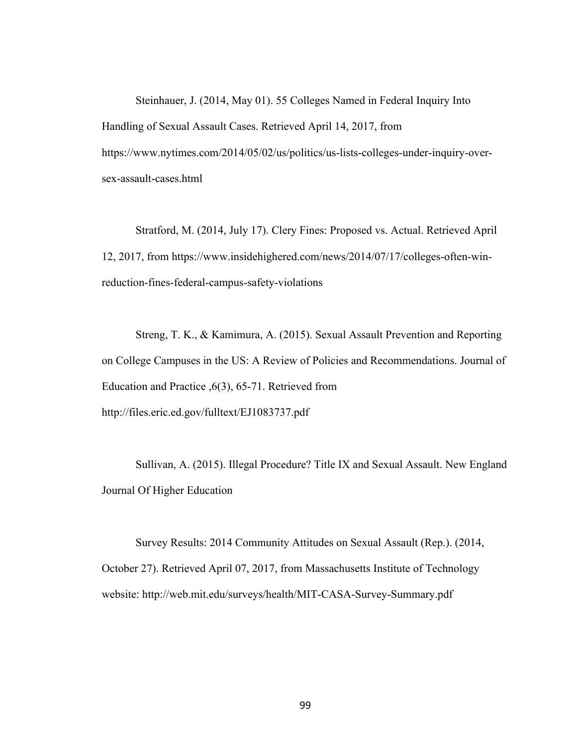Steinhauer, J. (2014, May 01). 55 Colleges Named in Federal Inquiry Into Handling of Sexual Assault Cases. Retrieved April 14, 2017, from https://www.nytimes.com/2014/05/02/us/politics/us-lists-colleges-under-inquiry-oversex-assault-cases.html

Stratford, M. (2014, July 17). Clery Fines: Proposed vs. Actual. Retrieved April 12, 2017, from https://www.insidehighered.com/news/2014/07/17/colleges-often-winreduction-fines-federal-campus-safety-violations

Streng, T. K., & Kamimura, A. (2015). Sexual Assault Prevention and Reporting on College Campuses in the US: A Review of Policies and Recommendations. Journal of Education and Practice ,6(3), 65-71. Retrieved from http://files.eric.ed.gov/fulltext/EJ1083737.pdf

Sullivan, A. (2015). Illegal Procedure? Title IX and Sexual Assault. New England Journal Of Higher Education

Survey Results: 2014 Community Attitudes on Sexual Assault (Rep.). (2014, October 27). Retrieved April 07, 2017, from Massachusetts Institute of Technology website: http://web.mit.edu/surveys/health/MIT-CASA-Survey-Summary.pdf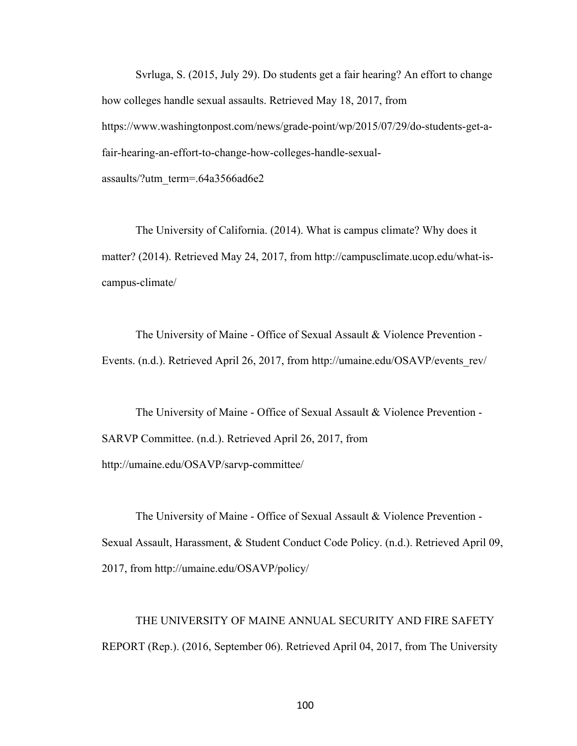Svrluga, S. (2015, July 29). Do students get a fair hearing? An effort to change how colleges handle sexual assaults. Retrieved May 18, 2017, from https://www.washingtonpost.com/news/grade-point/wp/2015/07/29/do-students-get-afair-hearing-an-effort-to-change-how-colleges-handle-sexualassaults/?utm\_term=.64a3566ad6e2

The University of California. (2014). What is campus climate? Why does it matter? (2014). Retrieved May 24, 2017, from http://campusclimate.ucop.edu/what-iscampus-climate/

The University of Maine - Office of Sexual Assault & Violence Prevention - Events. (n.d.). Retrieved April 26, 2017, from http://umaine.edu/OSAVP/events\_rev/

The University of Maine - Office of Sexual Assault & Violence Prevention - SARVP Committee. (n.d.). Retrieved April 26, 2017, from http://umaine.edu/OSAVP/sarvp-committee/

The University of Maine - Office of Sexual Assault & Violence Prevention - Sexual Assault, Harassment, & Student Conduct Code Policy. (n.d.). Retrieved April 09, 2017, from http://umaine.edu/OSAVP/policy/

THE UNIVERSITY OF MAINE ANNUAL SECURITY AND FIRE SAFETY REPORT (Rep.). (2016, September 06). Retrieved April 04, 2017, from The University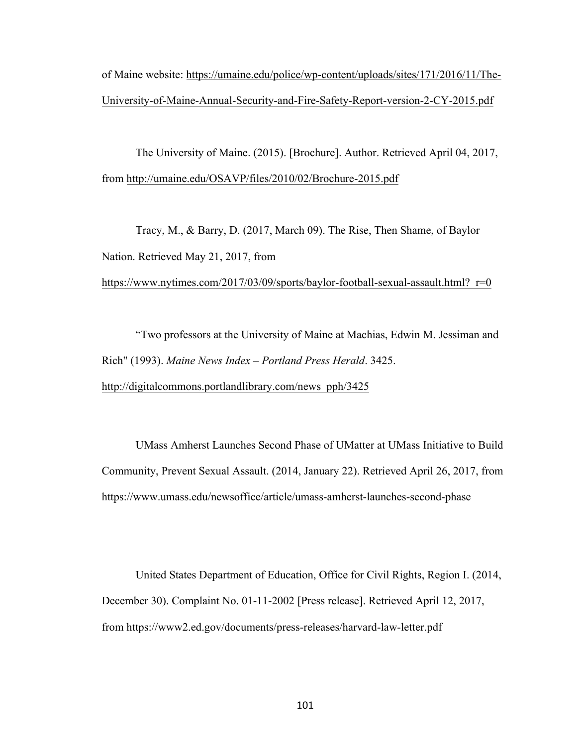of Maine website: https://umaine.edu/police/wp-content/uploads/sites/171/2016/11/The-University-of-Maine-Annual-Security-and-Fire-Safety-Report-version-2-CY-2015.pdf

The University of Maine. (2015). [Brochure]. Author. Retrieved April 04, 2017, from http://umaine.edu/OSAVP/files/2010/02/Brochure-2015.pdf

Tracy, M., & Barry, D. (2017, March 09). The Rise, Then Shame, of Baylor Nation. Retrieved May 21, 2017, from

https://www.nytimes.com/2017/03/09/sports/baylor-football-sexual-assault.html? r=0

"Two professors at the University of Maine at Machias, Edwin M. Jessiman and Rich" (1993). *Maine News Index – Portland Press Herald*. 3425. http://digitalcommons.portlandlibrary.com/news\_pph/3425

UMass Amherst Launches Second Phase of UMatter at UMass Initiative to Build Community, Prevent Sexual Assault. (2014, January 22). Retrieved April 26, 2017, from https://www.umass.edu/newsoffice/article/umass-amherst-launches-second-phase

United States Department of Education, Office for Civil Rights, Region I. (2014, December 30). Complaint No. 01-11-2002 [Press release]. Retrieved April 12, 2017, from https://www2.ed.gov/documents/press-releases/harvard-law-letter.pdf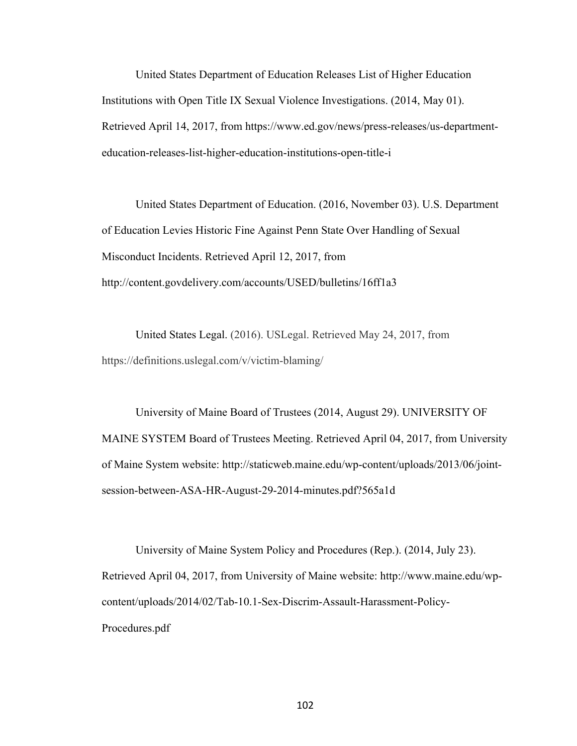United States Department of Education Releases List of Higher Education Institutions with Open Title IX Sexual Violence Investigations. (2014, May 01). Retrieved April 14, 2017, from https://www.ed.gov/news/press-releases/us-departmenteducation-releases-list-higher-education-institutions-open-title-i

United States Department of Education. (2016, November 03). U.S. Department of Education Levies Historic Fine Against Penn State Over Handling of Sexual Misconduct Incidents. Retrieved April 12, 2017, from http://content.govdelivery.com/accounts/USED/bulletins/16ff1a3

United States Legal. (2016). USLegal. Retrieved May 24, 2017, from https://definitions.uslegal.com/v/victim-blaming/

University of Maine Board of Trustees (2014, August 29). UNIVERSITY OF MAINE SYSTEM Board of Trustees Meeting. Retrieved April 04, 2017, from University of Maine System website: http://staticweb.maine.edu/wp-content/uploads/2013/06/jointsession-between-ASA-HR-August-29-2014-minutes.pdf?565a1d

University of Maine System Policy and Procedures (Rep.). (2014, July 23). Retrieved April 04, 2017, from University of Maine website: http://www.maine.edu/wpcontent/uploads/2014/02/Tab-10.1-Sex-Discrim-Assault-Harassment-Policy-Procedures.pdf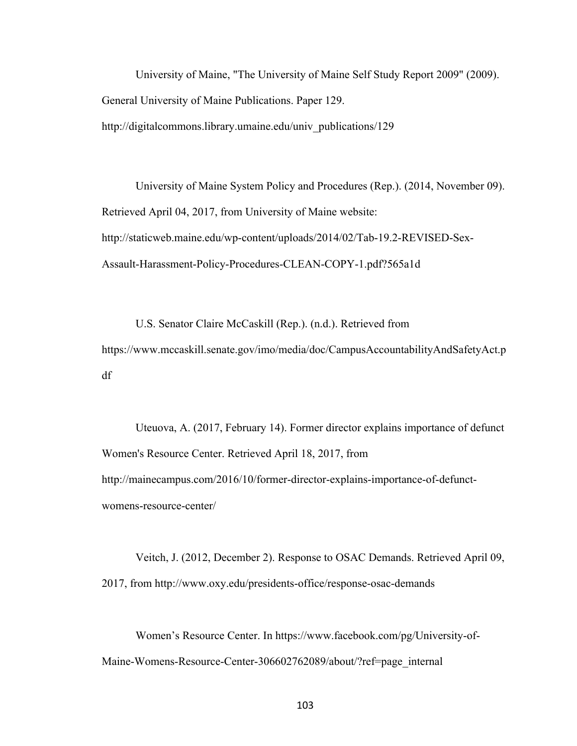University of Maine, "The University of Maine Self Study Report 2009" (2009). General University of Maine Publications. Paper 129. http://digitalcommons.library.umaine.edu/univ\_publications/129

University of Maine System Policy and Procedures (Rep.). (2014, November 09). Retrieved April 04, 2017, from University of Maine website: http://staticweb.maine.edu/wp-content/uploads/2014/02/Tab-19.2-REVISED-Sex-Assault-Harassment-Policy-Procedures-CLEAN-COPY-1.pdf?565a1d

U.S. Senator Claire McCaskill (Rep.). (n.d.). Retrieved from https://www.mccaskill.senate.gov/imo/media/doc/CampusAccountabilityAndSafetyAct.p df

Uteuova, A. (2017, February 14). Former director explains importance of defunct Women's Resource Center. Retrieved April 18, 2017, from http://mainecampus.com/2016/10/former-director-explains-importance-of-defunctwomens-resource-center/

Veitch, J. (2012, December 2). Response to OSAC Demands. Retrieved April 09, 2017, from http://www.oxy.edu/presidents-office/response-osac-demands

Women's Resource Center. In https://www.facebook.com/pg/University-of-Maine-Womens-Resource-Center-306602762089/about/?ref=page\_internal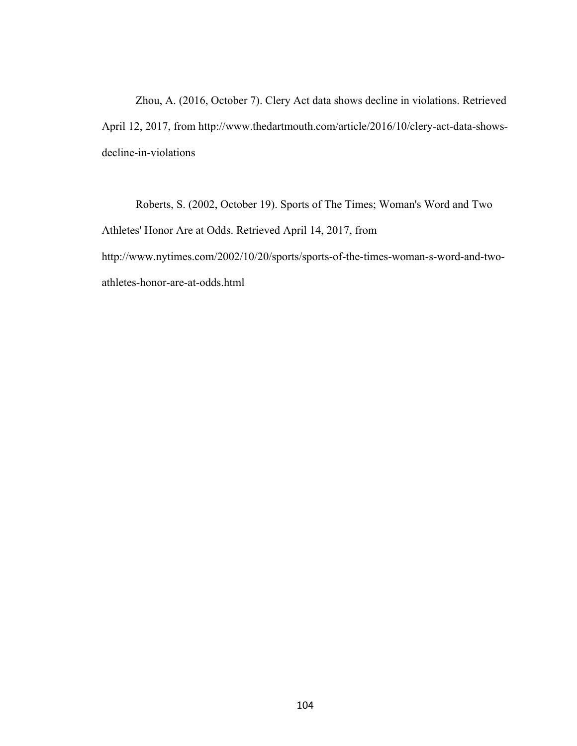Zhou, A. (2016, October 7). Clery Act data shows decline in violations. Retrieved April 12, 2017, from http://www.thedartmouth.com/article/2016/10/clery-act-data-showsdecline-in-violations

Roberts, S. (2002, October 19). Sports of The Times; Woman's Word and Two Athletes' Honor Are at Odds. Retrieved April 14, 2017, from http://www.nytimes.com/2002/10/20/sports/sports-of-the-times-woman-s-word-and-twoathletes-honor-are-at-odds.html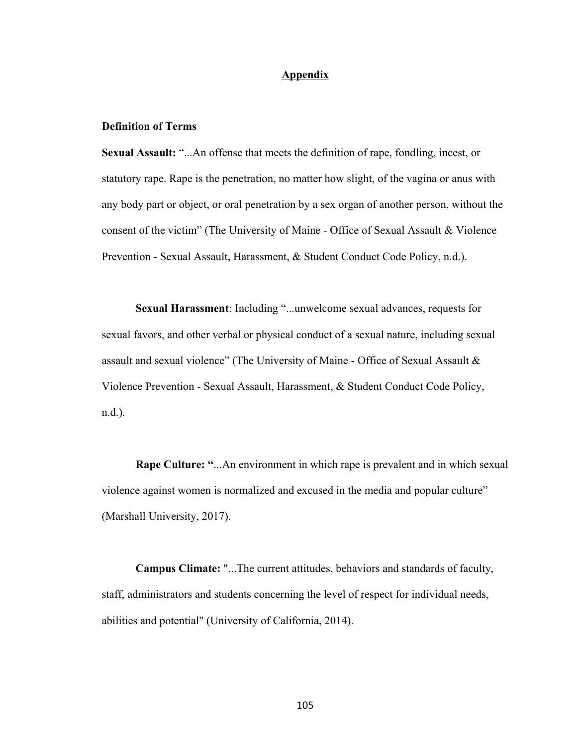## **Appendix**

## **Definition of Terms**

**Sexual Assault:** "...An offense that meets the definition of rape, fondling, incest, or statutory rape. Rape is the penetration, no matter how slight, of the vagina or anus with any body part or object, or oral penetration by a sex organ of another person, without the consent of the victim" (The University of Maine - Office of Sexual Assault & Violence Prevention - Sexual Assault, Harassment, & Student Conduct Code Policy, n.d.).

**Sexual Harassment**: Including "...unwelcome sexual advances, requests for sexual favors, and other verbal or physical conduct of a sexual nature, including sexual assault and sexual violence" (The University of Maine - Office of Sexual Assault  $\&$ Violence Prevention - Sexual Assault, Harassment, & Student Conduct Code Policy, n.d.).

**Rape Culture: "**...An environment in which rape is prevalent and in which sexual violence against women is normalized and excused in the media and popular culture" (Marshall University, 2017).

**Campus Climate:** "...The current attitudes, behaviors and standards of faculty, staff, administrators and students concerning the level of respect for individual needs, abilities and potential" (University of California, 2014).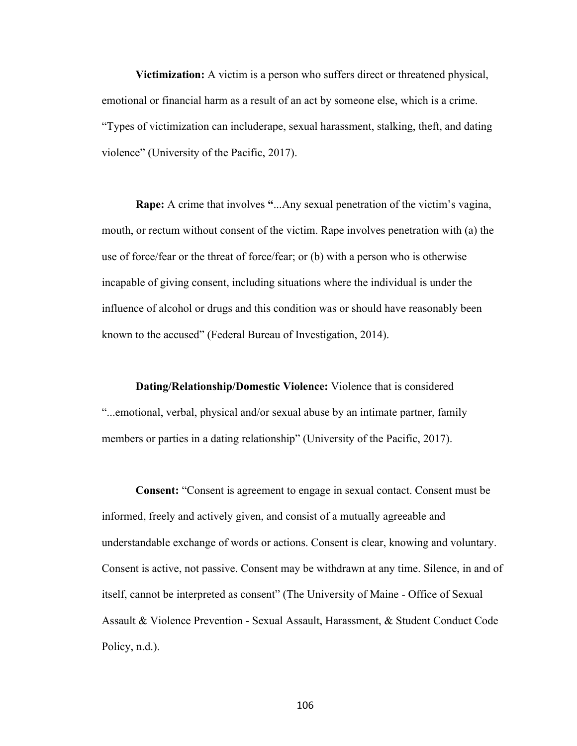**Victimization:** A victim is a person who suffers direct or threatened physical, emotional or financial harm as a result of an act by someone else, which is a crime. "Types of victimization can includerape, sexual harassment, stalking, theft, and dating violence" (University of the Pacific, 2017).

**Rape:** A crime that involves **"**...Any sexual penetration of the victim's vagina, mouth, or rectum without consent of the victim. Rape involves penetration with (a) the use of force/fear or the threat of force/fear; or (b) with a person who is otherwise incapable of giving consent, including situations where the individual is under the influence of alcohol or drugs and this condition was or should have reasonably been known to the accused" (Federal Bureau of Investigation, 2014).

**Dating/Relationship/Domestic Violence:** Violence that is considered "...emotional, verbal, physical and/or sexual abuse by an intimate partner, family members or parties in a dating relationship" (University of the Pacific, 2017).

**Consent:** "Consent is agreement to engage in sexual contact. Consent must be informed, freely and actively given, and consist of a mutually agreeable and understandable exchange of words or actions. Consent is clear, knowing and voluntary. Consent is active, not passive. Consent may be withdrawn at any time. Silence, in and of itself, cannot be interpreted as consent" (The University of Maine - Office of Sexual Assault & Violence Prevention - Sexual Assault, Harassment, & Student Conduct Code Policy, n.d.).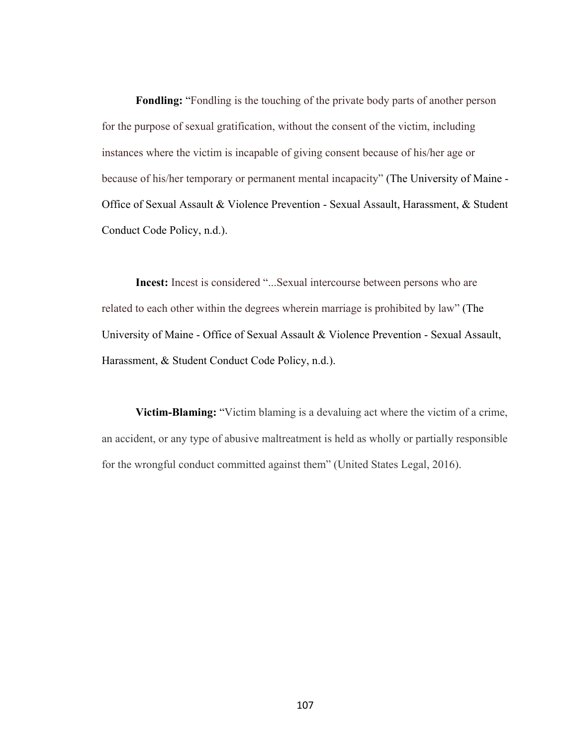**Fondling:** "Fondling is the touching of the private body parts of another person for the purpose of sexual gratification, without the consent of the victim, including instances where the victim is incapable of giving consent because of his/her age or because of his/her temporary or permanent mental incapacity" (The University of Maine - Office of Sexual Assault & Violence Prevention - Sexual Assault, Harassment, & Student Conduct Code Policy, n.d.).

**Incest:** Incest is considered "...Sexual intercourse between persons who are related to each other within the degrees wherein marriage is prohibited by law" (The University of Maine - Office of Sexual Assault & Violence Prevention - Sexual Assault, Harassment, & Student Conduct Code Policy, n.d.).

**Victim-Blaming:** "Victim blaming is a devaluing act where the victim of a crime, an accident, or any type of abusive maltreatment is held as wholly or partially responsible for the wrongful conduct committed against them" (United States Legal, 2016).